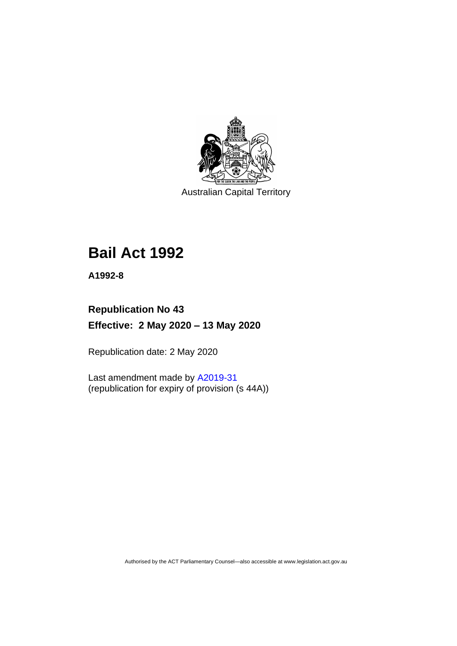

Australian Capital Territory

# **Bail Act 1992**

**A1992-8**

# **Republication No 43 Effective: 2 May 2020 – 13 May 2020**

Republication date: 2 May 2020

Last amendment made by [A2019-31](http://www.legislation.act.gov.au/a/2019-31/) (republication for expiry of provision (s 44A))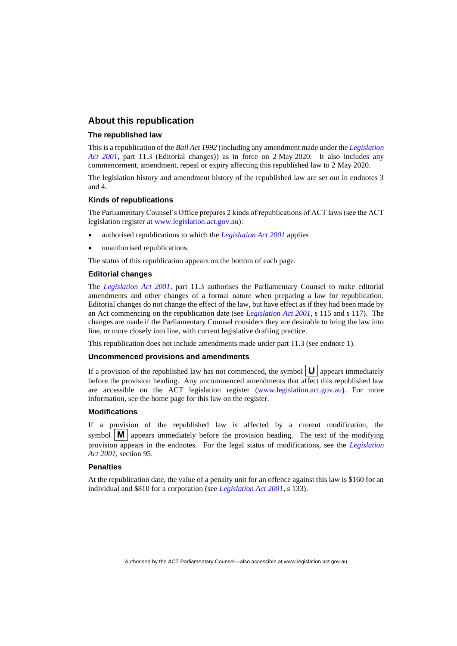#### **About this republication**

#### **The republished law**

This is a republication of the *Bail Act 1992* (including any amendment made under the *[Legislation](http://www.legislation.act.gov.au/a/2001-14)  [Act 2001](http://www.legislation.act.gov.au/a/2001-14)*, part 11.3 (Editorial changes)) as in force on 2 May 2020*.* It also includes any commencement, amendment, repeal or expiry affecting this republished law to 2 May 2020.

The legislation history and amendment history of the republished law are set out in endnotes 3 and 4.

#### **Kinds of republications**

The Parliamentary Counsel's Office prepares 2 kinds of republications of ACT laws (see the ACT legislation register at [www.legislation.act.gov.au\)](http://www.legislation.act.gov.au/):

- authorised republications to which the *[Legislation Act 2001](http://www.legislation.act.gov.au/a/2001-14)* applies
- unauthorised republications.

The status of this republication appears on the bottom of each page.

#### **Editorial changes**

The *[Legislation Act 2001](http://www.legislation.act.gov.au/a/2001-14)*, part 11.3 authorises the Parliamentary Counsel to make editorial amendments and other changes of a formal nature when preparing a law for republication. Editorial changes do not change the effect of the law, but have effect as if they had been made by an Act commencing on the republication date (see *[Legislation Act 2001](http://www.legislation.act.gov.au/a/2001-14)*, s 115 and s 117). The changes are made if the Parliamentary Counsel considers they are desirable to bring the law into line, or more closely into line, with current legislative drafting practice.

This republication does not include amendments made under part 11.3 (see endnote 1).

#### **Uncommenced provisions and amendments**

If a provision of the republished law has not commenced, the symbol  $\mathbf{U}$  appears immediately before the provision heading. Any uncommenced amendments that affect this republished law are accessible on the ACT legislation register [\(www.legislation.act.gov.au\)](http://www.legislation.act.gov.au/). For more information, see the home page for this law on the register.

#### **Modifications**

If a provision of the republished law is affected by a current modification, the symbol  $\mathbf{M}$  appears immediately before the provision heading. The text of the modifying provision appears in the endnotes. For the legal status of modifications, see the *[Legislation](http://www.legislation.act.gov.au/a/2001-14)  Act [2001](http://www.legislation.act.gov.au/a/2001-14)*, section 95.

#### **Penalties**

At the republication date, the value of a penalty unit for an offence against this law is \$160 for an individual and \$810 for a corporation (see *[Legislation Act 2001](http://www.legislation.act.gov.au/a/2001-14)*, s 133).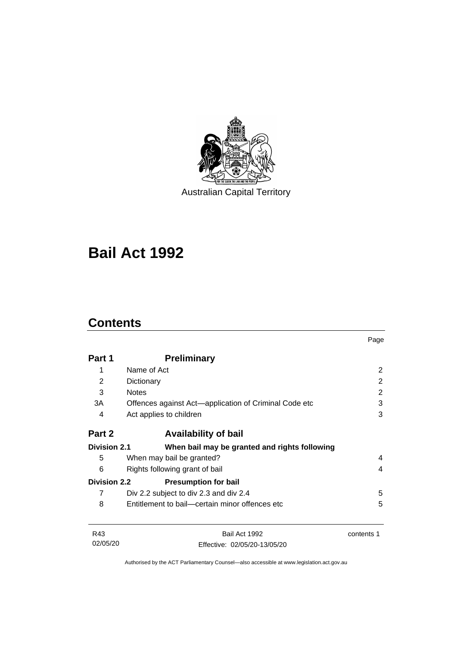

Australian Capital Territory

# **Bail Act 1992**

# **Contents**

|                     |                                                       | Page       |
|---------------------|-------------------------------------------------------|------------|
| Part 1              | <b>Preliminary</b>                                    |            |
| 1                   | Name of Act                                           | 2          |
| 2                   | Dictionary                                            | 2          |
| 3                   | <b>Notes</b>                                          | 2          |
| 3A                  | Offences against Act—application of Criminal Code etc | 3          |
| 4                   | Act applies to children                               | 3          |
| Part 2              | <b>Availability of bail</b>                           |            |
| <b>Division 2.1</b> | When bail may be granted and rights following         |            |
| 5                   | When may bail be granted?                             | 4          |
| 6                   | Rights following grant of bail                        | 4          |
| <b>Division 2.2</b> | <b>Presumption for bail</b>                           |            |
| 7                   | Div 2.2 subject to div 2.3 and div 2.4                | 5          |
| 8                   | Entitlement to bail—certain minor offences etc        | 5          |
| R43                 | Bail Act 1992                                         | contents 1 |
| 02/05/20            | Effective: 02/05/20-13/05/20                          |            |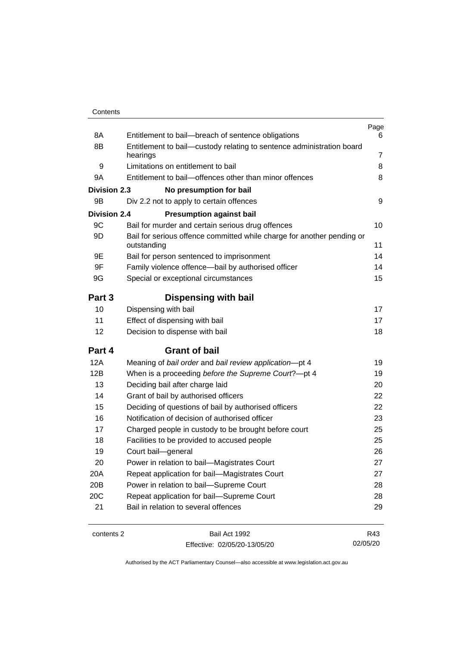| Contents |
|----------|
|----------|

| 8A                  | Entitlement to bail-breach of sentence obligations                                           | Page<br>6      |
|---------------------|----------------------------------------------------------------------------------------------|----------------|
| 8B                  | Entitlement to bail-custody relating to sentence administration board                        | $\overline{7}$ |
|                     | hearings                                                                                     | 8              |
| 9<br>9A             | Limitations on entitlement to bail<br>Entitlement to bail-offences other than minor offences | 8              |
|                     |                                                                                              |                |
| <b>Division 2.3</b> | No presumption for bail                                                                      | 9              |
| 9B                  | Div 2.2 not to apply to certain offences                                                     |                |
| <b>Division 2.4</b> | <b>Presumption against bail</b>                                                              |                |
| 9C                  | Bail for murder and certain serious drug offences                                            | 10             |
| 9D                  | Bail for serious offence committed while charge for another pending or<br>outstanding        | 11             |
| 9E                  | Bail for person sentenced to imprisonment                                                    | 14             |
| 9F                  | Family violence offence-bail by authorised officer                                           | 14             |
| 9G                  | Special or exceptional circumstances                                                         | 15             |
|                     |                                                                                              |                |
| Part 3              | <b>Dispensing with bail</b>                                                                  |                |
| 10                  | Dispensing with bail                                                                         | 17             |
| 11                  | Effect of dispensing with bail                                                               | 17             |
| 12                  | Decision to dispense with bail                                                               | 18             |
| Part 4              | <b>Grant of bail</b>                                                                         |                |
| 12A                 | Meaning of bail order and bail review application-pt 4                                       | 19             |
| 12B                 | When is a proceeding before the Supreme Court?-pt 4                                          | 19             |
| 13                  | Deciding bail after charge laid                                                              | 20             |
| 14                  | Grant of bail by authorised officers                                                         | 22             |
| 15                  | Deciding of questions of bail by authorised officers                                         | 22             |
| 16                  | Notification of decision of authorised officer                                               | 23             |
| 17                  | Charged people in custody to be brought before court                                         | 25             |
| 18                  | Facilities to be provided to accused people                                                  | 25             |
| 19                  | Court bail-general                                                                           | 26             |
| 20                  | Power in relation to bail-Magistrates Court                                                  | 27             |
| 20A                 | Repeat application for bail-Magistrates Court                                                | 27             |
| 20B                 | Power in relation to bail-Supreme Court                                                      | 28             |
| 20C                 | Repeat application for bail-Supreme Court                                                    | 28             |
| 21                  | Bail in relation to several offences                                                         | 29             |
|                     |                                                                                              |                |

contents 2 Bail Act 1992 Effective: 02/05/20-13/05/20

R43 02/05/20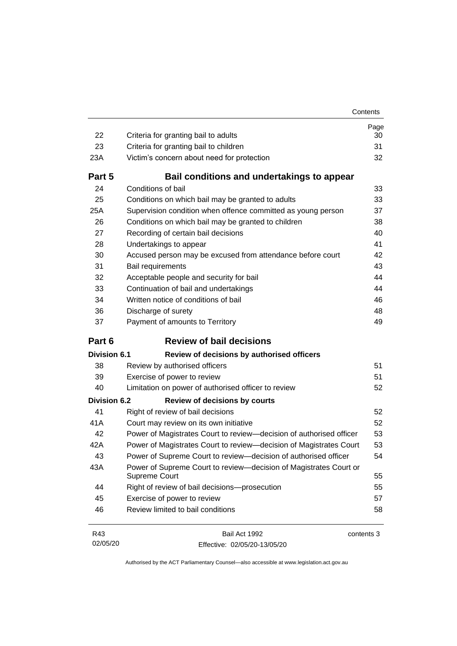| Contents |
|----------|
|          |

| 22                  | Criteria for granting bail to adults                                               | Page<br>30 |
|---------------------|------------------------------------------------------------------------------------|------------|
| 23                  | Criteria for granting bail to children                                             | 31         |
| 23A                 | Victim's concern about need for protection                                         | 32         |
| Part 5              | Bail conditions and undertakings to appear                                         |            |
| 24                  | Conditions of bail                                                                 | 33         |
| 25                  | Conditions on which bail may be granted to adults                                  | 33         |
| 25A                 | Supervision condition when offence committed as young person                       | 37         |
| 26                  | Conditions on which bail may be granted to children                                | 38         |
| 27                  | Recording of certain bail decisions                                                | 40         |
| 28                  | Undertakings to appear                                                             | 41         |
| 30                  | Accused person may be excused from attendance before court                         | 42         |
| 31                  | Bail requirements                                                                  | 43         |
| 32                  | Acceptable people and security for bail                                            | 44         |
| 33                  | Continuation of bail and undertakings                                              | 44         |
| 34                  | Written notice of conditions of bail                                               | 46         |
| 36                  | Discharge of surety                                                                | 48         |
| 37                  | Payment of amounts to Territory                                                    | 49         |
| Part 6              | <b>Review of bail decisions</b>                                                    |            |
| Division 6.1        | Review of decisions by authorised officers                                         |            |
| 38                  | Review by authorised officers                                                      | 51         |
| 39                  | Exercise of power to review                                                        | 51         |
| 40                  |                                                                                    |            |
|                     | Limitation on power of authorised officer to review                                | 52         |
| <b>Division 6.2</b> | <b>Review of decisions by courts</b>                                               |            |
| 41                  | Right of review of bail decisions                                                  | 52         |
| 41A                 | Court may review on its own initiative                                             | 52         |
| 42                  | Power of Magistrates Court to review-decision of authorised officer                | 53         |
| 42A                 | Power of Magistrates Court to review-decision of Magistrates Court                 | 53         |
| 43                  | Power of Supreme Court to review—decision of authorised officer                    | 54         |
| 43A                 | Power of Supreme Court to review-decision of Magistrates Court or<br>Supreme Court | 55         |
| 44                  | Right of review of bail decisions-prosecution                                      | 55         |
| 45                  | Exercise of power to review                                                        | 57         |
| 46                  | Review limited to bail conditions                                                  | 58         |

| R43      | Bail Act 1992                | contents 3 |
|----------|------------------------------|------------|
| 02/05/20 | Effective: 02/05/20-13/05/20 |            |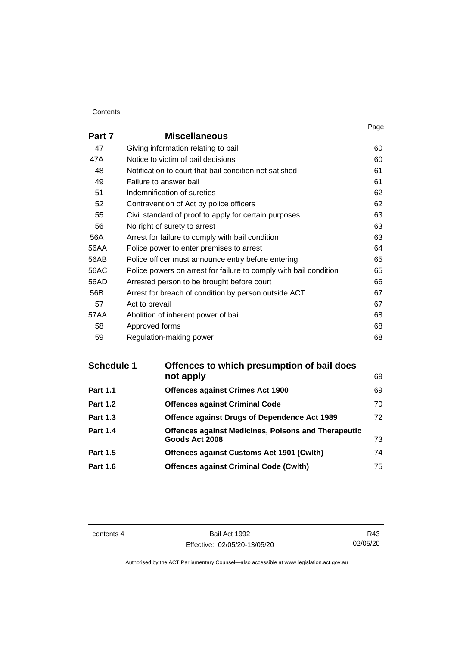#### **Contents**

|        |                                                                   | Page |
|--------|-------------------------------------------------------------------|------|
| Part 7 | <b>Miscellaneous</b>                                              |      |
| 47     | Giving information relating to bail                               | 60   |
| 47A    | Notice to victim of bail decisions                                | 60   |
| 48     | Notification to court that bail condition not satisfied           | 61   |
| 49     | Failure to answer bail                                            | 61   |
| 51     | Indemnification of sureties                                       | 62   |
| 52     | Contravention of Act by police officers                           | 62   |
| 55     | Civil standard of proof to apply for certain purposes             | 63   |
| 56     | No right of surety to arrest                                      | 63   |
| 56A    | Arrest for failure to comply with bail condition                  | 63   |
| 56AA   | Police power to enter premises to arrest                          | 64   |
| 56AB   | Police officer must announce entry before entering                | 65   |
| 56AC   | Police powers on arrest for failure to comply with bail condition | 65   |
| 56AD   | Arrested person to be brought before court                        | 66   |
| 56B    | Arrest for breach of condition by person outside ACT              | 67   |
| 57     | Act to prevail                                                    | 67   |
| 57AA   | Abolition of inherent power of bail                               | 68   |
| 58     | Approved forms                                                    | 68   |
| 59     | Regulation-making power                                           | 68   |

| <b>Schedule 1</b> | Offences to which presumption of bail does                 |    |
|-------------------|------------------------------------------------------------|----|
|                   | not apply                                                  | 69 |
| <b>Part 1.1</b>   | <b>Offences against Crimes Act 1900</b>                    | 69 |
| <b>Part 1.2</b>   | <b>Offences against Criminal Code</b>                      | 70 |
| <b>Part 1.3</b>   | Offence against Drugs of Dependence Act 1989               | 72 |
| <b>Part 1.4</b>   | <b>Offences against Medicines, Poisons and Therapeutic</b> |    |
|                   | Goods Act 2008                                             | 73 |
| <b>Part 1.5</b>   | <b>Offences against Customs Act 1901 (Cwlth)</b>           | 74 |
| <b>Part 1.6</b>   | <b>Offences against Criminal Code (Cwlth)</b>              | 75 |

contents 4 Bail Act 1992 Effective: 02/05/20-13/05/20

R43 02/05/20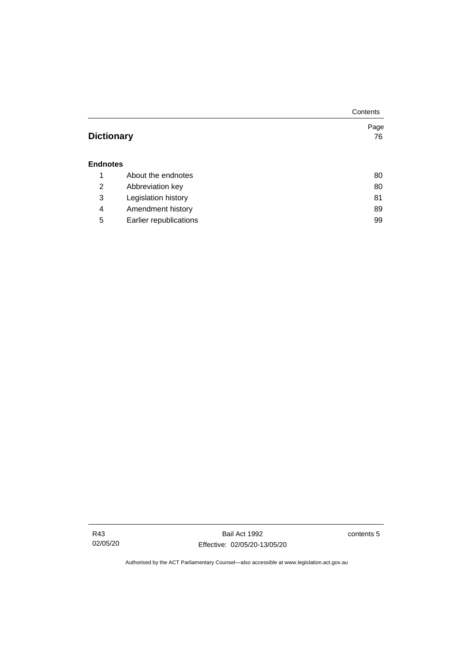|                   |                        | Contents |
|-------------------|------------------------|----------|
|                   |                        | Page     |
| <b>Dictionary</b> |                        | 76       |
|                   |                        |          |
| <b>Endnotes</b>   |                        |          |
| 1                 | About the endnotes     | 80       |
| 2                 | Abbreviation key       | 80       |
| 3                 | Legislation history    | 81       |
| 4                 | Amendment history      | 89       |
| 5                 | Earlier republications | 99       |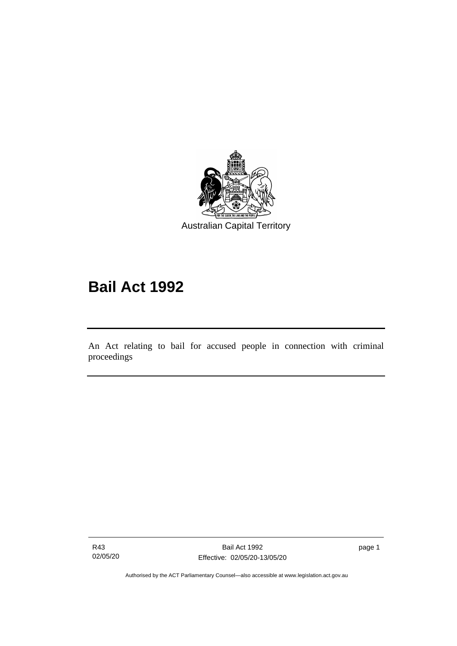

# **Bail Act 1992**

An Act relating to bail for accused people in connection with criminal proceedings

R43 02/05/20

ׅ֖֖֚֚֡֡֬֝֬

page 1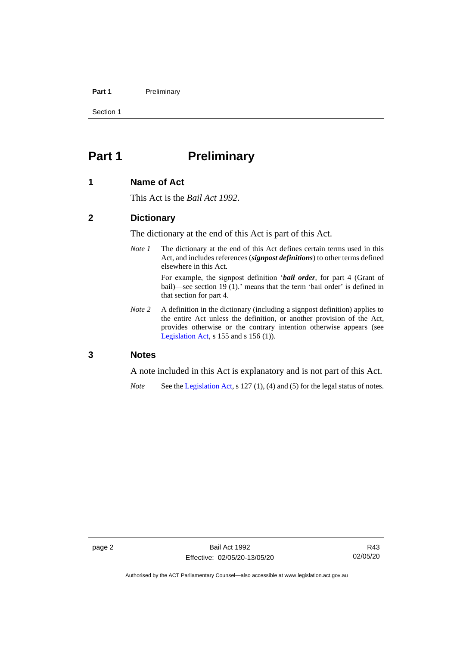#### Part 1 Preliminary

Section 1

# <span id="page-9-0"></span>**Part 1 Preliminary**

#### <span id="page-9-1"></span>**1 Name of Act**

This Act is the *Bail Act 1992*.

#### <span id="page-9-2"></span>**2 Dictionary**

The dictionary at the end of this Act is part of this Act.

*Note 1* The dictionary at the end of this Act defines certain terms used in this Act, and includes references (*signpost definitions*) to other terms defined elsewhere in this Act.

> For example, the signpost definition '*bail order*, for part 4 (Grant of bail)—see section 19 (1).' means that the term 'bail order' is defined in that section for part 4.

*Note 2* A definition in the dictionary (including a signpost definition) applies to the entire Act unless the definition, or another provision of the Act, provides otherwise or the contrary intention otherwise appears (see [Legislation Act,](http://www.legislation.act.gov.au/a/2001-14) s  $155$  and s  $156$  (1)).

#### <span id="page-9-3"></span>**3 Notes**

A note included in this Act is explanatory and is not part of this Act.

*Note* See the [Legislation Act,](http://www.legislation.act.gov.au/a/2001-14) s 127 (1), (4) and (5) for the legal status of notes.

R43 02/05/20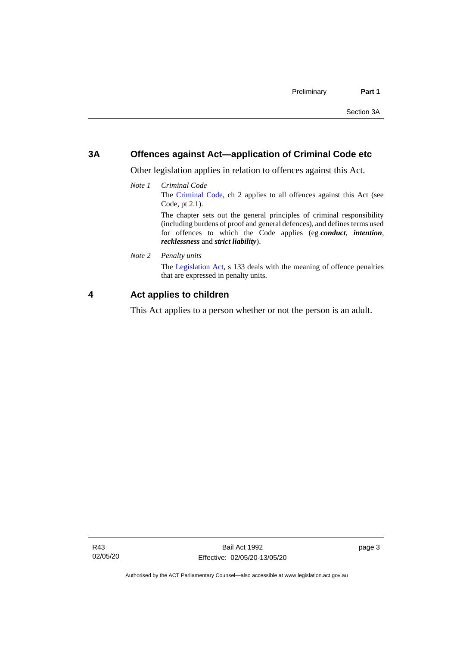#### <span id="page-10-0"></span>**3A Offences against Act—application of Criminal Code etc**

Other legislation applies in relation to offences against this Act.

*Note 1 Criminal Code* The [Criminal Code,](http://www.legislation.act.gov.au/a/2002-51) ch 2 applies to all offences against this Act (see Code, pt 2.1). The chapter sets out the general principles of criminal responsibility

(including burdens of proof and general defences), and defines terms used for offences to which the Code applies (eg *conduct*, *intention*, *recklessness* and *strict liability*).

*Note 2 Penalty units*

The [Legislation Act,](http://www.legislation.act.gov.au/a/2001-14) s 133 deals with the meaning of offence penalties that are expressed in penalty units.

### <span id="page-10-1"></span>**4 Act applies to children**

This Act applies to a person whether or not the person is an adult.

page 3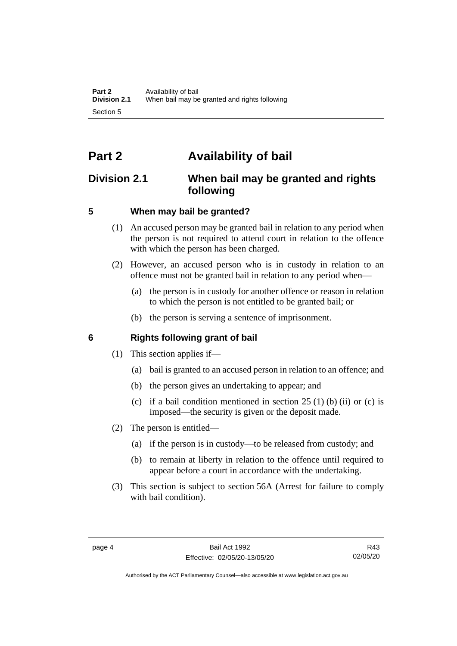# <span id="page-11-0"></span>**Part 2 Availability of bail**

## <span id="page-11-1"></span>**Division 2.1 When bail may be granted and rights following**

## <span id="page-11-2"></span>**5 When may bail be granted?**

- (1) An accused person may be granted bail in relation to any period when the person is not required to attend court in relation to the offence with which the person has been charged.
- (2) However, an accused person who is in custody in relation to an offence must not be granted bail in relation to any period when—
	- (a) the person is in custody for another offence or reason in relation to which the person is not entitled to be granted bail; or
	- (b) the person is serving a sentence of imprisonment.

## <span id="page-11-3"></span>**6 Rights following grant of bail**

- (1) This section applies if—
	- (a) bail is granted to an accused person in relation to an offence; and
	- (b) the person gives an undertaking to appear; and
	- (c) if a bail condition mentioned in section  $25(1)$  (b) (ii) or (c) is imposed—the security is given or the deposit made.
- (2) The person is entitled—
	- (a) if the person is in custody—to be released from custody; and
	- (b) to remain at liberty in relation to the offence until required to appear before a court in accordance with the undertaking.
- (3) This section is subject to section 56A (Arrest for failure to comply with bail condition).

Authorised by the ACT Parliamentary Counsel—also accessible at www.legislation.act.gov.au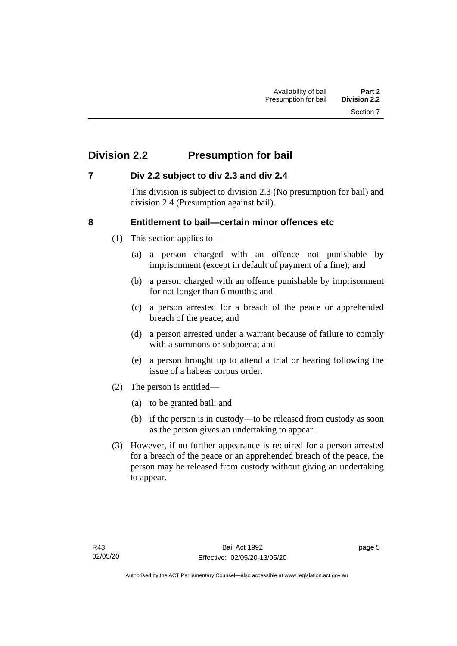# <span id="page-12-0"></span>**Division 2.2 Presumption for bail**

## <span id="page-12-1"></span>**7 Div 2.2 subject to div 2.3 and div 2.4**

This division is subject to division 2.3 (No presumption for bail) and division 2.4 (Presumption against bail).

## <span id="page-12-2"></span>**8 Entitlement to bail—certain minor offences etc**

- (1) This section applies to—
	- (a) a person charged with an offence not punishable by imprisonment (except in default of payment of a fine); and
	- (b) a person charged with an offence punishable by imprisonment for not longer than 6 months; and
	- (c) a person arrested for a breach of the peace or apprehended breach of the peace; and
	- (d) a person arrested under a warrant because of failure to comply with a summons or subpoena; and
	- (e) a person brought up to attend a trial or hearing following the issue of a habeas corpus order.
- (2) The person is entitled—
	- (a) to be granted bail; and
	- (b) if the person is in custody—to be released from custody as soon as the person gives an undertaking to appear.
- (3) However, if no further appearance is required for a person arrested for a breach of the peace or an apprehended breach of the peace, the person may be released from custody without giving an undertaking to appear.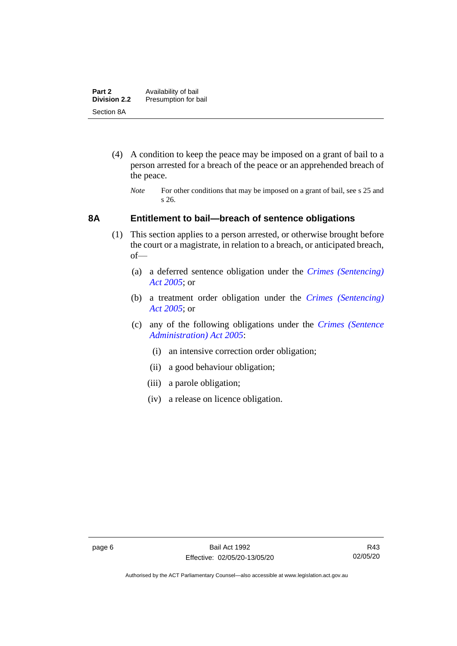- (4) A condition to keep the peace may be imposed on a grant of bail to a person arrested for a breach of the peace or an apprehended breach of the peace.
	- *Note* For other conditions that may be imposed on a grant of bail, see s 25 and s 26.

### <span id="page-13-0"></span>**8A Entitlement to bail—breach of sentence obligations**

- (1) This section applies to a person arrested, or otherwise brought before the court or a magistrate, in relation to a breach, or anticipated breach, of—
	- (a) a deferred sentence obligation under the *[Crimes \(Sentencing\)](http://www.legislation.act.gov.au/a/2005-58)  [Act 2005](http://www.legislation.act.gov.au/a/2005-58)*; or
	- (b) a treatment order obligation under the *[Crimes \(Sentencing\)](http://www.legislation.act.gov.au/a/2005-58)  Act [2005](http://www.legislation.act.gov.au/a/2005-58)*; or
	- (c) any of the following obligations under the *[Crimes \(Sentence](http://www.legislation.act.gov.au/a/2005-59)  [Administration\) Act 2005](http://www.legislation.act.gov.au/a/2005-59)*:
		- (i) an intensive correction order obligation;
		- (ii) a good behaviour obligation;
		- (iii) a parole obligation;
		- (iv) a release on licence obligation.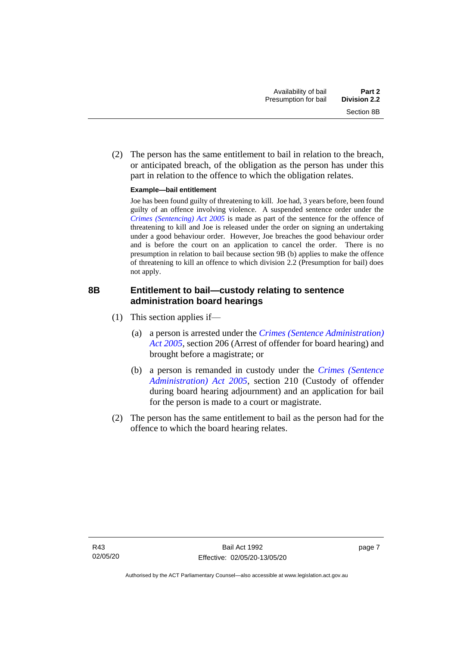(2) The person has the same entitlement to bail in relation to the breach, or anticipated breach, of the obligation as the person has under this part in relation to the offence to which the obligation relates.

#### **Example—bail entitlement**

Joe has been found guilty of threatening to kill. Joe had, 3 years before, been found guilty of an offence involving violence. A suspended sentence order under the *[Crimes \(Sentencing\) Act 2005](http://www.legislation.act.gov.au/a/2005-58)* is made as part of the sentence for the offence of threatening to kill and Joe is released under the order on signing an undertaking under a good behaviour order. However, Joe breaches the good behaviour order and is before the court on an application to cancel the order. There is no presumption in relation to bail because section 9B (b) applies to make the offence of threatening to kill an offence to which division 2.2 (Presumption for bail) does not apply.

## <span id="page-14-0"></span>**8B Entitlement to bail—custody relating to sentence administration board hearings**

- (1) This section applies if—
	- (a) a person is arrested under the *[Crimes \(Sentence Administration\)](http://www.legislation.act.gov.au/a/2005-59)  [Act 2005](http://www.legislation.act.gov.au/a/2005-59)*, section 206 (Arrest of offender for board hearing) and brought before a magistrate; or
	- (b) a person is remanded in custody under the *[Crimes \(Sentence](http://www.legislation.act.gov.au/a/2005-59)  [Administration\) Act 2005](http://www.legislation.act.gov.au/a/2005-59)*, section 210 (Custody of offender during board hearing adjournment) and an application for bail for the person is made to a court or magistrate.
- (2) The person has the same entitlement to bail as the person had for the offence to which the board hearing relates.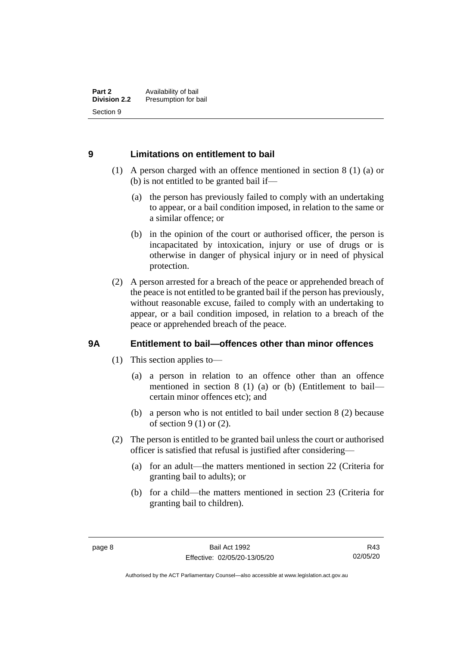### <span id="page-15-0"></span>**9 Limitations on entitlement to bail**

- (1) A person charged with an offence mentioned in section 8 (1) (a) or (b) is not entitled to be granted bail if—
	- (a) the person has previously failed to comply with an undertaking to appear, or a bail condition imposed, in relation to the same or a similar offence; or
	- (b) in the opinion of the court or authorised officer, the person is incapacitated by intoxication, injury or use of drugs or is otherwise in danger of physical injury or in need of physical protection.
- (2) A person arrested for a breach of the peace or apprehended breach of the peace is not entitled to be granted bail if the person has previously, without reasonable excuse, failed to comply with an undertaking to appear, or a bail condition imposed, in relation to a breach of the peace or apprehended breach of the peace.

## <span id="page-15-1"></span>**9A Entitlement to bail—offences other than minor offences**

- (1) This section applies to—
	- (a) a person in relation to an offence other than an offence mentioned in section 8 (1) (a) or (b) (Entitlement to bail certain minor offences etc); and
	- (b) a person who is not entitled to bail under section 8 (2) because of section  $9(1)$  or  $(2)$ .
- (2) The person is entitled to be granted bail unless the court or authorised officer is satisfied that refusal is justified after considering—
	- (a) for an adult—the matters mentioned in section 22 (Criteria for granting bail to adults); or
	- (b) for a child—the matters mentioned in section 23 (Criteria for granting bail to children).

Authorised by the ACT Parliamentary Counsel—also accessible at www.legislation.act.gov.au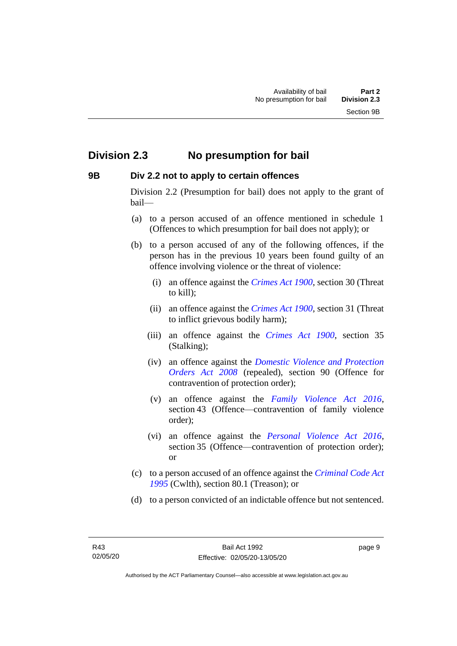## <span id="page-16-0"></span>**Division 2.3 No presumption for bail**

#### <span id="page-16-1"></span>**9B Div 2.2 not to apply to certain offences**

Division 2.2 (Presumption for bail) does not apply to the grant of bail—

- (a) to a person accused of an offence mentioned in schedule 1 (Offences to which presumption for bail does not apply); or
- (b) to a person accused of any of the following offences, if the person has in the previous 10 years been found guilty of an offence involving violence or the threat of violence:
	- (i) an offence against the *[Crimes Act 1900](http://www.legislation.act.gov.au/a/1900-40)*, section 30 (Threat to kill);
	- (ii) an offence against the *[Crimes Act 1900](http://www.legislation.act.gov.au/a/1900-40)*, section 31 (Threat to inflict grievous bodily harm);
	- (iii) an offence against the *[Crimes Act 1900](http://www.legislation.act.gov.au/a/1900-40)*, section 35 (Stalking);
	- (iv) an offence against the *[Domestic Violence and Protection](http://www.legislation.act.gov.au/a/2008-46)  [Orders Act 2008](http://www.legislation.act.gov.au/a/2008-46)* (repealed), section 90 (Offence for contravention of protection order);
	- (v) an offence against the *[Family Violence Act 2016](http://www.legislation.act.gov.au/a/2016-42)*, section 43 (Offence—contravention of family violence order);
	- (vi) an offence against the *[Personal Violence Act 2016](http://www.legislation.act.gov.au/a/2016-43)*, section 35 (Offence—contravention of protection order); or
- (c) to a person accused of an offence against the *[Criminal Code Act](http://www.comlaw.gov.au/Details/C2013C00138)  [1995](http://www.comlaw.gov.au/Details/C2013C00138)* (Cwlth), section 80.1 (Treason); or
- (d) to a person convicted of an indictable offence but not sentenced.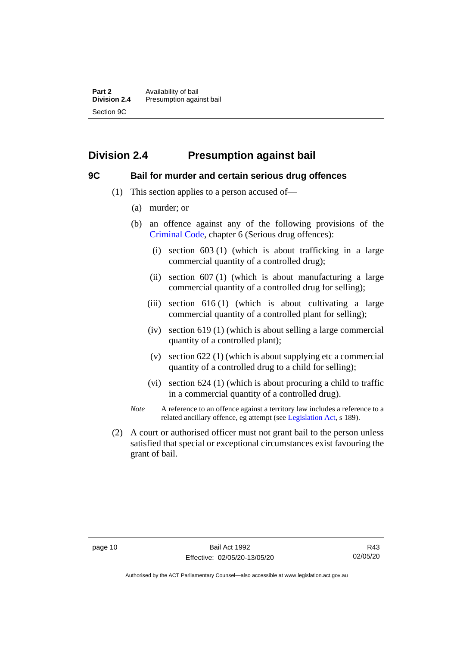## <span id="page-17-0"></span>**Division 2.4 Presumption against bail**

#### <span id="page-17-1"></span>**9C Bail for murder and certain serious drug offences**

- (1) This section applies to a person accused of—
	- (a) murder; or
	- (b) an offence against any of the following provisions of the [Criminal Code,](http://www.legislation.act.gov.au/a/2002-51) chapter 6 (Serious drug offences):
		- (i) section 603 (1) (which is about trafficking in a large commercial quantity of a controlled drug);
		- (ii) section 607 (1) (which is about manufacturing a large commercial quantity of a controlled drug for selling);
		- (iii) section 616 (1) (which is about cultivating a large commercial quantity of a controlled plant for selling);
		- (iv) section 619 (1) (which is about selling a large commercial quantity of a controlled plant);
		- (v) section 622 (1) (which is about supplying etc a commercial quantity of a controlled drug to a child for selling);
		- (vi) section 624 (1) (which is about procuring a child to traffic in a commercial quantity of a controlled drug).
	- *Note* A reference to an offence against a territory law includes a reference to a related ancillary offence, eg attempt (see [Legislation Act,](http://www.legislation.act.gov.au/a/2001-14) s 189).
- (2) A court or authorised officer must not grant bail to the person unless satisfied that special or exceptional circumstances exist favouring the grant of bail.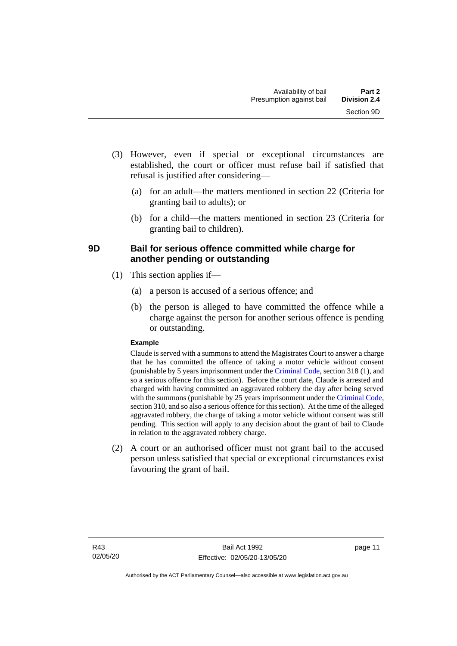- (3) However, even if special or exceptional circumstances are established, the court or officer must refuse bail if satisfied that refusal is justified after considering—
	- (a) for an adult—the matters mentioned in section 22 (Criteria for granting bail to adults); or
	- (b) for a child—the matters mentioned in section 23 (Criteria for granting bail to children).

## <span id="page-18-0"></span>**9D Bail for serious offence committed while charge for another pending or outstanding**

- (1) This section applies if—
	- (a) a person is accused of a serious offence; and
	- (b) the person is alleged to have committed the offence while a charge against the person for another serious offence is pending or outstanding.

#### **Example**

Claude is served with a summons to attend the Magistrates Court to answer a charge that he has committed the offence of taking a motor vehicle without consent (punishable by 5 years imprisonment under the [Criminal Code,](http://www.legislation.act.gov.au/a/2002-51) section 318 (1), and so a serious offence for this section). Before the court date, Claude is arrested and charged with having committed an aggravated robbery the day after being served with the summons (punishable by 25 years imprisonment under the [Criminal Code,](http://www.legislation.act.gov.au/a/2002-51) section 310, and so also a serious offence for this section). At the time of the alleged aggravated robbery, the charge of taking a motor vehicle without consent was still pending. This section will apply to any decision about the grant of bail to Claude in relation to the aggravated robbery charge.

(2) A court or an authorised officer must not grant bail to the accused person unless satisfied that special or exceptional circumstances exist favouring the grant of bail.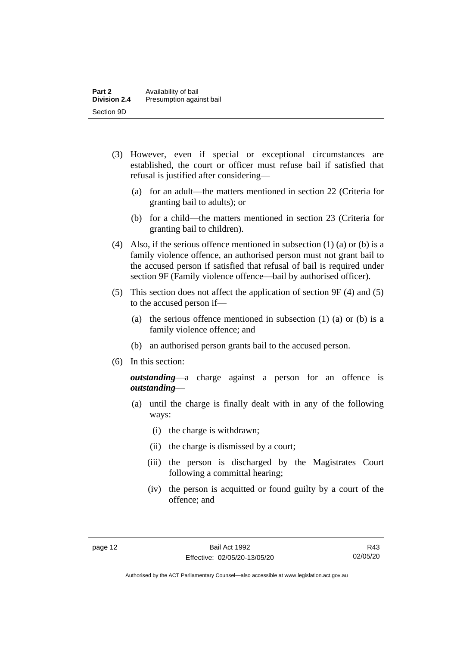- (3) However, even if special or exceptional circumstances are established, the court or officer must refuse bail if satisfied that refusal is justified after considering—
	- (a) for an adult—the matters mentioned in section 22 (Criteria for granting bail to adults); or
	- (b) for a child—the matters mentioned in section 23 (Criteria for granting bail to children).
- (4) Also, if the serious offence mentioned in subsection (1) (a) or (b) is a family violence offence, an authorised person must not grant bail to the accused person if satisfied that refusal of bail is required under section 9F (Family violence offence—bail by authorised officer).
- (5) This section does not affect the application of section 9F (4) and (5) to the accused person if—
	- (a) the serious offence mentioned in subsection (1) (a) or (b) is a family violence offence; and
	- (b) an authorised person grants bail to the accused person.
- (6) In this section:

*outstanding*—a charge against a person for an offence is *outstanding*—

- (a) until the charge is finally dealt with in any of the following ways:
	- (i) the charge is withdrawn;
	- (ii) the charge is dismissed by a court;
	- (iii) the person is discharged by the Magistrates Court following a committal hearing;
	- (iv) the person is acquitted or found guilty by a court of the offence; and

Authorised by the ACT Parliamentary Counsel—also accessible at www.legislation.act.gov.au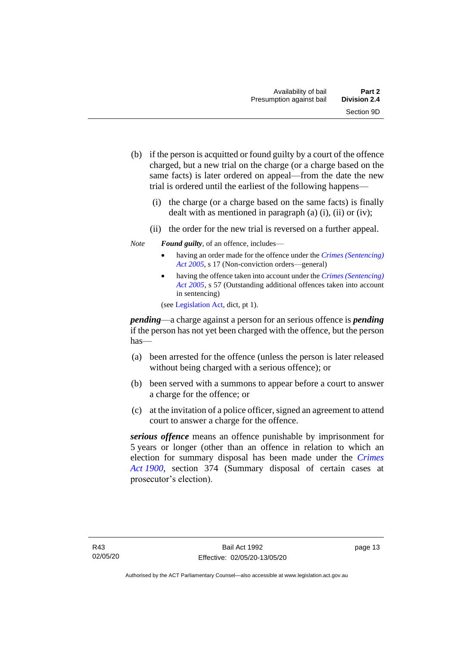- (b) if the person is acquitted or found guilty by a court of the offence charged, but a new trial on the charge (or a charge based on the same facts) is later ordered on appeal—from the date the new trial is ordered until the earliest of the following happens—
	- (i) the charge (or a charge based on the same facts) is finally dealt with as mentioned in paragraph  $(a)$   $(i)$ ,  $(ii)$  or  $(iv)$ ;
	- (ii) the order for the new trial is reversed on a further appeal.
- *Note Found guilty*, of an offence, includes—
	- having an order made for the offence under the *[Crimes \(Sentencing\)](http://www.legislation.act.gov.au/a/2005-58)  [Act 2005](http://www.legislation.act.gov.au/a/2005-58)*, s 17 (Non-conviction orders—general)
	- having the offence taken into account under the *[Crimes \(Sentencing\)](http://www.legislation.act.gov.au/a/2005-58)  [Act 2005](http://www.legislation.act.gov.au/a/2005-58)*, s 57 (Outstanding additional offences taken into account in sentencing)

(se[e Legislation Act,](http://www.legislation.act.gov.au/a/2001-14) dict, pt 1).

*pending*—a charge against a person for an serious offence is *pending*  if the person has not yet been charged with the offence, but the person has—

- (a) been arrested for the offence (unless the person is later released without being charged with a serious offence); or
- (b) been served with a summons to appear before a court to answer a charge for the offence; or
- (c) at the invitation of a police officer, signed an agreement to attend court to answer a charge for the offence.

*serious offence* means an offence punishable by imprisonment for 5 years or longer (other than an offence in relation to which an election for summary disposal has been made under the *[Crimes](http://www.legislation.act.gov.au/a/1900-40)  Act [1900](http://www.legislation.act.gov.au/a/1900-40)*, section 374 (Summary disposal of certain cases at prosecutor's election).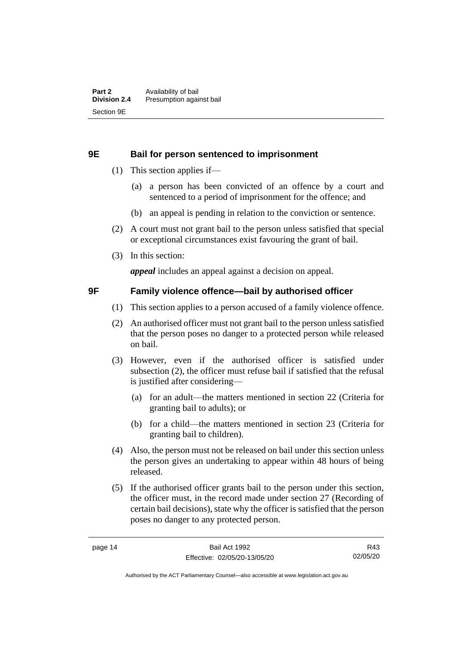#### <span id="page-21-0"></span>**9E Bail for person sentenced to imprisonment**

- (1) This section applies if—
	- (a) a person has been convicted of an offence by a court and sentenced to a period of imprisonment for the offence; and
	- (b) an appeal is pending in relation to the conviction or sentence.
- (2) A court must not grant bail to the person unless satisfied that special or exceptional circumstances exist favouring the grant of bail.
- (3) In this section:

*appeal* includes an appeal against a decision on appeal.

#### <span id="page-21-1"></span>**9F Family violence offence—bail by authorised officer**

- (1) This section applies to a person accused of a family violence offence.
- (2) An authorised officer must not grant bail to the person unless satisfied that the person poses no danger to a protected person while released on bail.
- (3) However, even if the authorised officer is satisfied under subsection (2), the officer must refuse bail if satisfied that the refusal is justified after considering—
	- (a) for an adult—the matters mentioned in section 22 (Criteria for granting bail to adults); or
	- (b) for a child—the matters mentioned in section 23 (Criteria for granting bail to children).
- (4) Also, the person must not be released on bail under this section unless the person gives an undertaking to appear within 48 hours of being released.
- (5) If the authorised officer grants bail to the person under this section, the officer must, in the record made under section 27 (Recording of certain bail decisions), state why the officer is satisfied that the person poses no danger to any protected person.

R43 02/05/20

Authorised by the ACT Parliamentary Counsel—also accessible at www.legislation.act.gov.au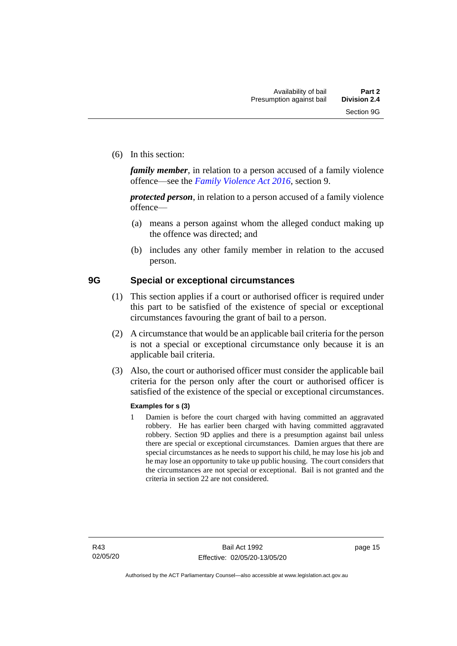(6) In this section:

*family member*, in relation to a person accused of a family violence offence—see the *[Family Violence Act 2016](http://www.legislation.act.gov.au/a/2016-42)*, section 9.

*protected person*, in relation to a person accused of a family violence offence—

- (a) means a person against whom the alleged conduct making up the offence was directed; and
- (b) includes any other family member in relation to the accused person.

#### <span id="page-22-0"></span>**9G Special or exceptional circumstances**

- (1) This section applies if a court or authorised officer is required under this part to be satisfied of the existence of special or exceptional circumstances favouring the grant of bail to a person.
- (2) A circumstance that would be an applicable bail criteria for the person is not a special or exceptional circumstance only because it is an applicable bail criteria.
- (3) Also, the court or authorised officer must consider the applicable bail criteria for the person only after the court or authorised officer is satisfied of the existence of the special or exceptional circumstances.

#### **Examples for s (3)**

1 Damien is before the court charged with having committed an aggravated robbery. He has earlier been charged with having committed aggravated robbery. Section 9D applies and there is a presumption against bail unless there are special or exceptional circumstances. Damien argues that there are special circumstances as he needs to support his child, he may lose his job and he may lose an opportunity to take up public housing. The court considers that the circumstances are not special or exceptional. Bail is not granted and the criteria in section 22 are not considered.

page 15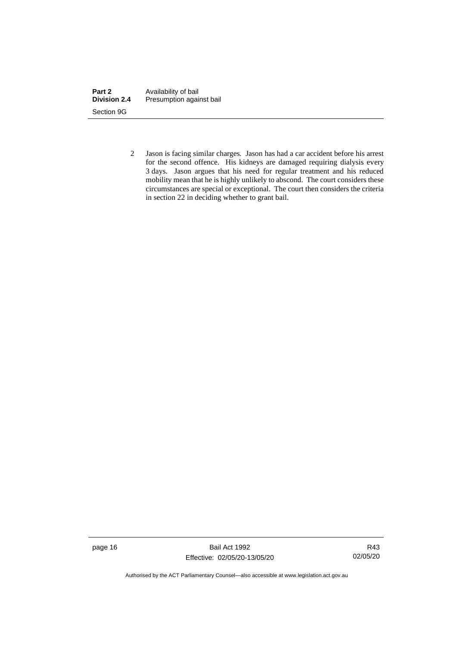| Part 2              | Availability of bail     |
|---------------------|--------------------------|
| <b>Division 2.4</b> | Presumption against bail |
| Section 9G          |                          |

2 Jason is facing similar charges. Jason has had a car accident before his arrest for the second offence. His kidneys are damaged requiring dialysis every 3 days. Jason argues that his need for regular treatment and his reduced mobility mean that he is highly unlikely to abscond. The court considers these circumstances are special or exceptional. The court then considers the criteria in section 22 in deciding whether to grant bail.

page 16 Bail Act 1992 Effective: 02/05/20-13/05/20

R43 02/05/20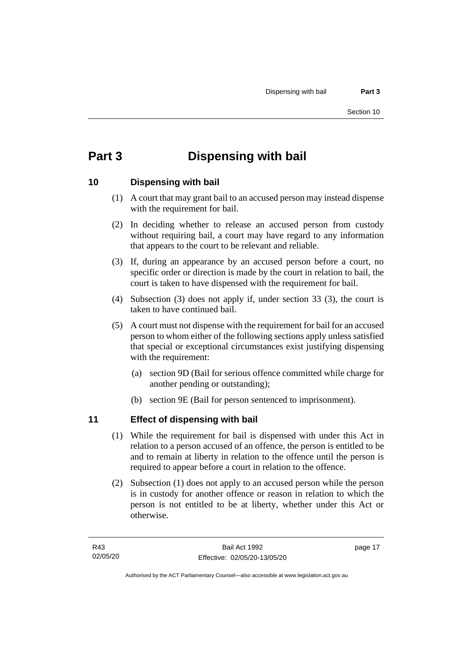# <span id="page-24-0"></span>**Part 3 Dispensing with bail**

## <span id="page-24-1"></span>**10 Dispensing with bail**

- (1) A court that may grant bail to an accused person may instead dispense with the requirement for bail.
- (2) In deciding whether to release an accused person from custody without requiring bail, a court may have regard to any information that appears to the court to be relevant and reliable.
- (3) If, during an appearance by an accused person before a court, no specific order or direction is made by the court in relation to bail, the court is taken to have dispensed with the requirement for bail.
- (4) Subsection (3) does not apply if, under section 33 (3), the court is taken to have continued bail.
- (5) A court must not dispense with the requirement for bail for an accused person to whom either of the following sections apply unless satisfied that special or exceptional circumstances exist justifying dispensing with the requirement:
	- (a) section 9D (Bail for serious offence committed while charge for another pending or outstanding);
	- (b) section 9E (Bail for person sentenced to imprisonment).

## <span id="page-24-2"></span>**11 Effect of dispensing with bail**

- (1) While the requirement for bail is dispensed with under this Act in relation to a person accused of an offence, the person is entitled to be and to remain at liberty in relation to the offence until the person is required to appear before a court in relation to the offence.
- (2) Subsection (1) does not apply to an accused person while the person is in custody for another offence or reason in relation to which the person is not entitled to be at liberty, whether under this Act or otherwise.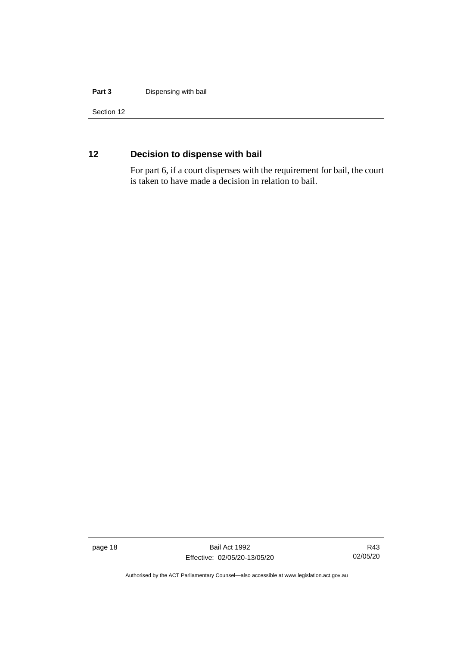#### **Part 3** Dispensing with bail

Section 12

## <span id="page-25-0"></span>**12 Decision to dispense with bail**

For part 6, if a court dispenses with the requirement for bail, the court is taken to have made a decision in relation to bail.

page 18 Bail Act 1992 Effective: 02/05/20-13/05/20

R43 02/05/20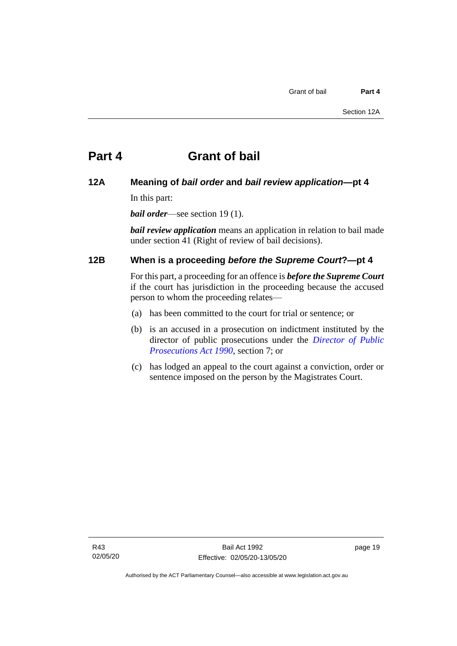#### <span id="page-26-1"></span><span id="page-26-0"></span>**12A Meaning of** *bail order* **and** *bail review application***—pt 4**

In this part:

*bail order*—see section 19 (1).

*bail review application* means an application in relation to bail made under section 41 (Right of review of bail decisions).

## <span id="page-26-2"></span>**12B When is a proceeding** *before the Supreme Court***?—pt 4**

For this part, a proceeding for an offence is *before the Supreme Court* if the court has jurisdiction in the proceeding because the accused person to whom the proceeding relates—

- (a) has been committed to the court for trial or sentence; or
- (b) is an accused in a prosecution on indictment instituted by the director of public prosecutions under the *[Director of Public](http://www.legislation.act.gov.au/a/1990-22)  [Prosecutions Act 1990](http://www.legislation.act.gov.au/a/1990-22)*, section 7; or
- (c) has lodged an appeal to the court against a conviction, order or sentence imposed on the person by the Magistrates Court.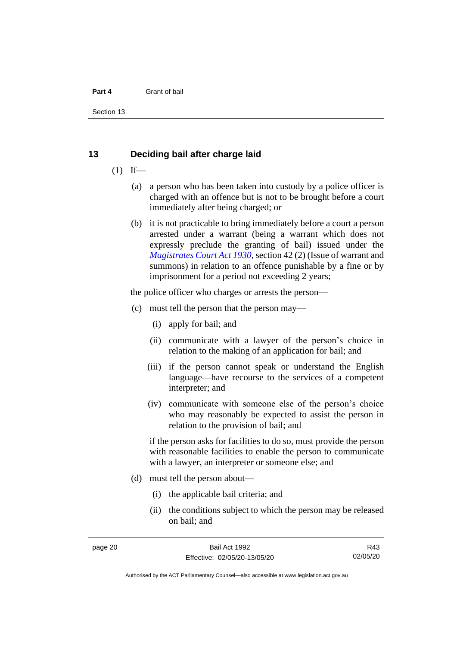Section 13

#### <span id="page-27-0"></span>**13 Deciding bail after charge laid**

- $(1)$  If—
	- (a) a person who has been taken into custody by a police officer is charged with an offence but is not to be brought before a court immediately after being charged; or
	- (b) it is not practicable to bring immediately before a court a person arrested under a warrant (being a warrant which does not expressly preclude the granting of bail) issued under the *[Magistrates Court Act 1930](http://www.legislation.act.gov.au/a/1930-21)*, section 42 (2) (Issue of warrant and summons) in relation to an offence punishable by a fine or by imprisonment for a period not exceeding 2 years;

the police officer who charges or arrests the person—

- (c) must tell the person that the person may—
	- (i) apply for bail; and
	- (ii) communicate with a lawyer of the person's choice in relation to the making of an application for bail; and
	- (iii) if the person cannot speak or understand the English language—have recourse to the services of a competent interpreter; and
	- (iv) communicate with someone else of the person's choice who may reasonably be expected to assist the person in relation to the provision of bail; and

if the person asks for facilities to do so, must provide the person with reasonable facilities to enable the person to communicate with a lawyer, an interpreter or someone else; and

- (d) must tell the person about—
	- (i) the applicable bail criteria; and
	- (ii) the conditions subject to which the person may be released on bail; and

R43 02/05/20

Authorised by the ACT Parliamentary Counsel—also accessible at www.legislation.act.gov.au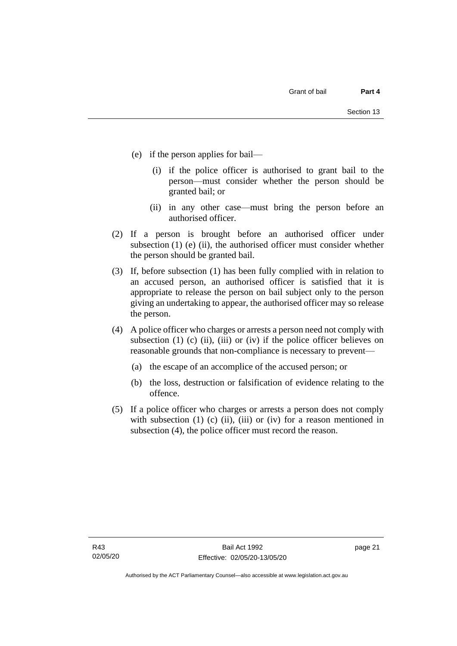- (e) if the person applies for bail—
	- (i) if the police officer is authorised to grant bail to the person—must consider whether the person should be granted bail; or
	- (ii) in any other case—must bring the person before an authorised officer.
- (2) If a person is brought before an authorised officer under subsection  $(1)$  (e)  $(ii)$ , the authorised officer must consider whether the person should be granted bail.
- (3) If, before subsection (1) has been fully complied with in relation to an accused person, an authorised officer is satisfied that it is appropriate to release the person on bail subject only to the person giving an undertaking to appear, the authorised officer may so release the person.
- (4) A police officer who charges or arrests a person need not comply with subsection (1) (c) (ii), (iii) or (iv) if the police officer believes on reasonable grounds that non-compliance is necessary to prevent—
	- (a) the escape of an accomplice of the accused person; or
	- (b) the loss, destruction or falsification of evidence relating to the offence.
- (5) If a police officer who charges or arrests a person does not comply with subsection  $(1)$   $(c)$   $(ii)$ ,  $(iii)$  or  $(iv)$  for a reason mentioned in subsection (4), the police officer must record the reason.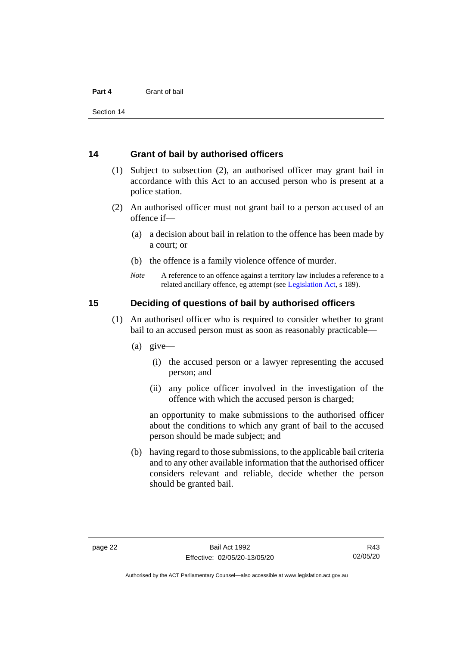Section 14

#### <span id="page-29-0"></span>**14 Grant of bail by authorised officers**

- (1) Subject to subsection (2), an authorised officer may grant bail in accordance with this Act to an accused person who is present at a police station.
- (2) An authorised officer must not grant bail to a person accused of an offence if—
	- (a) a decision about bail in relation to the offence has been made by a court; or
	- (b) the offence is a family violence offence of murder.
	- *Note* A reference to an offence against a territory law includes a reference to a related ancillary offence, eg attempt (see [Legislation Act,](http://www.legislation.act.gov.au/a/2001-14) s 189).

#### <span id="page-29-1"></span>**15 Deciding of questions of bail by authorised officers**

- (1) An authorised officer who is required to consider whether to grant bail to an accused person must as soon as reasonably practicable—
	- (a) give—
		- (i) the accused person or a lawyer representing the accused person; and
		- (ii) any police officer involved in the investigation of the offence with which the accused person is charged;

an opportunity to make submissions to the authorised officer about the conditions to which any grant of bail to the accused person should be made subject; and

(b) having regard to those submissions, to the applicable bail criteria and to any other available information that the authorised officer considers relevant and reliable, decide whether the person should be granted bail.

Authorised by the ACT Parliamentary Counsel—also accessible at www.legislation.act.gov.au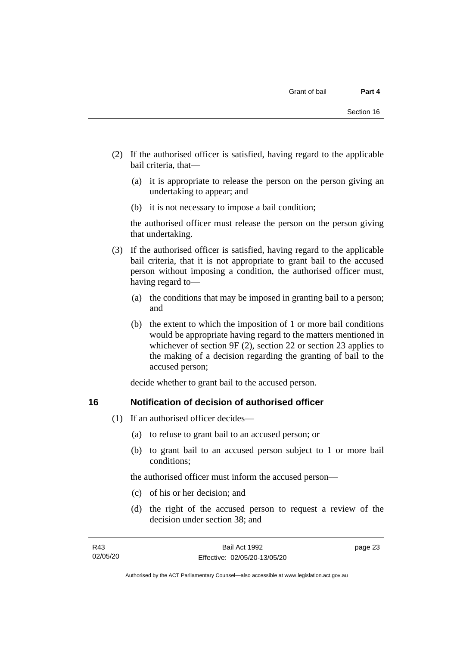- (2) If the authorised officer is satisfied, having regard to the applicable bail criteria, that—
	- (a) it is appropriate to release the person on the person giving an undertaking to appear; and
	- (b) it is not necessary to impose a bail condition;

the authorised officer must release the person on the person giving that undertaking.

- (3) If the authorised officer is satisfied, having regard to the applicable bail criteria, that it is not appropriate to grant bail to the accused person without imposing a condition, the authorised officer must, having regard to—
	- (a) the conditions that may be imposed in granting bail to a person; and
	- (b) the extent to which the imposition of 1 or more bail conditions would be appropriate having regard to the matters mentioned in whichever of section 9F (2), section 22 or section 23 applies to the making of a decision regarding the granting of bail to the accused person;

decide whether to grant bail to the accused person.

#### <span id="page-30-0"></span>**16 Notification of decision of authorised officer**

- (1) If an authorised officer decides—
	- (a) to refuse to grant bail to an accused person; or
	- (b) to grant bail to an accused person subject to 1 or more bail conditions;

the authorised officer must inform the accused person—

- (c) of his or her decision; and
- (d) the right of the accused person to request a review of the decision under section 38; and

page 23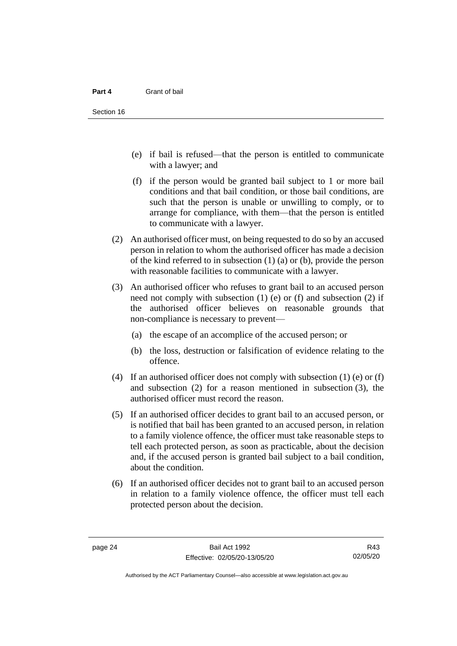- (e) if bail is refused—that the person is entitled to communicate with a lawyer; and
- (f) if the person would be granted bail subject to 1 or more bail conditions and that bail condition, or those bail conditions, are such that the person is unable or unwilling to comply, or to arrange for compliance, with them—that the person is entitled to communicate with a lawyer.
- (2) An authorised officer must, on being requested to do so by an accused person in relation to whom the authorised officer has made a decision of the kind referred to in subsection (1) (a) or (b), provide the person with reasonable facilities to communicate with a lawyer.
- (3) An authorised officer who refuses to grant bail to an accused person need not comply with subsection (1) (e) or (f) and subsection (2) if the authorised officer believes on reasonable grounds that non-compliance is necessary to prevent—
	- (a) the escape of an accomplice of the accused person; or
	- (b) the loss, destruction or falsification of evidence relating to the offence.
- (4) If an authorised officer does not comply with subsection (1) (e) or (f) and subsection (2) for a reason mentioned in subsection (3), the authorised officer must record the reason.
- (5) If an authorised officer decides to grant bail to an accused person, or is notified that bail has been granted to an accused person, in relation to a family violence offence, the officer must take reasonable steps to tell each protected person, as soon as practicable, about the decision and, if the accused person is granted bail subject to a bail condition, about the condition.
- (6) If an authorised officer decides not to grant bail to an accused person in relation to a family violence offence, the officer must tell each protected person about the decision.

R43 02/05/20

Authorised by the ACT Parliamentary Counsel—also accessible at www.legislation.act.gov.au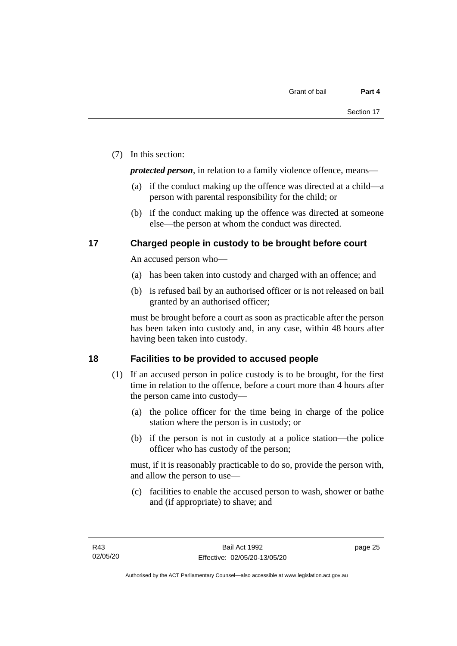(7) In this section:

*protected person*, in relation to a family violence offence, means—

- (a) if the conduct making up the offence was directed at a child—a person with parental responsibility for the child; or
- (b) if the conduct making up the offence was directed at someone else—the person at whom the conduct was directed.

### <span id="page-32-0"></span>**17 Charged people in custody to be brought before court**

An accused person who—

- (a) has been taken into custody and charged with an offence; and
- (b) is refused bail by an authorised officer or is not released on bail granted by an authorised officer;

must be brought before a court as soon as practicable after the person has been taken into custody and, in any case, within 48 hours after having been taken into custody.

## <span id="page-32-1"></span>**18 Facilities to be provided to accused people**

- (1) If an accused person in police custody is to be brought, for the first time in relation to the offence, before a court more than 4 hours after the person came into custody—
	- (a) the police officer for the time being in charge of the police station where the person is in custody; or
	- (b) if the person is not in custody at a police station—the police officer who has custody of the person;

must, if it is reasonably practicable to do so, provide the person with, and allow the person to use—

(c) facilities to enable the accused person to wash, shower or bathe and (if appropriate) to shave; and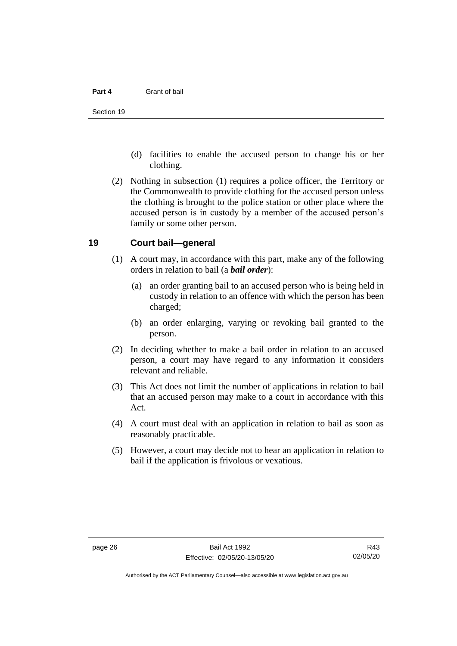- (d) facilities to enable the accused person to change his or her clothing.
- (2) Nothing in subsection (1) requires a police officer, the Territory or the Commonwealth to provide clothing for the accused person unless the clothing is brought to the police station or other place where the accused person is in custody by a member of the accused person's family or some other person.

#### <span id="page-33-0"></span>**19 Court bail—general**

- (1) A court may, in accordance with this part, make any of the following orders in relation to bail (a *bail order*):
	- (a) an order granting bail to an accused person who is being held in custody in relation to an offence with which the person has been charged;
	- (b) an order enlarging, varying or revoking bail granted to the person.
- (2) In deciding whether to make a bail order in relation to an accused person, a court may have regard to any information it considers relevant and reliable.
- (3) This Act does not limit the number of applications in relation to bail that an accused person may make to a court in accordance with this Act.
- (4) A court must deal with an application in relation to bail as soon as reasonably practicable.
- (5) However, a court may decide not to hear an application in relation to bail if the application is frivolous or vexatious.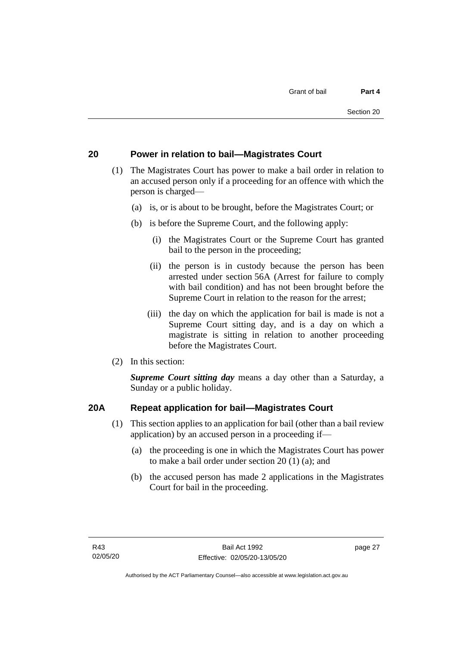## <span id="page-34-0"></span>**20 Power in relation to bail—Magistrates Court**

- (1) The Magistrates Court has power to make a bail order in relation to an accused person only if a proceeding for an offence with which the person is charged—
	- (a) is, or is about to be brought, before the Magistrates Court; or
	- (b) is before the Supreme Court, and the following apply:
		- (i) the Magistrates Court or the Supreme Court has granted bail to the person in the proceeding;
		- (ii) the person is in custody because the person has been arrested under section 56A (Arrest for failure to comply with bail condition) and has not been brought before the Supreme Court in relation to the reason for the arrest;
		- (iii) the day on which the application for bail is made is not a Supreme Court sitting day, and is a day on which a magistrate is sitting in relation to another proceeding before the Magistrates Court.
- (2) In this section:

*Supreme Court sitting day* means a day other than a Saturday, a Sunday or a public holiday.

## <span id="page-34-1"></span>**20A Repeat application for bail—Magistrates Court**

- (1) This section applies to an application for bail (other than a bail review application) by an accused person in a proceeding if—
	- (a) the proceeding is one in which the Magistrates Court has power to make a bail order under section 20 (1) (a); and
	- (b) the accused person has made 2 applications in the Magistrates Court for bail in the proceeding.

page 27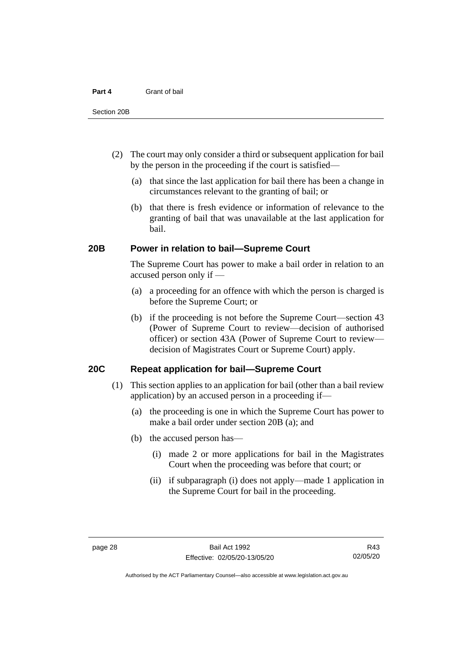- (2) The court may only consider a third or subsequent application for bail by the person in the proceeding if the court is satisfied—
	- (a) that since the last application for bail there has been a change in circumstances relevant to the granting of bail; or
	- (b) that there is fresh evidence or information of relevance to the granting of bail that was unavailable at the last application for bail.

#### <span id="page-35-0"></span>**20B Power in relation to bail—Supreme Court**

The Supreme Court has power to make a bail order in relation to an accused person only if —

- (a) a proceeding for an offence with which the person is charged is before the Supreme Court; or
- (b) if the proceeding is not before the Supreme Court—section 43 (Power of Supreme Court to review—decision of authorised officer) or section 43A (Power of Supreme Court to review decision of Magistrates Court or Supreme Court) apply.

#### <span id="page-35-1"></span>**20C Repeat application for bail—Supreme Court**

- (1) This section applies to an application for bail (other than a bail review application) by an accused person in a proceeding if—
	- (a) the proceeding is one in which the Supreme Court has power to make a bail order under section 20B (a); and
	- (b) the accused person has—
		- (i) made 2 or more applications for bail in the Magistrates Court when the proceeding was before that court; or
		- (ii) if subparagraph (i) does not apply—made 1 application in the Supreme Court for bail in the proceeding.

Authorised by the ACT Parliamentary Counsel—also accessible at www.legislation.act.gov.au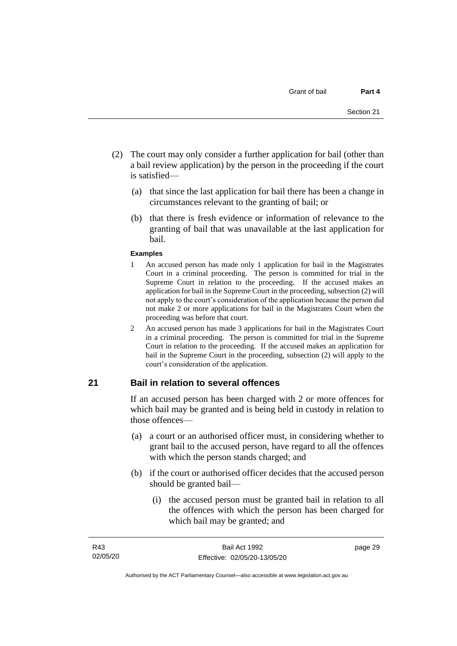- (2) The court may only consider a further application for bail (other than a bail review application) by the person in the proceeding if the court is satisfied—
	- (a) that since the last application for bail there has been a change in circumstances relevant to the granting of bail; or
	- (b) that there is fresh evidence or information of relevance to the granting of bail that was unavailable at the last application for bail.

#### **Examples**

- 1 An accused person has made only 1 application for bail in the Magistrates Court in a criminal proceeding. The person is committed for trial in the Supreme Court in relation to the proceeding. If the accused makes an application for bail in the Supreme Court in the proceeding, subsection (2) will not apply to the court's consideration of the application because the person did not make 2 or more applications for bail in the Magistrates Court when the proceeding was before that court.
- 2 An accused person has made 3 applications for bail in the Magistrates Court in a criminal proceeding. The person is committed for trial in the Supreme Court in relation to the proceeding. If the accused makes an application for bail in the Supreme Court in the proceeding, subsection (2) will apply to the court's consideration of the application.

# **21 Bail in relation to several offences**

If an accused person has been charged with 2 or more offences for which bail may be granted and is being held in custody in relation to those offences—

- (a) a court or an authorised officer must, in considering whether to grant bail to the accused person, have regard to all the offences with which the person stands charged; and
- (b) if the court or authorised officer decides that the accused person should be granted bail—
	- (i) the accused person must be granted bail in relation to all the offences with which the person has been charged for which bail may be granted; and

page 29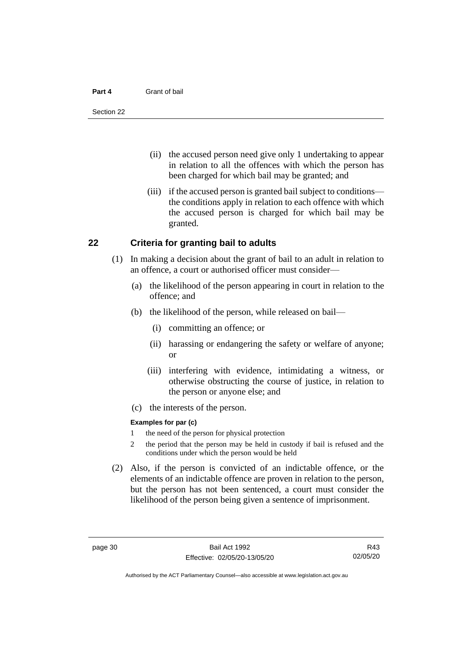#### **Part 4** Grant of bail

- (ii) the accused person need give only 1 undertaking to appear in relation to all the offences with which the person has been charged for which bail may be granted; and
- (iii) if the accused person is granted bail subject to conditions the conditions apply in relation to each offence with which the accused person is charged for which bail may be granted.

### **22 Criteria for granting bail to adults**

- (1) In making a decision about the grant of bail to an adult in relation to an offence, a court or authorised officer must consider—
	- (a) the likelihood of the person appearing in court in relation to the offence; and
	- (b) the likelihood of the person, while released on bail—
		- (i) committing an offence; or
		- (ii) harassing or endangering the safety or welfare of anyone; or
		- (iii) interfering with evidence, intimidating a witness, or otherwise obstructing the course of justice, in relation to the person or anyone else; and
	- (c) the interests of the person.

#### **Examples for par (c)**

- 1 the need of the person for physical protection
- 2 the period that the person may be held in custody if bail is refused and the conditions under which the person would be held
- (2) Also, if the person is convicted of an indictable offence, or the elements of an indictable offence are proven in relation to the person, but the person has not been sentenced, a court must consider the likelihood of the person being given a sentence of imprisonment.

R43 02/05/20

Authorised by the ACT Parliamentary Counsel—also accessible at www.legislation.act.gov.au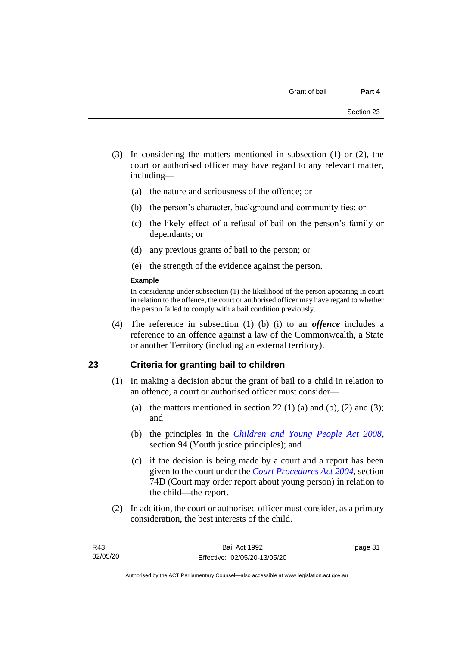- (3) In considering the matters mentioned in subsection (1) or (2), the court or authorised officer may have regard to any relevant matter, including—
	- (a) the nature and seriousness of the offence; or
	- (b) the person's character, background and community ties; or
	- (c) the likely effect of a refusal of bail on the person's family or dependants; or
	- (d) any previous grants of bail to the person; or
	- (e) the strength of the evidence against the person.

#### **Example**

In considering under subsection (1) the likelihood of the person appearing in court in relation to the offence, the court or authorised officer may have regard to whether the person failed to comply with a bail condition previously.

(4) The reference in subsection (1) (b) (i) to an *offence* includes a reference to an offence against a law of the Commonwealth, a State or another Territory (including an external territory).

# **23 Criteria for granting bail to children**

- (1) In making a decision about the grant of bail to a child in relation to an offence, a court or authorised officer must consider—
	- (a) the matters mentioned in section 22 (1) (a) and (b), (2) and (3); and
	- (b) the principles in the *[Children and Young People Act 2008](http://www.legislation.act.gov.au/a/2008-19)*, section 94 (Youth justice principles); and
	- (c) if the decision is being made by a court and a report has been given to the court under the *[Court Procedures Act 2004](http://www.legislation.act.gov.au/a/2004-59)*, section 74D (Court may order report about young person) in relation to the child—the report.
- (2) In addition, the court or authorised officer must consider, as a primary consideration, the best interests of the child.

page 31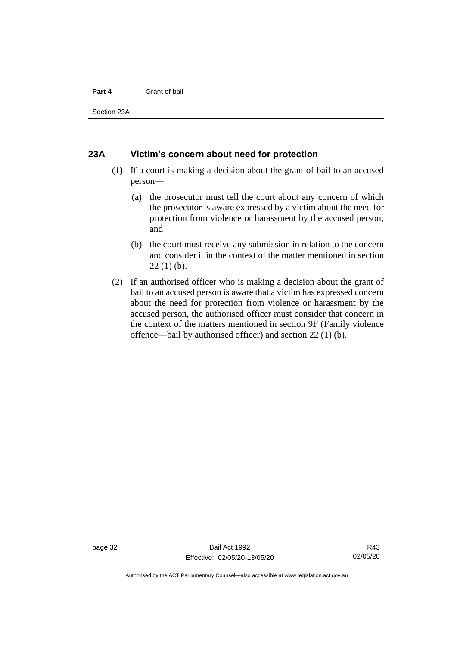#### **Part 4** Grant of bail

Section 23A

### **23A Victim's concern about need for protection**

- (1) If a court is making a decision about the grant of bail to an accused person—
	- (a) the prosecutor must tell the court about any concern of which the prosecutor is aware expressed by a victim about the need for protection from violence or harassment by the accused person; and
	- (b) the court must receive any submission in relation to the concern and consider it in the context of the matter mentioned in section  $22(1)$  (b).
- (2) If an authorised officer who is making a decision about the grant of bail to an accused person is aware that a victim has expressed concern about the need for protection from violence or harassment by the accused person, the authorised officer must consider that concern in the context of the matters mentioned in section 9F (Family violence offence—bail by authorised officer) and section 22 (1) (b).

Authorised by the ACT Parliamentary Counsel—also accessible at www.legislation.act.gov.au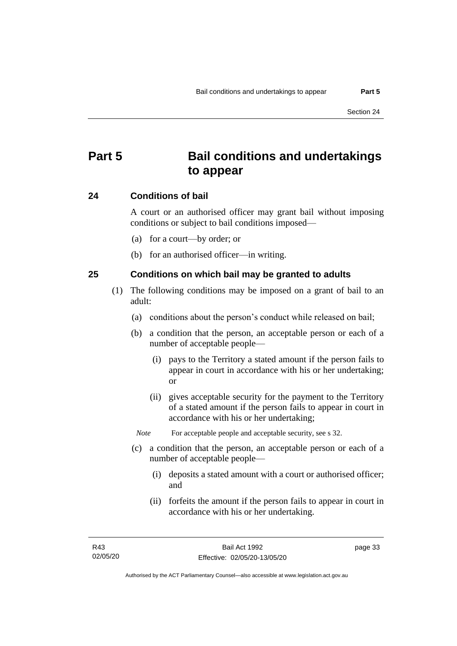# **Part 5 Bail conditions and undertakings to appear**

### **24 Conditions of bail**

A court or an authorised officer may grant bail without imposing conditions or subject to bail conditions imposed—

- (a) for a court—by order; or
- (b) for an authorised officer—in writing.

# **25 Conditions on which bail may be granted to adults**

- (1) The following conditions may be imposed on a grant of bail to an adult:
	- (a) conditions about the person's conduct while released on bail;
	- (b) a condition that the person, an acceptable person or each of a number of acceptable people—
		- (i) pays to the Territory a stated amount if the person fails to appear in court in accordance with his or her undertaking; or
		- (ii) gives acceptable security for the payment to the Territory of a stated amount if the person fails to appear in court in accordance with his or her undertaking;

*Note* For acceptable people and acceptable security, see s 32.

- (c) a condition that the person, an acceptable person or each of a number of acceptable people—
	- (i) deposits a stated amount with a court or authorised officer; and
	- (ii) forfeits the amount if the person fails to appear in court in accordance with his or her undertaking.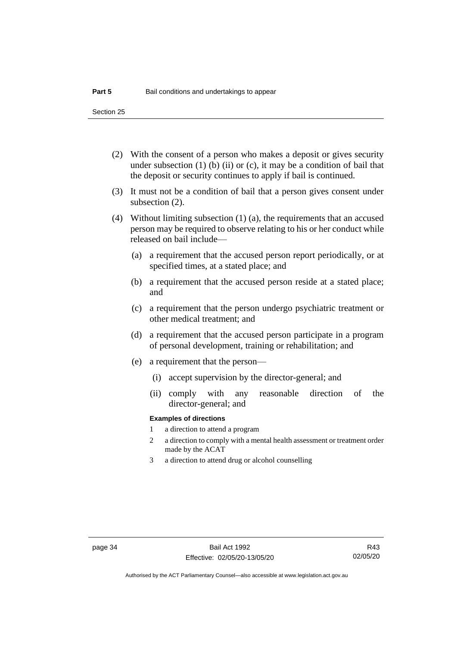- (2) With the consent of a person who makes a deposit or gives security under subsection  $(1)$  (b)  $(ii)$  or  $(c)$ , it may be a condition of bail that the deposit or security continues to apply if bail is continued.
- (3) It must not be a condition of bail that a person gives consent under subsection (2).
- (4) Without limiting subsection (1) (a), the requirements that an accused person may be required to observe relating to his or her conduct while released on bail include—
	- (a) a requirement that the accused person report periodically, or at specified times, at a stated place; and
	- (b) a requirement that the accused person reside at a stated place; and
	- (c) a requirement that the person undergo psychiatric treatment or other medical treatment; and
	- (d) a requirement that the accused person participate in a program of personal development, training or rehabilitation; and
	- (e) a requirement that the person—
		- (i) accept supervision by the director-general; and
		- (ii) comply with any reasonable direction of the director-general; and

#### **Examples of directions**

- 1 a direction to attend a program
- 2 a direction to comply with a mental health assessment or treatment order made by the ACAT
- 3 a direction to attend drug or alcohol counselling

Authorised by the ACT Parliamentary Counsel—also accessible at www.legislation.act.gov.au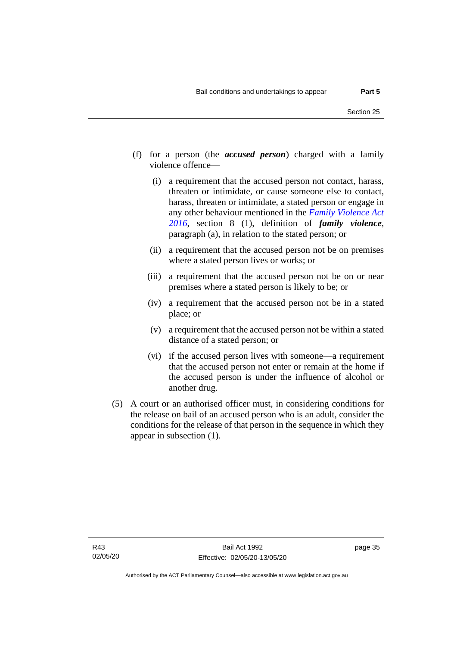- (f) for a person (the *accused person*) charged with a family violence offence—
	- (i) a requirement that the accused person not contact, harass, threaten or intimidate, or cause someone else to contact, harass, threaten or intimidate, a stated person or engage in any other behaviour mentioned in the *[Family Violence Act](http://www.legislation.act.gov.au/a/2016-42)  [2016](http://www.legislation.act.gov.au/a/2016-42)*, section 8 (1), definition of *family violence*, paragraph (a), in relation to the stated person; or
	- (ii) a requirement that the accused person not be on premises where a stated person lives or works; or
	- (iii) a requirement that the accused person not be on or near premises where a stated person is likely to be; or
	- (iv) a requirement that the accused person not be in a stated place; or
	- (v) a requirement that the accused person not be within a stated distance of a stated person; or
	- (vi) if the accused person lives with someone—a requirement that the accused person not enter or remain at the home if the accused person is under the influence of alcohol or another drug.
- (5) A court or an authorised officer must, in considering conditions for the release on bail of an accused person who is an adult, consider the conditions for the release of that person in the sequence in which they appear in subsection (1).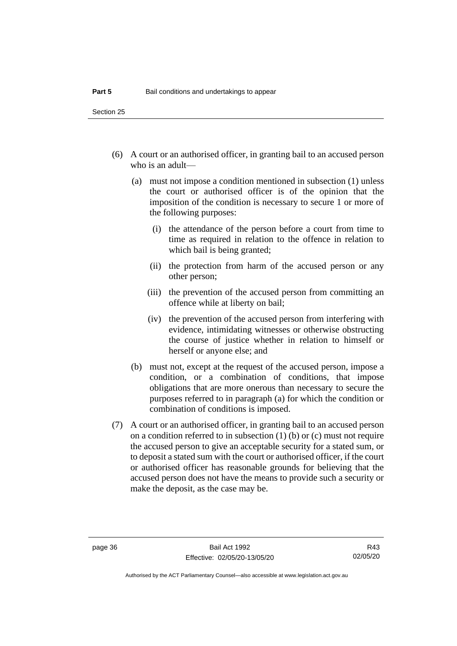- (6) A court or an authorised officer, in granting bail to an accused person who is an adult—
	- (a) must not impose a condition mentioned in subsection (1) unless the court or authorised officer is of the opinion that the imposition of the condition is necessary to secure 1 or more of the following purposes:
		- (i) the attendance of the person before a court from time to time as required in relation to the offence in relation to which bail is being granted;
		- (ii) the protection from harm of the accused person or any other person;
		- (iii) the prevention of the accused person from committing an offence while at liberty on bail;
		- (iv) the prevention of the accused person from interfering with evidence, intimidating witnesses or otherwise obstructing the course of justice whether in relation to himself or herself or anyone else; and
	- (b) must not, except at the request of the accused person, impose a condition, or a combination of conditions, that impose obligations that are more onerous than necessary to secure the purposes referred to in paragraph (a) for which the condition or combination of conditions is imposed.
- (7) A court or an authorised officer, in granting bail to an accused person on a condition referred to in subsection (1) (b) or (c) must not require the accused person to give an acceptable security for a stated sum, or to deposit a stated sum with the court or authorised officer, if the court or authorised officer has reasonable grounds for believing that the accused person does not have the means to provide such a security or make the deposit, as the case may be.

R43 02/05/20

Authorised by the ACT Parliamentary Counsel—also accessible at www.legislation.act.gov.au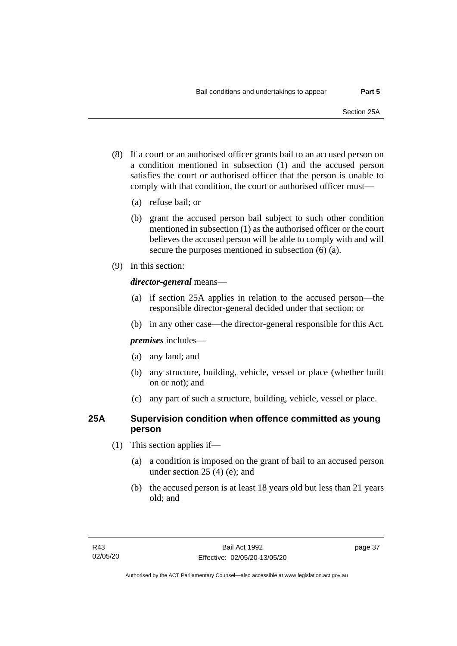- (8) If a court or an authorised officer grants bail to an accused person on a condition mentioned in subsection (1) and the accused person satisfies the court or authorised officer that the person is unable to comply with that condition, the court or authorised officer must—
	- (a) refuse bail; or
	- (b) grant the accused person bail subject to such other condition mentioned in subsection (1) as the authorised officer or the court believes the accused person will be able to comply with and will secure the purposes mentioned in subsection (6) (a).
- (9) In this section:

## *director-general* means—

- (a) if section 25A applies in relation to the accused person—the responsible director-general decided under that section; or
- (b) in any other case—the director-general responsible for this Act.

*premises* includes—

- (a) any land; and
- (b) any structure, building, vehicle, vessel or place (whether built on or not); and
- (c) any part of such a structure, building, vehicle, vessel or place.

# **25A Supervision condition when offence committed as young person**

- (1) This section applies if—
	- (a) a condition is imposed on the grant of bail to an accused person under section 25 (4) (e); and
	- (b) the accused person is at least 18 years old but less than 21 years old; and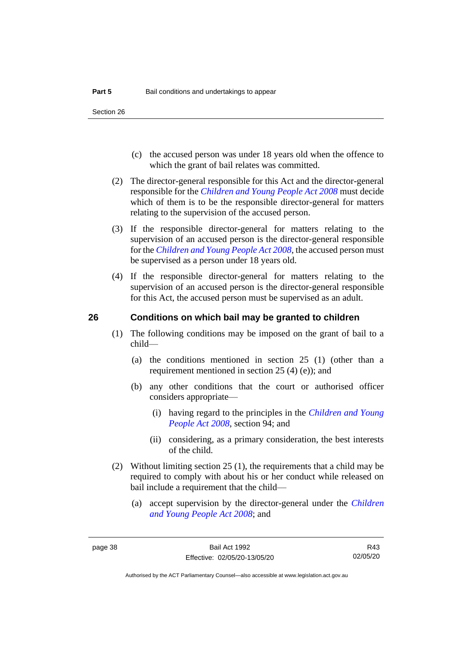- (c) the accused person was under 18 years old when the offence to which the grant of bail relates was committed.
- (2) The director-general responsible for this Act and the director-general responsible for the *[Children and Young People Act 2008](http://www.legislation.act.gov.au/a/2008-19)* must decide which of them is to be the responsible director-general for matters relating to the supervision of the accused person.
- (3) If the responsible director-general for matters relating to the supervision of an accused person is the director-general responsible for the *[Children and Young People Act 2008](http://www.legislation.act.gov.au/a/2008-19)*, the accused person must be supervised as a person under 18 years old.
- (4) If the responsible director-general for matters relating to the supervision of an accused person is the director-general responsible for this Act, the accused person must be supervised as an adult.

### **26 Conditions on which bail may be granted to children**

- (1) The following conditions may be imposed on the grant of bail to a child—
	- (a) the conditions mentioned in section 25 (1) (other than a requirement mentioned in section 25 (4) (e)); and
	- (b) any other conditions that the court or authorised officer considers appropriate—
		- (i) having regard to the principles in the *[Children and Young](http://www.legislation.act.gov.au/a/2008-19)  [People Act 2008](http://www.legislation.act.gov.au/a/2008-19)*, section 94; and
		- (ii) considering, as a primary consideration, the best interests of the child.
- (2) Without limiting section 25 (1), the requirements that a child may be required to comply with about his or her conduct while released on bail include a requirement that the child—
	- (a) accept supervision by the director-general under the *[Children](http://www.legislation.act.gov.au/a/2008-19)  [and Young People Act 2008](http://www.legislation.act.gov.au/a/2008-19)*; and

R43 02/05/20

Authorised by the ACT Parliamentary Counsel—also accessible at www.legislation.act.gov.au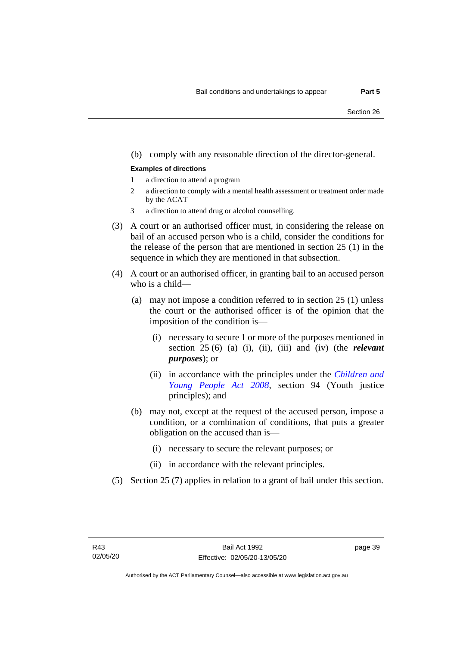#### (b) comply with any reasonable direction of the director-general.

#### **Examples of directions**

- 1 a direction to attend a program
- 2 a direction to comply with a mental health assessment or treatment order made by the ACAT
- 3 a direction to attend drug or alcohol counselling.
- (3) A court or an authorised officer must, in considering the release on bail of an accused person who is a child, consider the conditions for the release of the person that are mentioned in section 25 (1) in the sequence in which they are mentioned in that subsection.
- (4) A court or an authorised officer, in granting bail to an accused person who is a child—
	- (a) may not impose a condition referred to in section 25 (1) unless the court or the authorised officer is of the opinion that the imposition of the condition is—
		- (i) necessary to secure 1 or more of the purposes mentioned in section 25 (6) (a) (i), (ii), (iii) and (iv) (the *relevant purposes*); or
		- (ii) in accordance with the principles under the *[Children and](http://www.legislation.act.gov.au/a/2008-19)  [Young People Act 2008](http://www.legislation.act.gov.au/a/2008-19)*, section 94 (Youth justice principles); and
	- (b) may not, except at the request of the accused person, impose a condition, or a combination of conditions, that puts a greater obligation on the accused than is—
		- (i) necessary to secure the relevant purposes; or
		- (ii) in accordance with the relevant principles.
- (5) Section 25 (7) applies in relation to a grant of bail under this section.

page 39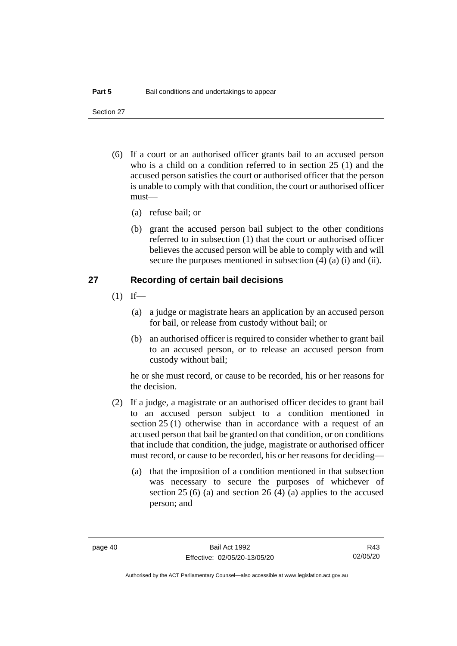- (6) If a court or an authorised officer grants bail to an accused person who is a child on a condition referred to in section 25 (1) and the accused person satisfies the court or authorised officer that the person is unable to comply with that condition, the court or authorised officer must—
	- (a) refuse bail; or
	- (b) grant the accused person bail subject to the other conditions referred to in subsection (1) that the court or authorised officer believes the accused person will be able to comply with and will secure the purposes mentioned in subsection (4) (a) (i) and (ii).

### **27 Recording of certain bail decisions**

- $(1)$  If—
	- (a) a judge or magistrate hears an application by an accused person for bail, or release from custody without bail; or
	- (b) an authorised officer is required to consider whether to grant bail to an accused person, or to release an accused person from custody without bail;

he or she must record, or cause to be recorded, his or her reasons for the decision.

- (2) If a judge, a magistrate or an authorised officer decides to grant bail to an accused person subject to a condition mentioned in section 25 (1) otherwise than in accordance with a request of an accused person that bail be granted on that condition, or on conditions that include that condition, the judge, magistrate or authorised officer must record, or cause to be recorded, his or her reasons for deciding—
	- (a) that the imposition of a condition mentioned in that subsection was necessary to secure the purposes of whichever of section 25 (6) (a) and section 26 (4) (a) applies to the accused person; and

R43 02/05/20

Authorised by the ACT Parliamentary Counsel—also accessible at www.legislation.act.gov.au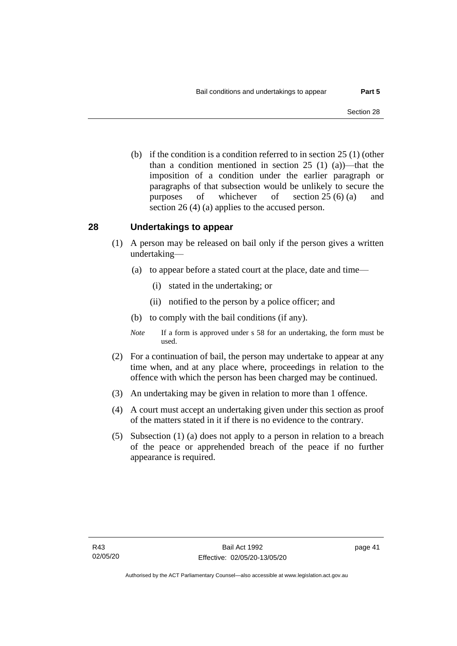(b) if the condition is a condition referred to in section 25 (1) (other than a condition mentioned in section 25 (1) (a))—that the imposition of a condition under the earlier paragraph or paragraphs of that subsection would be unlikely to secure the purposes of whichever of section 25 (6) (a) and section 26 (4) (a) applies to the accused person.

# **28 Undertakings to appear**

- (1) A person may be released on bail only if the person gives a written undertaking—
	- (a) to appear before a stated court at the place, date and time—
		- (i) stated in the undertaking; or
		- (ii) notified to the person by a police officer; and
	- (b) to comply with the bail conditions (if any).
	- *Note* If a form is approved under s 58 for an undertaking, the form must be used.
- (2) For a continuation of bail, the person may undertake to appear at any time when, and at any place where, proceedings in relation to the offence with which the person has been charged may be continued.
- (3) An undertaking may be given in relation to more than 1 offence.
- (4) A court must accept an undertaking given under this section as proof of the matters stated in it if there is no evidence to the contrary.
- (5) Subsection (1) (a) does not apply to a person in relation to a breach of the peace or apprehended breach of the peace if no further appearance is required.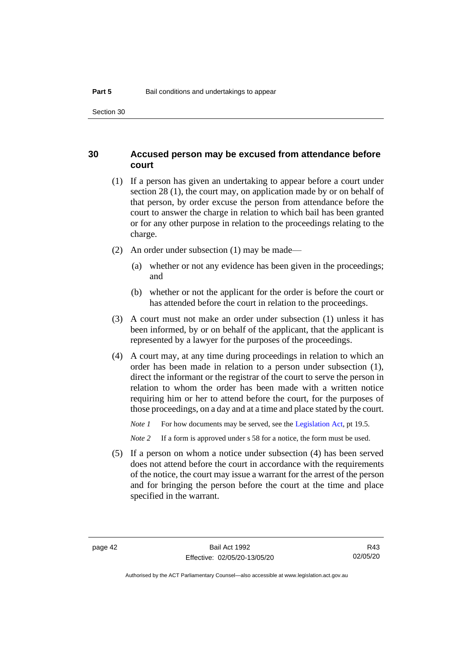## **30 Accused person may be excused from attendance before court**

- (1) If a person has given an undertaking to appear before a court under section 28 (1), the court may, on application made by or on behalf of that person, by order excuse the person from attendance before the court to answer the charge in relation to which bail has been granted or for any other purpose in relation to the proceedings relating to the charge.
- (2) An order under subsection (1) may be made—
	- (a) whether or not any evidence has been given in the proceedings; and
	- (b) whether or not the applicant for the order is before the court or has attended before the court in relation to the proceedings.
- (3) A court must not make an order under subsection (1) unless it has been informed, by or on behalf of the applicant, that the applicant is represented by a lawyer for the purposes of the proceedings.
- (4) A court may, at any time during proceedings in relation to which an order has been made in relation to a person under subsection (1), direct the informant or the registrar of the court to serve the person in relation to whom the order has been made with a written notice requiring him or her to attend before the court, for the purposes of those proceedings, on a day and at a time and place stated by the court.

*Note 1* For how documents may be served, see th[e Legislation Act,](http://www.legislation.act.gov.au/a/2001-14) pt 19.5.

*Note 2* If a form is approved under s 58 for a notice, the form must be used.

(5) If a person on whom a notice under subsection (4) has been served does not attend before the court in accordance with the requirements of the notice, the court may issue a warrant for the arrest of the person and for bringing the person before the court at the time and place specified in the warrant.

R43 02/05/20

Authorised by the ACT Parliamentary Counsel—also accessible at www.legislation.act.gov.au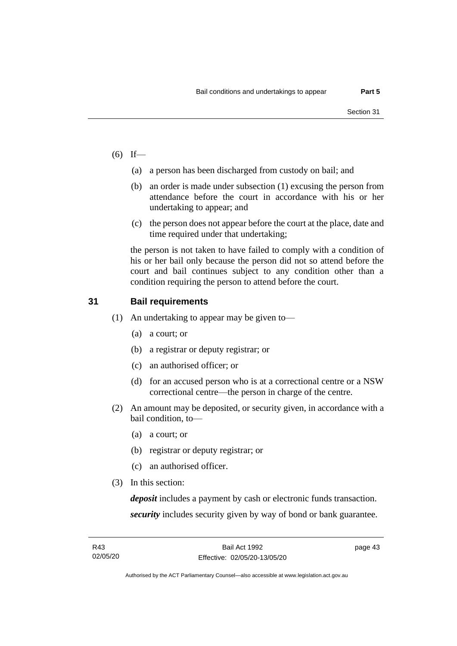- $(6)$  If—
	- (a) a person has been discharged from custody on bail; and
	- (b) an order is made under subsection (1) excusing the person from attendance before the court in accordance with his or her undertaking to appear; and
	- (c) the person does not appear before the court at the place, date and time required under that undertaking;

the person is not taken to have failed to comply with a condition of his or her bail only because the person did not so attend before the court and bail continues subject to any condition other than a condition requiring the person to attend before the court.

# **31 Bail requirements**

- (1) An undertaking to appear may be given to—
	- (a) a court; or
	- (b) a registrar or deputy registrar; or
	- (c) an authorised officer; or
	- (d) for an accused person who is at a correctional centre or a NSW correctional centre—the person in charge of the centre.
- (2) An amount may be deposited, or security given, in accordance with a bail condition, to—
	- (a) a court; or
	- (b) registrar or deputy registrar; or
	- (c) an authorised officer.
- (3) In this section:

*deposit* includes a payment by cash or electronic funds transaction. *security* includes security given by way of bond or bank guarantee.

Authorised by the ACT Parliamentary Counsel—also accessible at www.legislation.act.gov.au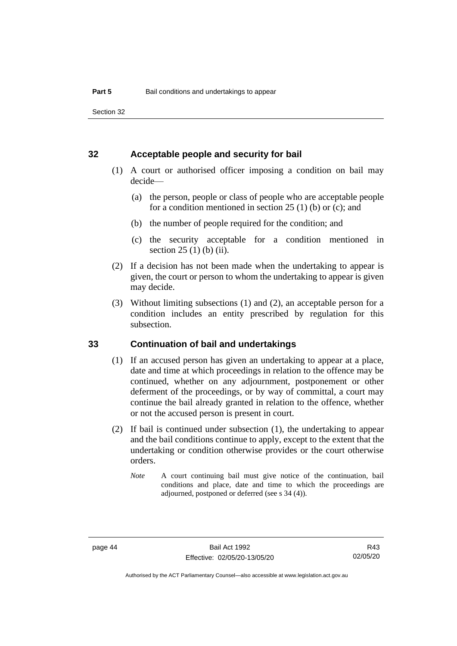### **32 Acceptable people and security for bail**

- (1) A court or authorised officer imposing a condition on bail may decide—
	- (a) the person, people or class of people who are acceptable people for a condition mentioned in section 25 (1) (b) or (c); and
	- (b) the number of people required for the condition; and
	- (c) the security acceptable for a condition mentioned in section 25 (1) (b) (ii).
- (2) If a decision has not been made when the undertaking to appear is given, the court or person to whom the undertaking to appear is given may decide.
- (3) Without limiting subsections (1) and (2), an acceptable person for a condition includes an entity prescribed by regulation for this subsection.

# **33 Continuation of bail and undertakings**

- (1) If an accused person has given an undertaking to appear at a place, date and time at which proceedings in relation to the offence may be continued, whether on any adjournment, postponement or other deferment of the proceedings, or by way of committal, a court may continue the bail already granted in relation to the offence, whether or not the accused person is present in court.
- (2) If bail is continued under subsection (1), the undertaking to appear and the bail conditions continue to apply, except to the extent that the undertaking or condition otherwise provides or the court otherwise orders.
	- *Note* A court continuing bail must give notice of the continuation, bail conditions and place, date and time to which the proceedings are adjourned, postponed or deferred (see s 34 (4)).

R43 02/05/20

Authorised by the ACT Parliamentary Counsel—also accessible at www.legislation.act.gov.au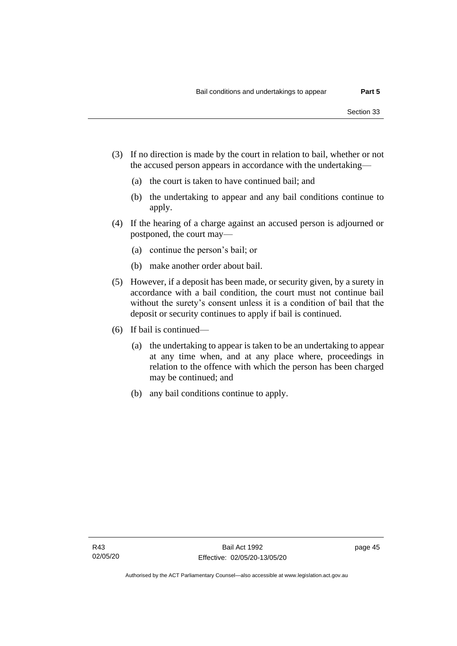- (3) If no direction is made by the court in relation to bail, whether or not the accused person appears in accordance with the undertaking—
	- (a) the court is taken to have continued bail; and
	- (b) the undertaking to appear and any bail conditions continue to apply.
- (4) If the hearing of a charge against an accused person is adjourned or postponed, the court may—
	- (a) continue the person's bail; or
	- (b) make another order about bail.
- (5) However, if a deposit has been made, or security given, by a surety in accordance with a bail condition, the court must not continue bail without the surety's consent unless it is a condition of bail that the deposit or security continues to apply if bail is continued.
- (6) If bail is continued—
	- (a) the undertaking to appear is taken to be an undertaking to appear at any time when, and at any place where, proceedings in relation to the offence with which the person has been charged may be continued; and
	- (b) any bail conditions continue to apply.

page 45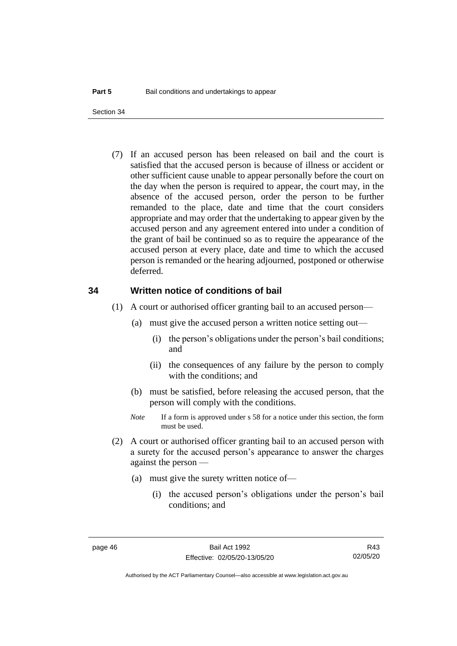(7) If an accused person has been released on bail and the court is satisfied that the accused person is because of illness or accident or other sufficient cause unable to appear personally before the court on the day when the person is required to appear, the court may, in the absence of the accused person, order the person to be further remanded to the place, date and time that the court considers appropriate and may order that the undertaking to appear given by the accused person and any agreement entered into under a condition of the grant of bail be continued so as to require the appearance of the accused person at every place, date and time to which the accused person is remanded or the hearing adjourned, postponed or otherwise deferred.

#### **34 Written notice of conditions of bail**

- (1) A court or authorised officer granting bail to an accused person—
	- (a) must give the accused person a written notice setting out—
		- (i) the person's obligations under the person's bail conditions; and
		- (ii) the consequences of any failure by the person to comply with the conditions; and
	- (b) must be satisfied, before releasing the accused person, that the person will comply with the conditions.
	- *Note* If a form is approved under s 58 for a notice under this section, the form must be used.
- (2) A court or authorised officer granting bail to an accused person with a surety for the accused person's appearance to answer the charges against the person —
	- (a) must give the surety written notice of—
		- (i) the accused person's obligations under the person's bail conditions; and

Authorised by the ACT Parliamentary Counsel—also accessible at www.legislation.act.gov.au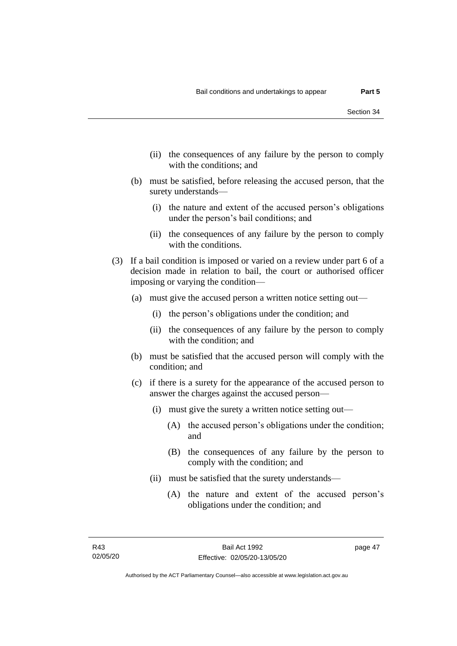- (ii) the consequences of any failure by the person to comply with the conditions; and
- (b) must be satisfied, before releasing the accused person, that the surety understands—
	- (i) the nature and extent of the accused person's obligations under the person's bail conditions; and
	- (ii) the consequences of any failure by the person to comply with the conditions.
- (3) If a bail condition is imposed or varied on a review under part 6 of a decision made in relation to bail, the court or authorised officer imposing or varying the condition—
	- (a) must give the accused person a written notice setting out—
		- (i) the person's obligations under the condition; and
		- (ii) the consequences of any failure by the person to comply with the condition; and
	- (b) must be satisfied that the accused person will comply with the condition; and
	- (c) if there is a surety for the appearance of the accused person to answer the charges against the accused person—
		- (i) must give the surety a written notice setting out—
			- (A) the accused person's obligations under the condition; and
			- (B) the consequences of any failure by the person to comply with the condition; and
		- (ii) must be satisfied that the surety understands—
			- (A) the nature and extent of the accused person's obligations under the condition; and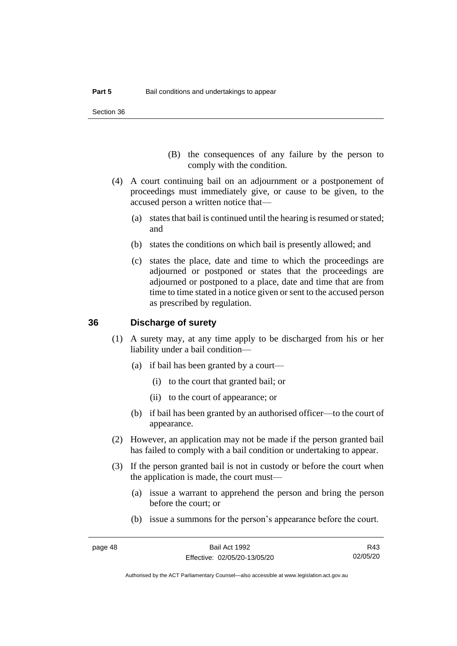- (B) the consequences of any failure by the person to comply with the condition.
- (4) A court continuing bail on an adjournment or a postponement of proceedings must immediately give, or cause to be given, to the accused person a written notice that—
	- (a) states that bail is continued until the hearing is resumed or stated; and
	- (b) states the conditions on which bail is presently allowed; and
	- (c) states the place, date and time to which the proceedings are adjourned or postponed or states that the proceedings are adjourned or postponed to a place, date and time that are from time to time stated in a notice given or sent to the accused person as prescribed by regulation.

## **36 Discharge of surety**

- (1) A surety may, at any time apply to be discharged from his or her liability under a bail condition—
	- (a) if bail has been granted by a court—
		- (i) to the court that granted bail; or
		- (ii) to the court of appearance; or
	- (b) if bail has been granted by an authorised officer—to the court of appearance.
- (2) However, an application may not be made if the person granted bail has failed to comply with a bail condition or undertaking to appear.
- (3) If the person granted bail is not in custody or before the court when the application is made, the court must—
	- (a) issue a warrant to apprehend the person and bring the person before the court; or
	- (b) issue a summons for the person's appearance before the court.

R43 02/05/20

Authorised by the ACT Parliamentary Counsel—also accessible at www.legislation.act.gov.au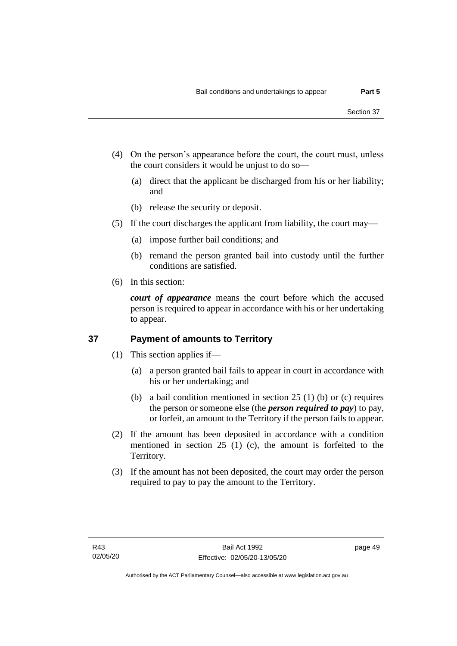- (4) On the person's appearance before the court, the court must, unless the court considers it would be unjust to do so—
	- (a) direct that the applicant be discharged from his or her liability; and
	- (b) release the security or deposit.
- (5) If the court discharges the applicant from liability, the court may—
	- (a) impose further bail conditions; and
	- (b) remand the person granted bail into custody until the further conditions are satisfied.
- (6) In this section:

*court of appearance* means the court before which the accused person is required to appear in accordance with his or her undertaking to appear.

# **37 Payment of amounts to Territory**

- (1) This section applies if—
	- (a) a person granted bail fails to appear in court in accordance with his or her undertaking; and
	- (b) a bail condition mentioned in section 25 (1) (b) or (c) requires the person or someone else (the *person required to pay*) to pay, or forfeit, an amount to the Territory if the person fails to appear.
- (2) If the amount has been deposited in accordance with a condition mentioned in section 25 (1) (c), the amount is forfeited to the Territory.
- (3) If the amount has not been deposited, the court may order the person required to pay to pay the amount to the Territory.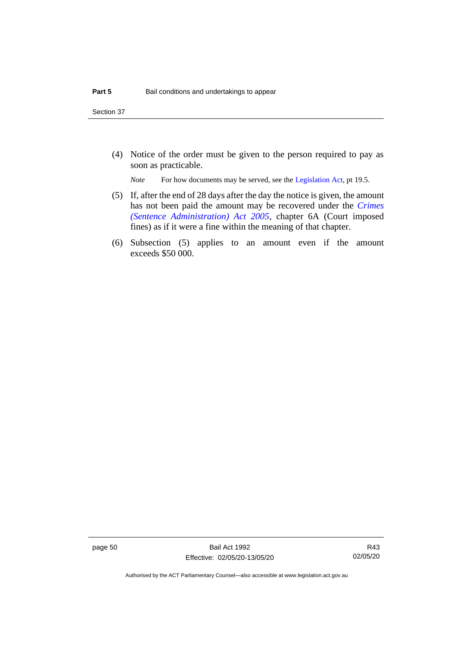(4) Notice of the order must be given to the person required to pay as soon as practicable.

*Note* For how documents may be served, see th[e Legislation Act,](http://www.legislation.act.gov.au/a/2001-14) pt 19.5.

- (5) If, after the end of 28 days after the day the notice is given, the amount has not been paid the amount may be recovered under the *[Crimes](http://www.legislation.act.gov.au/a/2005-59)  [\(Sentence Administration\) Act 2005](http://www.legislation.act.gov.au/a/2005-59)*, chapter 6A (Court imposed fines) as if it were a fine within the meaning of that chapter.
- (6) Subsection (5) applies to an amount even if the amount exceeds \$50 000.

page 50 Bail Act 1992 Effective: 02/05/20-13/05/20

R43 02/05/20

Authorised by the ACT Parliamentary Counsel—also accessible at www.legislation.act.gov.au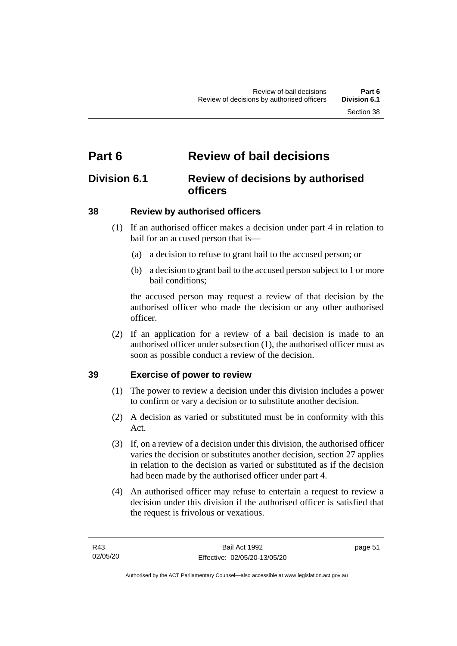# **Part 6 Review of bail decisions**

# **Division 6.1 Review of decisions by authorised officers**

# **38 Review by authorised officers**

- (1) If an authorised officer makes a decision under part 4 in relation to bail for an accused person that is—
	- (a) a decision to refuse to grant bail to the accused person; or
	- (b) a decision to grant bail to the accused person subject to 1 or more bail conditions;

the accused person may request a review of that decision by the authorised officer who made the decision or any other authorised officer.

(2) If an application for a review of a bail decision is made to an authorised officer under subsection (1), the authorised officer must as soon as possible conduct a review of the decision.

# **39 Exercise of power to review**

- (1) The power to review a decision under this division includes a power to confirm or vary a decision or to substitute another decision.
- (2) A decision as varied or substituted must be in conformity with this Act.
- (3) If, on a review of a decision under this division, the authorised officer varies the decision or substitutes another decision, section 27 applies in relation to the decision as varied or substituted as if the decision had been made by the authorised officer under part 4.
- (4) An authorised officer may refuse to entertain a request to review a decision under this division if the authorised officer is satisfied that the request is frivolous or vexatious.

page 51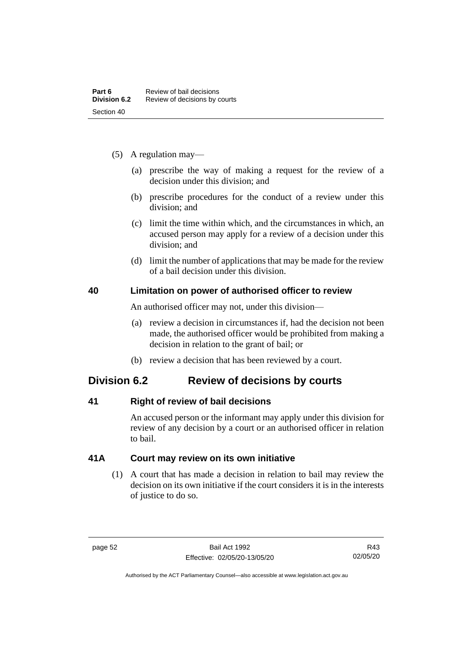- (5) A regulation may—
	- (a) prescribe the way of making a request for the review of a decision under this division; and
	- (b) prescribe procedures for the conduct of a review under this division; and
	- (c) limit the time within which, and the circumstances in which, an accused person may apply for a review of a decision under this division; and
	- (d) limit the number of applications that may be made for the review of a bail decision under this division.

# **40 Limitation on power of authorised officer to review**

An authorised officer may not, under this division—

- (a) review a decision in circumstances if, had the decision not been made, the authorised officer would be prohibited from making a decision in relation to the grant of bail; or
- (b) review a decision that has been reviewed by a court.

# **Division 6.2 Review of decisions by courts**

# **41 Right of review of bail decisions**

An accused person or the informant may apply under this division for review of any decision by a court or an authorised officer in relation to bail.

# **41A Court may review on its own initiative**

(1) A court that has made a decision in relation to bail may review the decision on its own initiative if the court considers it is in the interests of justice to do so.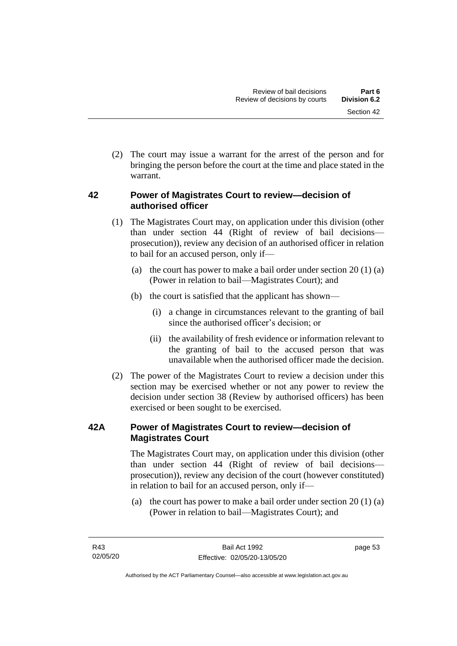(2) The court may issue a warrant for the arrest of the person and for bringing the person before the court at the time and place stated in the warrant.

# **42 Power of Magistrates Court to review—decision of authorised officer**

- (1) The Magistrates Court may, on application under this division (other than under section 44 (Right of review of bail decisions prosecution)), review any decision of an authorised officer in relation to bail for an accused person, only if—
	- (a) the court has power to make a bail order under section  $20(1)(a)$ (Power in relation to bail—Magistrates Court); and
	- (b) the court is satisfied that the applicant has shown—
		- (i) a change in circumstances relevant to the granting of bail since the authorised officer's decision; or
		- (ii) the availability of fresh evidence or information relevant to the granting of bail to the accused person that was unavailable when the authorised officer made the decision.
- (2) The power of the Magistrates Court to review a decision under this section may be exercised whether or not any power to review the decision under section 38 (Review by authorised officers) has been exercised or been sought to be exercised.

# **42A Power of Magistrates Court to review—decision of Magistrates Court**

The Magistrates Court may, on application under this division (other than under section 44 (Right of review of bail decisions prosecution)), review any decision of the court (however constituted) in relation to bail for an accused person, only if—

(a) the court has power to make a bail order under section 20 (1) (a) (Power in relation to bail—Magistrates Court); and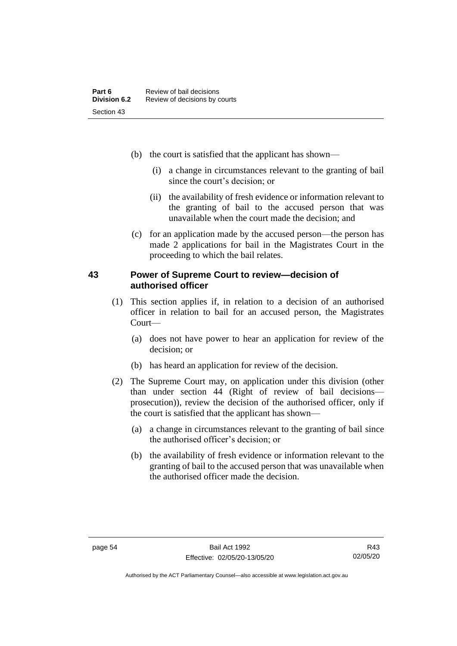- (b) the court is satisfied that the applicant has shown—
	- (i) a change in circumstances relevant to the granting of bail since the court's decision; or
	- (ii) the availability of fresh evidence or information relevant to the granting of bail to the accused person that was unavailable when the court made the decision; and
- (c) for an application made by the accused person—the person has made 2 applications for bail in the Magistrates Court in the proceeding to which the bail relates.

# **43 Power of Supreme Court to review—decision of authorised officer**

- (1) This section applies if, in relation to a decision of an authorised officer in relation to bail for an accused person, the Magistrates Court—
	- (a) does not have power to hear an application for review of the decision; or
	- (b) has heard an application for review of the decision.
- (2) The Supreme Court may, on application under this division (other than under section 44 (Right of review of bail decisions prosecution)), review the decision of the authorised officer, only if the court is satisfied that the applicant has shown—
	- (a) a change in circumstances relevant to the granting of bail since the authorised officer's decision; or
	- (b) the availability of fresh evidence or information relevant to the granting of bail to the accused person that was unavailable when the authorised officer made the decision.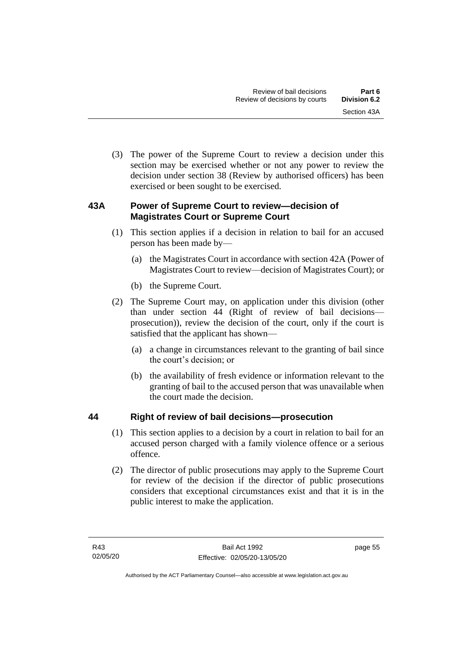(3) The power of the Supreme Court to review a decision under this section may be exercised whether or not any power to review the decision under section 38 (Review by authorised officers) has been exercised or been sought to be exercised.

# **43A Power of Supreme Court to review—decision of Magistrates Court or Supreme Court**

- (1) This section applies if a decision in relation to bail for an accused person has been made by—
	- (a) the Magistrates Court in accordance with section 42A (Power of Magistrates Court to review—decision of Magistrates Court); or
	- (b) the Supreme Court.
- (2) The Supreme Court may, on application under this division (other than under section 44 (Right of review of bail decisions prosecution)), review the decision of the court, only if the court is satisfied that the applicant has shown—
	- (a) a change in circumstances relevant to the granting of bail since the court's decision; or
	- (b) the availability of fresh evidence or information relevant to the granting of bail to the accused person that was unavailable when the court made the decision.

# **44 Right of review of bail decisions—prosecution**

- (1) This section applies to a decision by a court in relation to bail for an accused person charged with a family violence offence or a serious offence.
- (2) The director of public prosecutions may apply to the Supreme Court for review of the decision if the director of public prosecutions considers that exceptional circumstances exist and that it is in the public interest to make the application.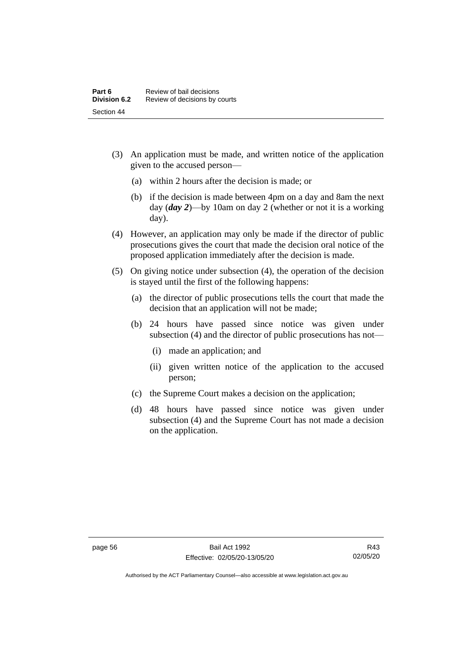- (3) An application must be made, and written notice of the application given to the accused person—
	- (a) within 2 hours after the decision is made; or
	- (b) if the decision is made between 4pm on a day and 8am the next day (*day 2*)—by 10am on day 2 (whether or not it is a working day).
- (4) However, an application may only be made if the director of public prosecutions gives the court that made the decision oral notice of the proposed application immediately after the decision is made.
- (5) On giving notice under subsection (4), the operation of the decision is stayed until the first of the following happens:
	- (a) the director of public prosecutions tells the court that made the decision that an application will not be made;
	- (b) 24 hours have passed since notice was given under subsection (4) and the director of public prosecutions has not—
		- (i) made an application; and
		- (ii) given written notice of the application to the accused person;
	- (c) the Supreme Court makes a decision on the application;
	- (d) 48 hours have passed since notice was given under subsection (4) and the Supreme Court has not made a decision on the application.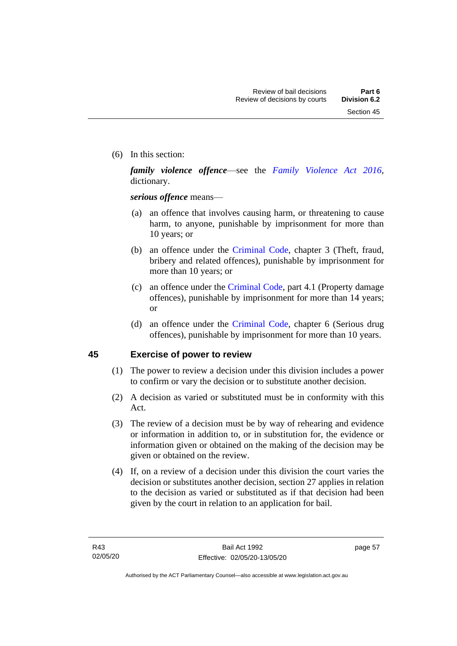(6) In this section:

*family violence offence*—see the *[Family Violence Act 2016](http://www.legislation.act.gov.au/a/2016-42)*, dictionary.

*serious offence* means—

- (a) an offence that involves causing harm, or threatening to cause harm, to anyone, punishable by imprisonment for more than 10 years; or
- (b) an offence under the [Criminal Code,](http://www.legislation.act.gov.au/a/2002-51) chapter 3 (Theft, fraud, bribery and related offences), punishable by imprisonment for more than 10 years; or
- (c) an offence under the [Criminal Code,](http://www.legislation.act.gov.au/a/2002-51) part 4.1 (Property damage offences), punishable by imprisonment for more than 14 years; or
- (d) an offence under the [Criminal Code,](http://www.legislation.act.gov.au/a/2002-51) chapter 6 (Serious drug offences), punishable by imprisonment for more than 10 years.

# **45 Exercise of power to review**

- (1) The power to review a decision under this division includes a power to confirm or vary the decision or to substitute another decision.
- (2) A decision as varied or substituted must be in conformity with this Act.
- (3) The review of a decision must be by way of rehearing and evidence or information in addition to, or in substitution for, the evidence or information given or obtained on the making of the decision may be given or obtained on the review.
- (4) If, on a review of a decision under this division the court varies the decision or substitutes another decision, section 27 applies in relation to the decision as varied or substituted as if that decision had been given by the court in relation to an application for bail.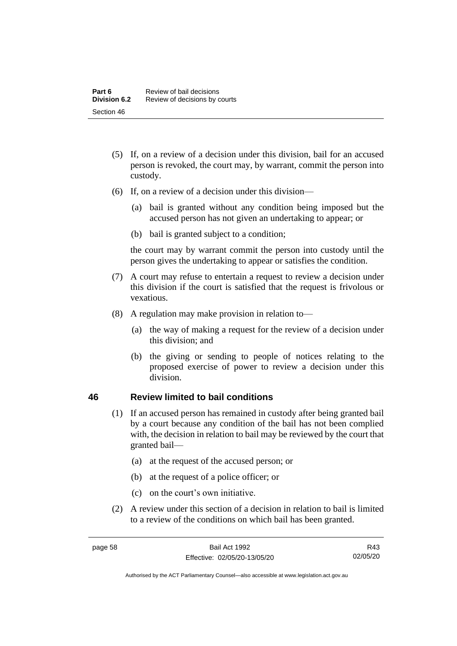- (5) If, on a review of a decision under this division, bail for an accused person is revoked, the court may, by warrant, commit the person into custody.
- (6) If, on a review of a decision under this division—
	- (a) bail is granted without any condition being imposed but the accused person has not given an undertaking to appear; or
	- (b) bail is granted subject to a condition;

the court may by warrant commit the person into custody until the person gives the undertaking to appear or satisfies the condition.

- (7) A court may refuse to entertain a request to review a decision under this division if the court is satisfied that the request is frivolous or vexatious.
- (8) A regulation may make provision in relation to—
	- (a) the way of making a request for the review of a decision under this division; and
	- (b) the giving or sending to people of notices relating to the proposed exercise of power to review a decision under this division.

# **46 Review limited to bail conditions**

- (1) If an accused person has remained in custody after being granted bail by a court because any condition of the bail has not been complied with, the decision in relation to bail may be reviewed by the court that granted bail—
	- (a) at the request of the accused person; or
	- (b) at the request of a police officer; or
	- (c) on the court's own initiative.
- (2) A review under this section of a decision in relation to bail is limited to a review of the conditions on which bail has been granted.

R43 02/05/20

Authorised by the ACT Parliamentary Counsel—also accessible at www.legislation.act.gov.au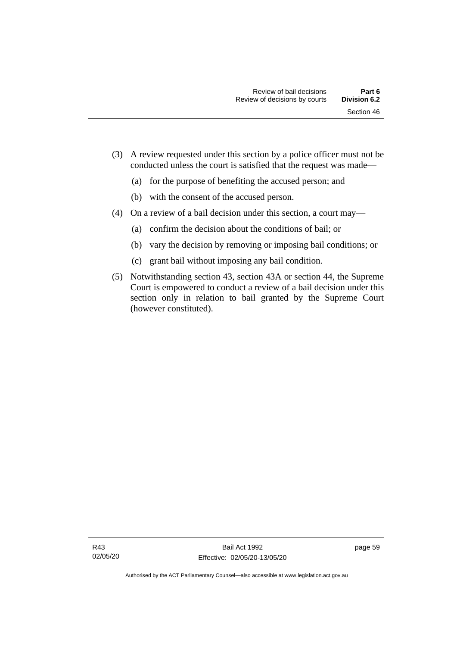- (a) for the purpose of benefiting the accused person; and
- (b) with the consent of the accused person.
- (4) On a review of a bail decision under this section, a court may—
	- (a) confirm the decision about the conditions of bail; or
	- (b) vary the decision by removing or imposing bail conditions; or
	- (c) grant bail without imposing any bail condition.
- (5) Notwithstanding section 43, section 43A or section 44, the Supreme Court is empowered to conduct a review of a bail decision under this section only in relation to bail granted by the Supreme Court (however constituted).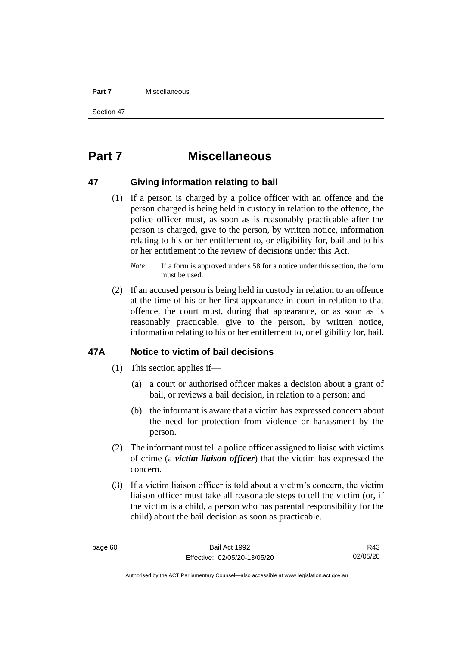#### **Part 7** Miscellaneous

Section 47

# **Part 7 Miscellaneous**

## **47 Giving information relating to bail**

(1) If a person is charged by a police officer with an offence and the person charged is being held in custody in relation to the offence, the police officer must, as soon as is reasonably practicable after the person is charged, give to the person, by written notice, information relating to his or her entitlement to, or eligibility for, bail and to his or her entitlement to the review of decisions under this Act.

(2) If an accused person is being held in custody in relation to an offence at the time of his or her first appearance in court in relation to that offence, the court must, during that appearance, or as soon as is reasonably practicable, give to the person, by written notice, information relating to his or her entitlement to, or eligibility for, bail.

# **47A Notice to victim of bail decisions**

- (1) This section applies if—
	- (a) a court or authorised officer makes a decision about a grant of bail, or reviews a bail decision, in relation to a person; and
	- (b) the informant is aware that a victim has expressed concern about the need for protection from violence or harassment by the person.
- (2) The informant must tell a police officer assigned to liaise with victims of crime (a *victim liaison officer*) that the victim has expressed the concern.
- (3) If a victim liaison officer is told about a victim's concern, the victim liaison officer must take all reasonable steps to tell the victim (or, if the victim is a child, a person who has parental responsibility for the child) about the bail decision as soon as practicable.

R43 02/05/20

*Note* If a form is approved under s 58 for a notice under this section, the form must be used.

Authorised by the ACT Parliamentary Counsel—also accessible at www.legislation.act.gov.au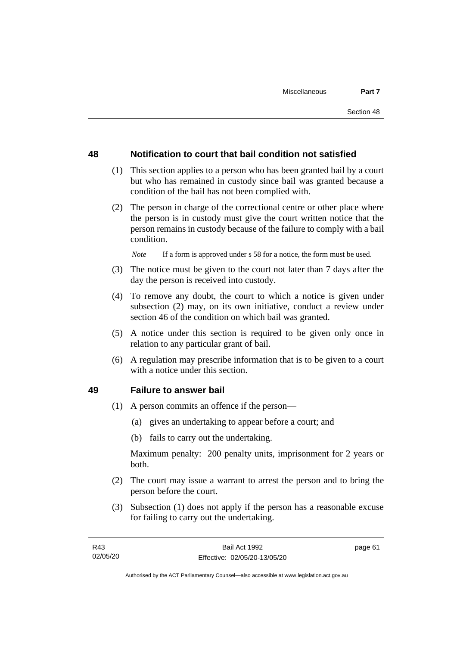# **48 Notification to court that bail condition not satisfied**

- (1) This section applies to a person who has been granted bail by a court but who has remained in custody since bail was granted because a condition of the bail has not been complied with.
- (2) The person in charge of the correctional centre or other place where the person is in custody must give the court written notice that the person remains in custody because of the failure to comply with a bail condition.

*Note* If a form is approved under s 58 for a notice, the form must be used.

- (3) The notice must be given to the court not later than 7 days after the day the person is received into custody.
- (4) To remove any doubt, the court to which a notice is given under subsection (2) may, on its own initiative, conduct a review under section 46 of the condition on which bail was granted.
- (5) A notice under this section is required to be given only once in relation to any particular grant of bail.
- (6) A regulation may prescribe information that is to be given to a court with a notice under this section.

#### **49 Failure to answer bail**

- (1) A person commits an offence if the person—
	- (a) gives an undertaking to appear before a court; and
	- (b) fails to carry out the undertaking.

Maximum penalty: 200 penalty units, imprisonment for 2 years or both.

- (2) The court may issue a warrant to arrest the person and to bring the person before the court.
- (3) Subsection (1) does not apply if the person has a reasonable excuse for failing to carry out the undertaking.

page 61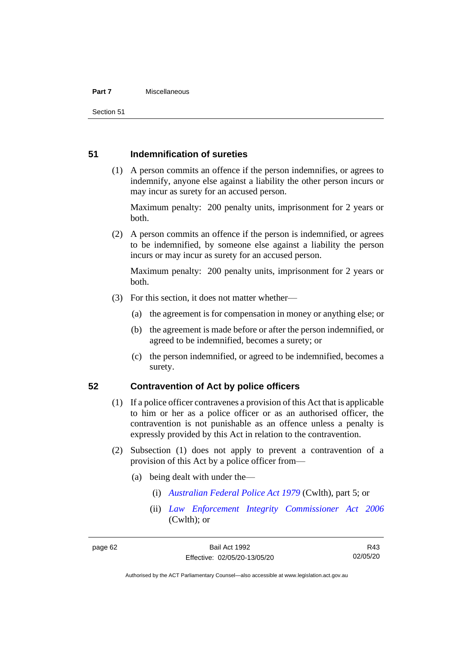#### **Part 7** Miscellaneous

Section 51

## **51 Indemnification of sureties**

(1) A person commits an offence if the person indemnifies, or agrees to indemnify, anyone else against a liability the other person incurs or may incur as surety for an accused person.

Maximum penalty: 200 penalty units, imprisonment for 2 years or both.

(2) A person commits an offence if the person is indemnified, or agrees to be indemnified, by someone else against a liability the person incurs or may incur as surety for an accused person.

Maximum penalty: 200 penalty units, imprisonment for 2 years or both.

- (3) For this section, it does not matter whether—
	- (a) the agreement is for compensation in money or anything else; or
	- (b) the agreement is made before or after the person indemnified, or agreed to be indemnified, becomes a surety; or
	- (c) the person indemnified, or agreed to be indemnified, becomes a surety.

### **52 Contravention of Act by police officers**

- (1) If a police officer contravenes a provision of this Act that is applicable to him or her as a police officer or as an authorised officer, the contravention is not punishable as an offence unless a penalty is expressly provided by this Act in relation to the contravention.
- (2) Subsection (1) does not apply to prevent a contravention of a provision of this Act by a police officer from—
	- (a) being dealt with under the—
		- (i) *[Australian Federal Police Act 1979](http://www.comlaw.gov.au/Series/C2004A02068)* (Cwlth), part 5; or
		- (ii) *[Law Enforcement Integrity Commissioner Act 2006](http://www.comlaw.gov.au/Series/C2006A00085)* (Cwlth); or

R43 02/05/20

Authorised by the ACT Parliamentary Counsel—also accessible at www.legislation.act.gov.au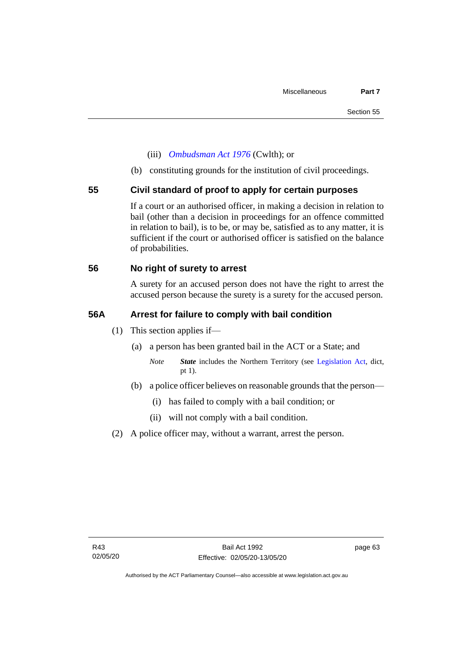- (iii) *[Ombudsman Act 1976](http://www.comlaw.gov.au/Series/C2004A01611)* (Cwlth); or
- (b) constituting grounds for the institution of civil proceedings.

### **55 Civil standard of proof to apply for certain purposes**

If a court or an authorised officer, in making a decision in relation to bail (other than a decision in proceedings for an offence committed in relation to bail), is to be, or may be, satisfied as to any matter, it is sufficient if the court or authorised officer is satisfied on the balance of probabilities.

# **56 No right of surety to arrest**

A surety for an accused person does not have the right to arrest the accused person because the surety is a surety for the accused person.

### **56A Arrest for failure to comply with bail condition**

- (1) This section applies if—
	- (a) a person has been granted bail in the ACT or a State; and
		- *Note State* includes the Northern Territory (see [Legislation Act,](http://www.legislation.act.gov.au/a/2001-14) dict, pt 1).
	- (b) a police officer believes on reasonable grounds that the person—
		- (i) has failed to comply with a bail condition; or
		- (ii) will not comply with a bail condition.
- (2) A police officer may, without a warrant, arrest the person.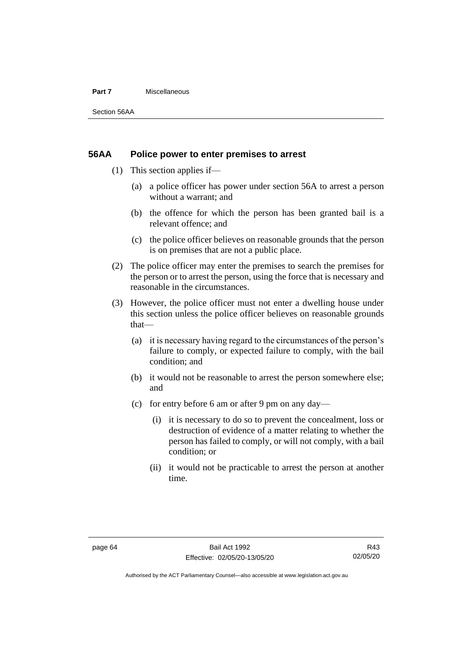#### **Part 7** Miscellaneous

Section 56AA

### **56AA Police power to enter premises to arrest**

- (1) This section applies if—
	- (a) a police officer has power under section 56A to arrest a person without a warrant; and
	- (b) the offence for which the person has been granted bail is a relevant offence; and
	- (c) the police officer believes on reasonable grounds that the person is on premises that are not a public place.
- (2) The police officer may enter the premises to search the premises for the person or to arrest the person, using the force that is necessary and reasonable in the circumstances.
- (3) However, the police officer must not enter a dwelling house under this section unless the police officer believes on reasonable grounds that—
	- (a) it is necessary having regard to the circumstances of the person's failure to comply, or expected failure to comply, with the bail condition; and
	- (b) it would not be reasonable to arrest the person somewhere else; and
	- (c) for entry before 6 am or after 9 pm on any day—
		- (i) it is necessary to do so to prevent the concealment, loss or destruction of evidence of a matter relating to whether the person has failed to comply, or will not comply, with a bail condition; or
		- (ii) it would not be practicable to arrest the person at another time.

Authorised by the ACT Parliamentary Counsel—also accessible at www.legislation.act.gov.au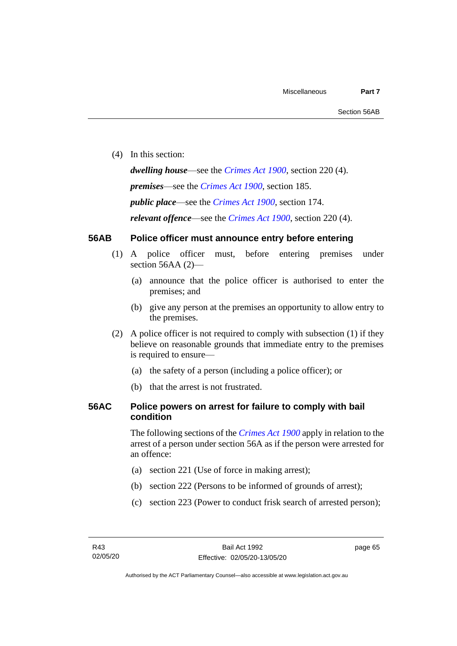(4) In this section:

*dwelling house*—see the *[Crimes Act](http://www.legislation.act.gov.au/a/1900-40) 1900*, section 220 (4).

*premises*—see the *[Crimes Act](http://www.legislation.act.gov.au/a/1900-40) 1900*, section 185.

*public place*—see the *[Crimes Act](http://www.legislation.act.gov.au/a/1900-40) 1900*, section 174.

*relevant offence*—see the *[Crimes Act 1900](http://www.legislation.act.gov.au/a/1900-40)*, section 220 (4).

## **56AB Police officer must announce entry before entering**

- (1) A police officer must, before entering premises under section 56AA (2)-
	- (a) announce that the police officer is authorised to enter the premises; and
	- (b) give any person at the premises an opportunity to allow entry to the premises.
- (2) A police officer is not required to comply with subsection (1) if they believe on reasonable grounds that immediate entry to the premises is required to ensure—
	- (a) the safety of a person (including a police officer); or
	- (b) that the arrest is not frustrated.

## **56AC Police powers on arrest for failure to comply with bail condition**

The following sections of the *[Crimes Act](http://www.legislation.act.gov.au/a/1900-40) 1900* apply in relation to the arrest of a person under section 56A as if the person were arrested for an offence:

- (a) section 221 (Use of force in making arrest);
- (b) section 222 (Persons to be informed of grounds of arrest);
- (c) section 223 (Power to conduct frisk search of arrested person);

page 65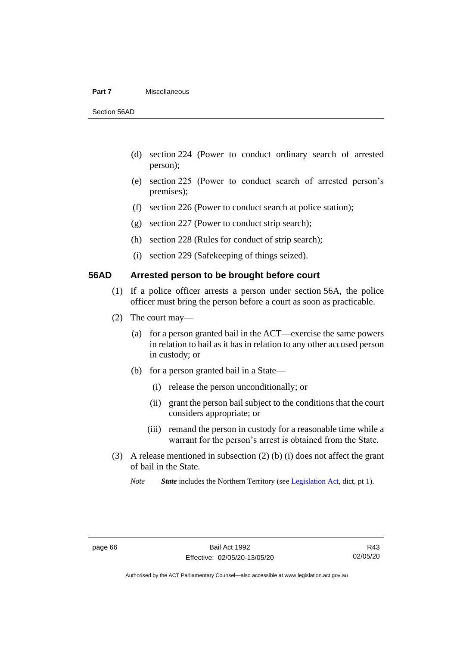### **Part 7** Miscellaneous

Section 56AD

- (d) section 224 (Power to conduct ordinary search of arrested person);
- (e) section 225 (Power to conduct search of arrested person's premises);
- (f) section 226 (Power to conduct search at police station);
- (g) section 227 (Power to conduct strip search);
- (h) section 228 (Rules for conduct of strip search);
- (i) section 229 (Safekeeping of things seized).

## **56AD Arrested person to be brought before court**

- (1) If a police officer arrests a person under section 56A, the police officer must bring the person before a court as soon as practicable.
- (2) The court may—
	- (a) for a person granted bail in the ACT—exercise the same powers in relation to bail as it has in relation to any other accused person in custody; or
	- (b) for a person granted bail in a State—
		- (i) release the person unconditionally; or
		- (ii) grant the person bail subject to the conditions that the court considers appropriate; or
		- (iii) remand the person in custody for a reasonable time while a warrant for the person's arrest is obtained from the State.
- (3) A release mentioned in subsection (2) (b) (i) does not affect the grant of bail in the State.

*Note State* includes the Northern Territory (see [Legislation Act,](http://www.legislation.act.gov.au/a/2001-14) dict, pt 1).

Authorised by the ACT Parliamentary Counsel—also accessible at www.legislation.act.gov.au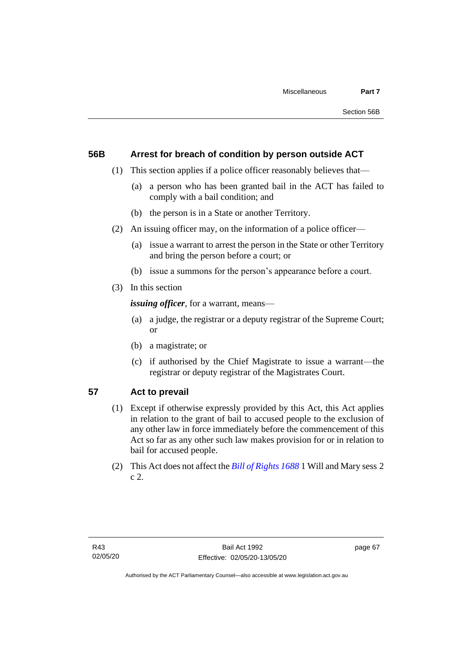## **56B Arrest for breach of condition by person outside ACT**

- (1) This section applies if a police officer reasonably believes that—
	- (a) a person who has been granted bail in the ACT has failed to comply with a bail condition; and
	- (b) the person is in a State or another Territory.
- (2) An issuing officer may, on the information of a police officer—
	- (a) issue a warrant to arrest the person in the State or other Territory and bring the person before a court; or
	- (b) issue a summons for the person's appearance before a court.
- (3) In this section

*issuing officer*, for a warrant, means—

- (a) a judge, the registrar or a deputy registrar of the Supreme Court; or
- (b) a magistrate; or
- (c) if authorised by the Chief Magistrate to issue a warrant—the registrar or deputy registrar of the Magistrates Court.

## **57 Act to prevail**

- (1) Except if otherwise expressly provided by this Act, this Act applies in relation to the grant of bail to accused people to the exclusion of any other law in force immediately before the commencement of this Act so far as any other such law makes provision for or in relation to bail for accused people.
- (2) This Act does not affect the *[Bill of Rights 1688](http://www.legislation.act.gov.au/a/db_1792/default.asp)* 1 Will and Mary sess 2 c 2.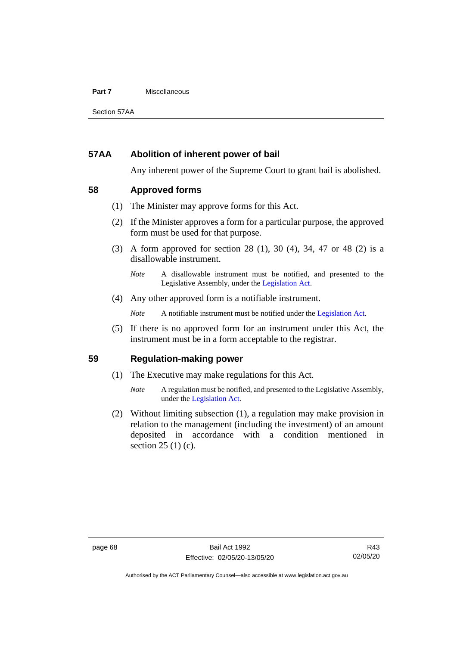### **Part 7** Miscellaneous

Section 57AA

## **57AA Abolition of inherent power of bail**

Any inherent power of the Supreme Court to grant bail is abolished.

## **58 Approved forms**

- (1) The Minister may approve forms for this Act.
- (2) If the Minister approves a form for a particular purpose, the approved form must be used for that purpose.
- (3) A form approved for section 28 (1), 30 (4), 34, 47 or 48 (2) is a disallowable instrument.

(4) Any other approved form is a notifiable instrument.

*Note* A notifiable instrument must be notified under the [Legislation Act.](http://www.legislation.act.gov.au/a/2001-14)

(5) If there is no approved form for an instrument under this Act, the instrument must be in a form acceptable to the registrar.

## **59 Regulation-making power**

- (1) The Executive may make regulations for this Act.
	- *Note* A regulation must be notified, and presented to the Legislative Assembly, under the [Legislation Act.](http://www.legislation.act.gov.au/a/2001-14)
- (2) Without limiting subsection (1), a regulation may make provision in relation to the management (including the investment) of an amount deposited in accordance with a condition mentioned in section 25 (1) (c).

*Note* A disallowable instrument must be notified, and presented to the Legislative Assembly, under the [Legislation Act.](http://www.legislation.act.gov.au/a/2001-14)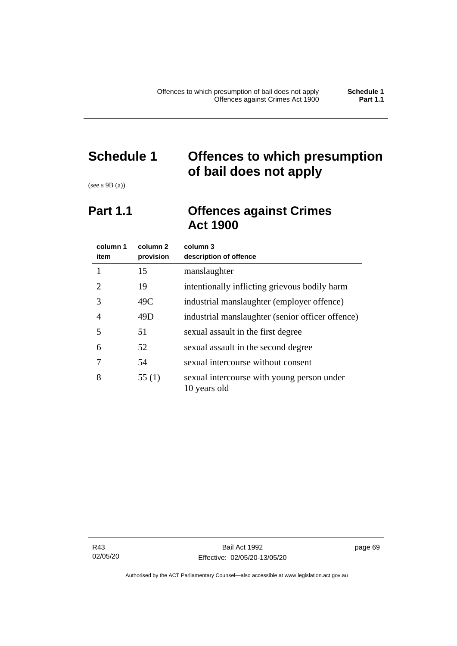## **Schedule 1 Offences to which presumption of bail does not apply**

(see s 9B (a))

## **Part 1.1 Offences against Crimes Act 1900**

| column 1<br>item | column 2<br>provision | column 3<br>description of offence                         |
|------------------|-----------------------|------------------------------------------------------------|
|                  | 15                    | manslaughter                                               |
| 2                | 19                    | intentionally inflicting grievous bodily harm              |
| 3                | 49C                   | industrial manslaughter (employer offence)                 |
| 4                | 49D                   | industrial manslaughter (senior officer offence)           |
| 5                | 51                    | sexual assault in the first degree                         |
| 6                | 52                    | sexual assault in the second degree                        |
|                  | 54                    | sexual intercourse without consent                         |
| 8                | 55(1)                 | sexual intercourse with young person under<br>10 years old |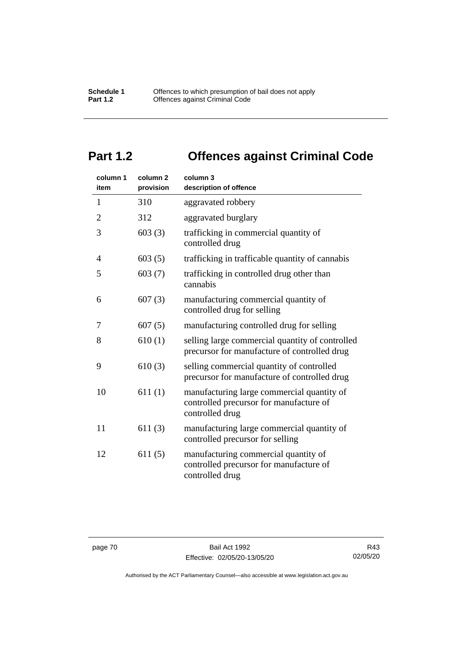## **Part 1.2 Offences against Criminal Code**

| column 1<br>item | column <sub>2</sub><br>provision | column 3<br>description of offence                                                                       |
|------------------|----------------------------------|----------------------------------------------------------------------------------------------------------|
| $\mathbf{1}$     | 310                              | aggravated robbery                                                                                       |
| $\overline{2}$   | 312                              | aggravated burglary                                                                                      |
| 3                | 603(3)                           | trafficking in commercial quantity of<br>controlled drug                                                 |
| 4                | 603(5)                           | trafficking in trafficable quantity of cannabis                                                          |
| 5                | 603(7)                           | trafficking in controlled drug other than<br>cannabis                                                    |
| 6                | 607(3)                           | manufacturing commercial quantity of<br>controlled drug for selling                                      |
| 7                | 607(5)                           | manufacturing controlled drug for selling                                                                |
| 8                | 610(1)                           | selling large commercial quantity of controlled<br>precursor for manufacture of controlled drug          |
| 9                | 610(3)                           | selling commercial quantity of controlled<br>precursor for manufacture of controlled drug                |
| 10               | 611(1)                           | manufacturing large commercial quantity of<br>controlled precursor for manufacture of<br>controlled drug |
| 11               | 611(3)                           | manufacturing large commercial quantity of<br>controlled precursor for selling                           |
| 12               | 611(5)                           | manufacturing commercial quantity of<br>controlled precursor for manufacture of<br>controlled drug       |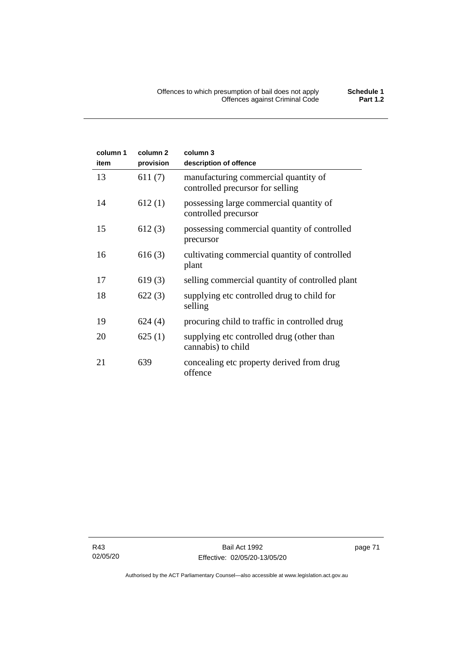| column 1 | column <sub>2</sub> | column 3                                                                 |
|----------|---------------------|--------------------------------------------------------------------------|
| item     | provision           | description of offence                                                   |
| 13       | 611(7)              | manufacturing commercial quantity of<br>controlled precursor for selling |
| 14       | 612(1)              | possessing large commercial quantity of<br>controlled precursor          |
| 15       | 612(3)              | possessing commercial quantity of controlled<br>precursor                |
| 16       | 616(3)              | cultivating commercial quantity of controlled<br>plant                   |
| 17       | 619(3)              | selling commercial quantity of controlled plant                          |
| 18       | 622(3)              | supplying etc controlled drug to child for<br>selling                    |
| 19       | 624(4)              | procuring child to traffic in controlled drug                            |
| 20       | 625(1)              | supplying etc controlled drug (other than<br>cannabis) to child          |
| 21       | 639                 | concealing etc property derived from drug<br>offence                     |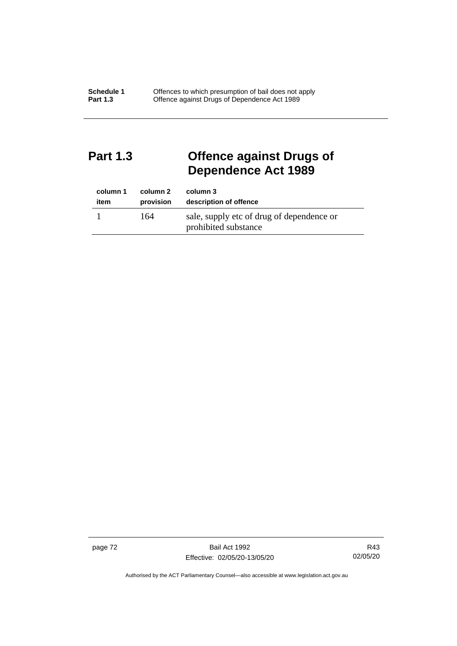## **Part 1.3 Offence against Drugs of Dependence Act 1989**

| column 1 | column 2  | column 3                                                          |
|----------|-----------|-------------------------------------------------------------------|
| item     | provision | description of offence                                            |
|          | 164       | sale, supply etc of drug of dependence or<br>prohibited substance |

page 72 Bail Act 1992 Effective: 02/05/20-13/05/20

R43 02/05/20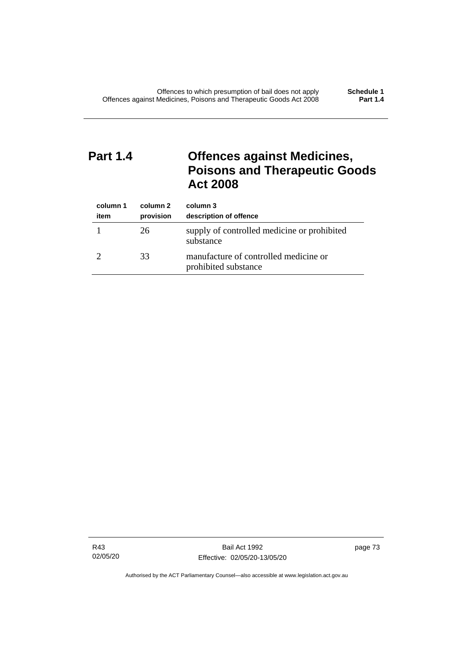## **Part 1.4 Offences against Medicines, Poisons and Therapeutic Goods Act 2008**

| column 1<br>item | column 2<br>provision | column 3<br>description of offence                            |
|------------------|-----------------------|---------------------------------------------------------------|
|                  | 26                    | supply of controlled medicine or prohibited<br>substance      |
|                  | 33                    | manufacture of controlled medicine or<br>prohibited substance |

R43 02/05/20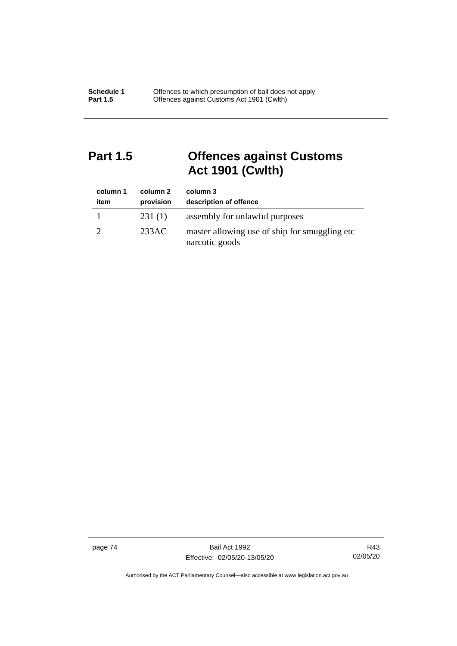## **Part 1.5 Offences against Customs Act 1901 (Cwlth)**

| column 1<br>item | column 2<br>provision | column 3<br>description of offence                               |
|------------------|-----------------------|------------------------------------------------------------------|
|                  | 231(1)                | assembly for unlawful purposes                                   |
|                  | 233AC                 | master allowing use of ship for smuggling etc.<br>narcotic goods |

page 74 Bail Act 1992 Effective: 02/05/20-13/05/20

R43 02/05/20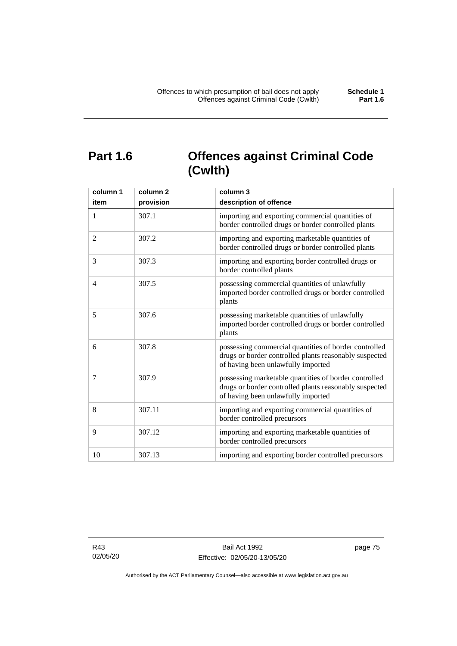## **Part 1.6 Offences against Criminal Code (Cwlth)**

| column 1       | column <sub>2</sub> | column 3                                                                                                                                              |
|----------------|---------------------|-------------------------------------------------------------------------------------------------------------------------------------------------------|
| item           | provision           | description of offence                                                                                                                                |
| 1              | 307.1               | importing and exporting commercial quantities of<br>border controlled drugs or border controlled plants                                               |
| $\overline{2}$ | 307.2               | importing and exporting marketable quantities of<br>border controlled drugs or border controlled plants                                               |
| 3              | 307.3               | importing and exporting border controlled drugs or<br>border controlled plants                                                                        |
| 4              | 307.5               | possessing commercial quantities of unlawfully<br>imported border controlled drugs or border controlled<br>plants                                     |
| 5              | 307.6               | possessing marketable quantities of unlawfully<br>imported border controlled drugs or border controlled<br>plants                                     |
| 6              | 307.8               | possessing commercial quantities of border controlled<br>drugs or border controlled plants reasonably suspected<br>of having been unlawfully imported |
| 7              | 307.9               | possessing marketable quantities of border controlled<br>drugs or border controlled plants reasonably suspected<br>of having been unlawfully imported |
| 8              | 307.11              | importing and exporting commercial quantities of<br>border controlled precursors                                                                      |
| 9              | 307.12              | importing and exporting marketable quantities of<br>border controlled precursors                                                                      |
| 10             | 307.13              | importing and exporting border controlled precursors                                                                                                  |

R43 02/05/20 page 75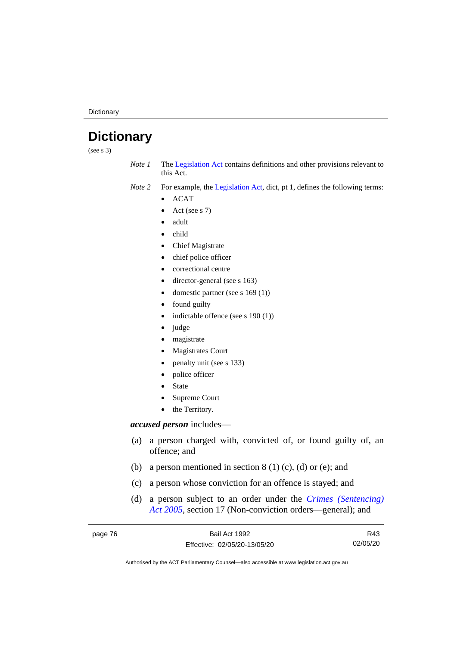**Dictionary** 

## **Dictionary**

(see s 3)

*Note 1* The [Legislation Act](http://www.legislation.act.gov.au/a/2001-14) contains definitions and other provisions relevant to this Act.

*Note 2* For example, the [Legislation Act,](http://www.legislation.act.gov.au/a/2001-14) dict, pt 1, defines the following terms:

- ACAT
- Act (see s 7)
- adult
- child
- Chief Magistrate
- chief police officer
- correctional centre
- director-general (see s 163)
- domestic partner (see s 169 (1))
- found guilty
- indictable offence (see s 190 (1))
- judge
- magistrate
- Magistrates Court
- penalty unit (see s 133)
- police officer
- **State**
- Supreme Court
- the Territory.

## *accused person* includes—

- (a) a person charged with, convicted of, or found guilty of, an offence; and
- (b) a person mentioned in section  $8(1)(c)$ , (d) or (e); and
- (c) a person whose conviction for an offence is stayed; and
- (d) a person subject to an order under the *[Crimes \(Sentencing\)](http://www.legislation.act.gov.au/a/2005-58)  Act [2005](http://www.legislation.act.gov.au/a/2005-58)*, section 17 (Non-conviction orders—general); and

| page 76 | Bail Act 1992                | R43      |
|---------|------------------------------|----------|
|         | Effective: 02/05/20-13/05/20 | 02/05/20 |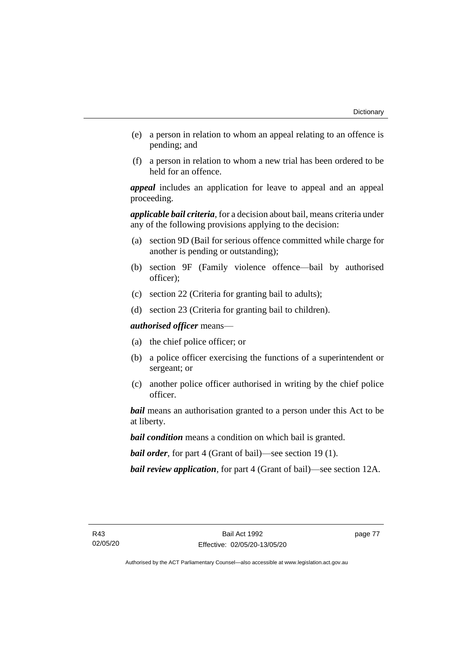- (e) a person in relation to whom an appeal relating to an offence is pending; and
- (f) a person in relation to whom a new trial has been ordered to be held for an offence.

*appeal* includes an application for leave to appeal and an appeal proceeding.

*applicable bail criteria*, for a decision about bail, means criteria under any of the following provisions applying to the decision:

- (a) section 9D (Bail for serious offence committed while charge for another is pending or outstanding);
- (b) section 9F (Family violence offence—bail by authorised officer);
- (c) section 22 (Criteria for granting bail to adults);
- (d) section 23 (Criteria for granting bail to children).

*authorised officer* means—

- (a) the chief police officer; or
- (b) a police officer exercising the functions of a superintendent or sergeant; or
- (c) another police officer authorised in writing by the chief police officer.

*bail* means an authorisation granted to a person under this Act to be at liberty.

*bail condition* means a condition on which bail is granted.

*bail order*, for part 4 (Grant of bail)—see section 19 (1).

*bail review application*, for part 4 (Grant of bail)—see section 12A.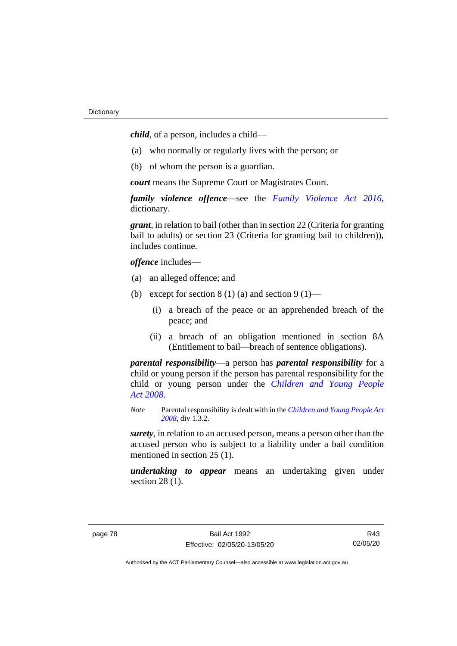*child*, of a person, includes a child—

- (a) who normally or regularly lives with the person; or
- (b) of whom the person is a guardian.

*court* means the Supreme Court or Magistrates Court.

*family violence offence*—see the *Family [Violence Act 2016](http://www.legislation.act.gov.au/a/2016-42)*, dictionary.

*grant*, in relation to bail (other than in section 22 (Criteria for granting bail to adults) or section 23 (Criteria for granting bail to children)), includes continue.

*offence* includes—

- (a) an alleged offence; and
- (b) except for section  $8(1)(a)$  and section  $9(1)$ 
	- (i) a breach of the peace or an apprehended breach of the peace; and
	- (ii) a breach of an obligation mentioned in section 8A (Entitlement to bail—breach of sentence obligations).

*parental responsibility*—a person has *parental responsibility* for a child or young person if the person has parental responsibility for the child or young person under the *[Children and Young People](http://www.legislation.act.gov.au/a/2008-19)  Act [2008](http://www.legislation.act.gov.au/a/2008-19)*.

*Note* Parental responsibility is dealt with in the *[Children and Young People Act](http://www.legislation.act.gov.au/a/2008-19)  [2008](http://www.legislation.act.gov.au/a/2008-19)*, div 1.3.2.

*surety*, in relation to an accused person, means a person other than the accused person who is subject to a liability under a bail condition mentioned in section 25 (1).

*undertaking to appear* means an undertaking given under section 28 (1).

R43 02/05/20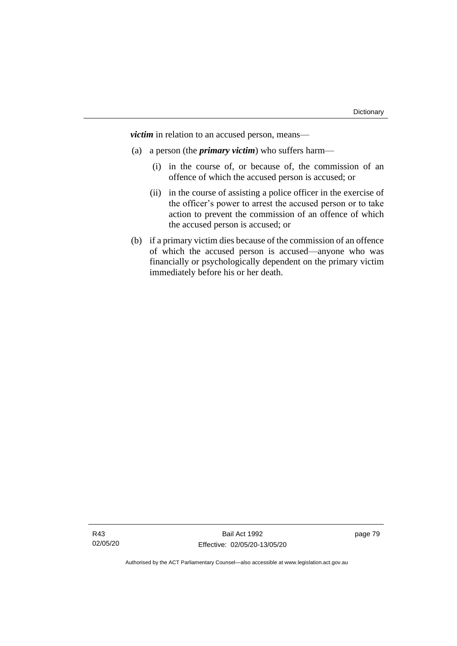*victim* in relation to an accused person, means—

- (a) a person (the *primary victim*) who suffers harm—
	- (i) in the course of, or because of, the commission of an offence of which the accused person is accused; or
	- (ii) in the course of assisting a police officer in the exercise of the officer's power to arrest the accused person or to take action to prevent the commission of an offence of which the accused person is accused; or
- (b) if a primary victim dies because of the commission of an offence of which the accused person is accused—anyone who was financially or psychologically dependent on the primary victim immediately before his or her death.

page 79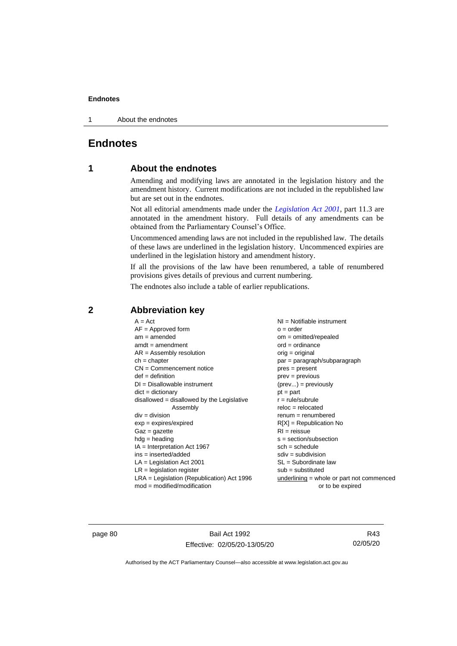1 About the endnotes

## **Endnotes**

## **1 About the endnotes**

Amending and modifying laws are annotated in the legislation history and the amendment history. Current modifications are not included in the republished law but are set out in the endnotes.

Not all editorial amendments made under the *[Legislation Act 2001](http://www.legislation.act.gov.au/a/2001-14)*, part 11.3 are annotated in the amendment history. Full details of any amendments can be obtained from the Parliamentary Counsel's Office.

Uncommenced amending laws are not included in the republished law. The details of these laws are underlined in the legislation history. Uncommenced expiries are underlined in the legislation history and amendment history.

If all the provisions of the law have been renumbered, a table of renumbered provisions gives details of previous and current numbering.

The endnotes also include a table of earlier republications.

| $A = Act$                                    | $NI =$ Notifiable instrument              |
|----------------------------------------------|-------------------------------------------|
| $AF =$ Approved form                         | $o = order$                               |
| $am = amended$                               | $om = omitted/repealed$                   |
| $amdt = amendment$                           | $ord = ordinance$                         |
| $AR = Assembly resolution$                   | orig = original                           |
| $ch = chapter$                               | par = paragraph/subparagraph              |
| $CN =$ Commencement notice                   | $pres = present$                          |
| $def = definition$                           | prev = previous                           |
| $DI = Disallowable instrument$               | $(\text{prev}) = \text{previously}$       |
| $dict = dictionary$                          | $pt = part$                               |
| $disallowed = disallowed by the Legislative$ | $r = rule/subrule$                        |
| Assembly                                     | $reloc = relocated$                       |
|                                              |                                           |
| $div = division$                             | $remum = renumbered$                      |
| $exp = expires/expired$                      | $R[X]$ = Republication No                 |
| $Gaz = gazette$                              | $RI = reissue$                            |
| $hdg =$ heading                              | $s = section/subsection$                  |
| $IA = Interpretation Act 1967$               | $sch = schedule$                          |
| $ins = inserted/added$                       | $sdiv = subdivision$                      |
| $LA =$ Legislation Act 2001                  | $SL = Subordinate$ law                    |
| $LR =$ legislation register                  | $sub =$ substituted                       |
| $LRA =$ Legislation (Republication) Act 1996 | underlining = whole or part not commenced |
| $mod = modified/modification$                | or to be expired                          |

## **2 Abbreviation key**

page 80 Bail Act 1992 Effective: 02/05/20-13/05/20

R43 02/05/20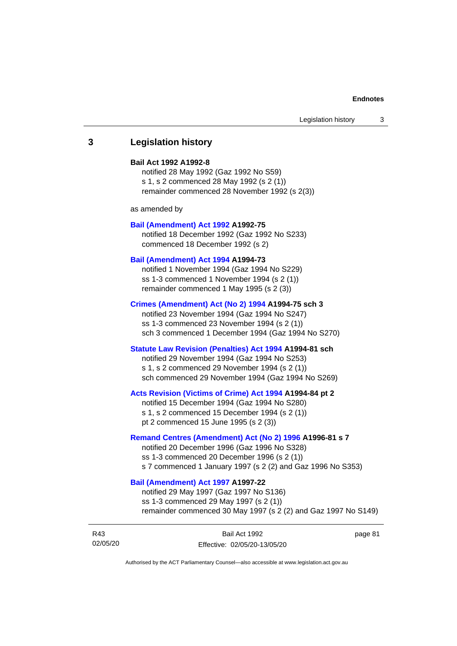## **3 Legislation history**

## **Bail Act 1992 A1992-8**

notified 28 May 1992 (Gaz 1992 No S59) s 1, s 2 commenced 28 May 1992 (s 2 (1)) remainder commenced 28 November 1992 (s 2(3))

as amended by

#### **[Bail \(Amendment\) Act 1992](http://www.legislation.act.gov.au/a/1992-75) A1992-75**

notified 18 December 1992 (Gaz 1992 No S233) commenced 18 December 1992 (s 2)

#### **[Bail \(Amendment\) Act 1994](http://www.legislation.act.gov.au/a/1994-73) A1994-73**

notified 1 November 1994 (Gaz 1994 No S229) ss 1-3 commenced 1 November 1994 (s 2 (1)) remainder commenced 1 May 1995 (s 2 (3))

#### **[Crimes \(Amendment\) Act \(No 2\) 1994](http://www.legislation.act.gov.au/a/1994-75) A1994-75 sch 3**

notified 23 November 1994 (Gaz 1994 No S247) ss 1-3 commenced 23 November 1994 (s 2 (1)) sch 3 commenced 1 December 1994 (Gaz 1994 No S270)

## **[Statute Law Revision \(Penalties\) Act 1994](http://www.legislation.act.gov.au/a/1994-81) A1994-81 sch**

notified 29 November 1994 (Gaz 1994 No S253) s 1, s 2 commenced 29 November 1994 (s 2 (1)) sch commenced 29 November 1994 (Gaz 1994 No S269)

#### **[Acts Revision \(Victims of Crime\) Act 1994](http://www.legislation.act.gov.au/a/1994-84) A1994-84 pt 2**

notified 15 December 1994 (Gaz 1994 No S280) s 1, s 2 commenced 15 December 1994 (s 2 (1)) pt 2 commenced 15 June 1995 (s 2 (3))

## **[Remand Centres \(Amendment\) Act \(No 2\) 1996](http://www.legislation.act.gov.au/a/1996-81) A1996-81 s 7**

notified 20 December 1996 (Gaz 1996 No S328) ss 1-3 commenced 20 December 1996 (s 2 (1)) s 7 commenced 1 January 1997 (s 2 (2) and Gaz 1996 No S353)

## **[Bail \(Amendment\) Act 1997](http://www.legislation.act.gov.au/a/1997-22) A1997-22**

notified 29 May 1997 (Gaz 1997 No S136) ss 1-3 commenced 29 May 1997 (s 2 (1)) remainder commenced 30 May 1997 (s 2 (2) and Gaz 1997 No S149)

| R43      | Bail Act 1992                | page 81 |
|----------|------------------------------|---------|
| 02/05/20 | Effective: 02/05/20-13/05/20 |         |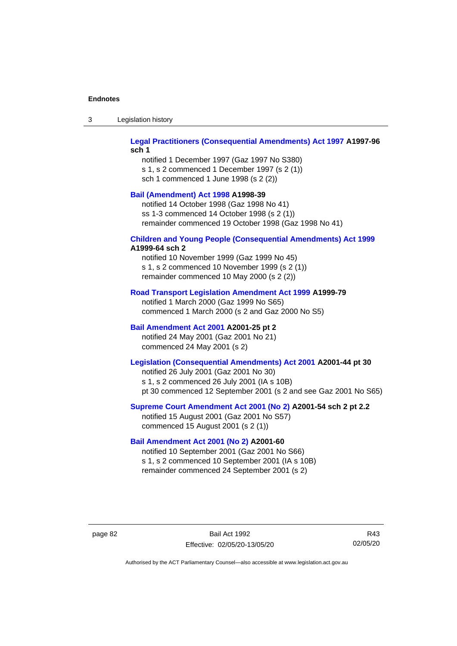| Legislation history<br>-3 |
|---------------------------|
|---------------------------|

## **[Legal Practitioners \(Consequential Amendments\) Act 1997](http://www.legislation.act.gov.au/a/1997-96) A1997-96 sch 1**

notified 1 December 1997 (Gaz 1997 No S380) s 1, s 2 commenced 1 December 1997 (s 2 (1)) sch 1 commenced 1 June 1998 (s 2 (2))

## **[Bail \(Amendment\) Act 1998](http://www.legislation.act.gov.au/a/1998-39) A1998-39**

notified 14 October 1998 (Gaz 1998 No 41) ss 1-3 commenced 14 October 1998 (s 2 (1)) remainder commenced 19 October 1998 (Gaz 1998 No 41)

## **[Children and Young People \(Consequential Amendments\) Act 1999](http://www.legislation.act.gov.au/a/1999-64)**

## **A1999-64 sch 2**

notified 10 November 1999 (Gaz 1999 No 45) s 1, s 2 commenced 10 November 1999 (s 2 (1)) remainder commenced 10 May 2000 (s 2 (2))

### **[Road Transport Legislation Amendment Act 1999](http://www.legislation.act.gov.au/a/1999-79) A1999-79**

notified 1 March 2000 (Gaz 1999 No S65) commenced 1 March 2000 (s 2 and Gaz 2000 No S5)

## **[Bail Amendment Act 2001](http://www.legislation.act.gov.au/a/2001-25) A2001-25 pt 2**

notified 24 May 2001 (Gaz 2001 No 21) commenced 24 May 2001 (s 2)

## **[Legislation \(Consequential Amendments\) Act 2001](http://www.legislation.act.gov.au/a/2001-44) A2001-44 pt 30**

notified 26 July 2001 (Gaz 2001 No 30) s 1, s 2 commenced 26 July 2001 (IA s 10B) pt 30 commenced 12 September 2001 (s 2 and see Gaz 2001 No S65)

## **[Supreme Court Amendment Act 2001 \(No 2\)](http://www.legislation.act.gov.au/a/2001-54) A2001-54 sch 2 pt 2.2**

notified 15 August 2001 (Gaz 2001 No S57) commenced 15 August 2001 (s 2 (1))

## **[Bail Amendment Act 2001 \(No 2\)](http://www.legislation.act.gov.au/a/2001-60) A2001-60**

notified 10 September 2001 (Gaz 2001 No S66) s 1, s 2 commenced 10 September 2001 (IA s 10B) remainder commenced 24 September 2001 (s 2)

page 82 Bail Act 1992 Effective: 02/05/20-13/05/20

R43 02/05/20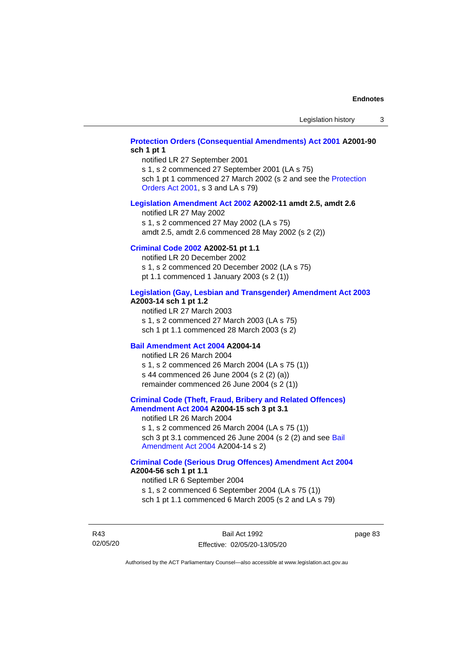## **[Protection Orders \(Consequential Amendments\) Act 2001](http://www.legislation.act.gov.au/a/2001-90) A2001-90 sch 1 pt 1**

notified LR 27 September 2001

s 1, s 2 commenced 27 September 2001 (LA s 75)

sch 1 pt 1 commenced 27 March 2002 (s 2 and see the Protection [Orders Act 2001,](http://www.legislation.act.gov.au/a/2001-89) s 3 and LA s 79)

#### **[Legislation Amendment Act 2002](http://www.legislation.act.gov.au/a/2002-11) A2002-11 amdt 2.5, amdt 2.6**

notified LR 27 May 2002 s 1, s 2 commenced 27 May 2002 (LA s 75) amdt 2.5, amdt 2.6 commenced 28 May 2002 (s 2 (2))

## **[Criminal Code 2002](http://www.legislation.act.gov.au/a/2002-51) A2002-51 pt 1.1**

notified LR 20 December 2002 s 1, s 2 commenced 20 December 2002 (LA s 75) pt 1.1 commenced 1 January 2003 (s 2 (1))

#### **[Legislation \(Gay, Lesbian and Transgender\) Amendment Act 2003](http://www.legislation.act.gov.au/a/2003-14) A2003-14 sch 1 pt 1.2**

notified LR 27 March 2003 s 1, s 2 commenced 27 March 2003 (LA s 75) sch 1 pt 1.1 commenced 28 March 2003 (s 2)

## **[Bail Amendment Act 2004](http://www.legislation.act.gov.au/a/2004-14) A2004-14**

notified LR 26 March 2004 s 1, s 2 commenced 26 March 2004 (LA s 75 (1)) s 44 commenced 26 June 2004 (s 2 (2) (a)) remainder commenced 26 June 2004 (s 2 (1))

### **[Criminal Code \(Theft, Fraud, Bribery and Related Offences\)](http://www.legislation.act.gov.au/a/2004-15)  [Amendment Act 2004](http://www.legislation.act.gov.au/a/2004-15) A2004-15 sch 3 pt 3.1**

notified LR 26 March 2004 s 1, s 2 commenced 26 March 2004 (LA s 75 (1)) sch 3 pt 3.1 commenced 26 June 2004 (s 2 (2) and see [Bail](http://www.legislation.act.gov.au/a/2004-14)  [Amendment Act 2004](http://www.legislation.act.gov.au/a/2004-14) A2004-14 s 2)

#### **[Criminal Code \(Serious Drug Offences\) Amendment Act 2004](http://www.legislation.act.gov.au/a/2004-56) A2004-56 sch 1 pt 1.1**

notified LR 6 September 2004 s 1, s 2 commenced 6 September 2004 (LA s 75 (1)) sch 1 pt 1.1 commenced 6 March 2005 (s 2 and LA s 79)

R43 02/05/20

Bail Act 1992 Effective: 02/05/20-13/05/20 page 83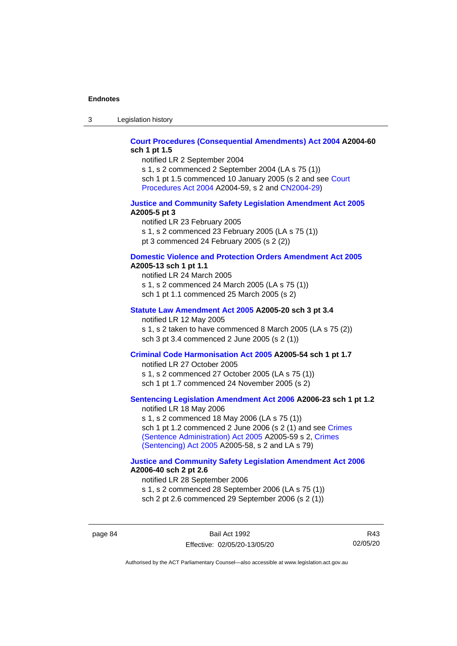3 Legislation history

## **[Court Procedures \(Consequential Amendments\) Act 2004](http://www.legislation.act.gov.au/a/2004-60) A2004-60 sch 1 pt 1.5**

notified LR 2 September 2004

s 1, s 2 commenced 2 September 2004 (LA s 75 (1)) sch 1 pt 1.5 commenced 10 January 2005 (s 2 and see [Court](http://www.legislation.act.gov.au/a/2004-59)  [Procedures Act](http://www.legislation.act.gov.au/a/2004-59) 2004 A2004-59, s 2 and [CN2004-29\)](http://www.legislation.act.gov.au/cn/2004-29/default.asp)

### **[Justice and Community Safety Legislation Amendment Act 2005](http://www.legislation.act.gov.au/a/2005-5) A2005-5 pt 3**

notified LR 23 February 2005 s 1, s 2 commenced 23 February 2005 (LA s 75 (1)) pt 3 commenced 24 February 2005 (s 2 (2))

#### **[Domestic Violence and Protection Orders Amendment Act 2005](http://www.legislation.act.gov.au/a/2005-13) A2005-13 sch 1 pt 1.1**

notified LR 24 March 2005 s 1, s 2 commenced 24 March 2005 (LA s 75 (1)) sch 1 pt 1.1 commenced 25 March 2005 (s 2)

## **[Statute Law Amendment Act 2005](http://www.legislation.act.gov.au/a/2005-20) A2005-20 sch 3 pt 3.4**

notified LR 12 May 2005

s 1, s 2 taken to have commenced 8 March 2005 (LA s 75 (2)) sch 3 pt 3.4 commenced 2 June 2005 (s 2 (1))

## **[Criminal Code Harmonisation Act 2005](http://www.legislation.act.gov.au/a/2005-54) A2005-54 sch 1 pt 1.7**

notified LR 27 October 2005 s 1, s 2 commenced 27 October 2005 (LA s 75 (1)) sch 1 pt 1.7 commenced 24 November 2005 (s 2)

## **[Sentencing Legislation Amendment](http://www.legislation.act.gov.au/a/2006-23) Act 2006 A2006-23 sch 1 pt 1.2**

notified LR 18 May 2006 s 1, s 2 commenced 18 May 2006 (LA s 75 (1)) sch 1 pt 1.2 commenced 2 June 2006 (s 2 (1) and see [Crimes](http://www.legislation.act.gov.au/a/2005-59)  [\(Sentence Administration\) Act 2005](http://www.legislation.act.gov.au/a/2005-59) A2005-59 s 2, [Crimes](http://www.legislation.act.gov.au/a/2005-58)  [\(Sentencing\) Act 2005](http://www.legislation.act.gov.au/a/2005-58) A2005-58, s 2 and LA s 79)

## **[Justice and Community Safety Legislation Amendment Act](http://www.legislation.act.gov.au/a/2006-40) 2006 A2006-40 sch 2 pt 2.6**

notified LR 28 September 2006 s 1, s 2 commenced 28 September 2006 (LA s 75 (1)) sch 2 pt 2.6 commenced 29 September 2006 (s 2 (1))

page 84 Bail Act 1992 Effective: 02/05/20-13/05/20

R43 02/05/20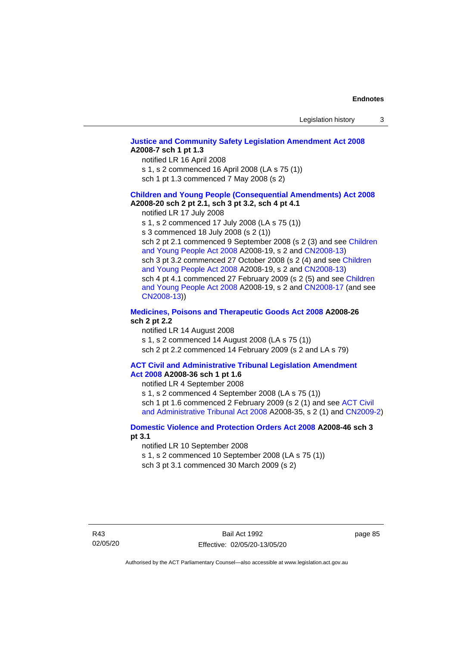## **[Justice and Community Safety Legislation Amendment Act 2008](http://www.legislation.act.gov.au/a/2008-7) A2008-7 sch 1 pt 1.3**

notified LR 16 April 2008

s 1, s 2 commenced 16 April 2008 (LA s 75 (1))

sch 1 pt 1.3 commenced 7 May 2008 (s 2)

#### **Children and [Young People \(Consequential Amendments\) Act 2008](http://www.legislation.act.gov.au/a/2008-20) A2008-20 sch 2 pt 2.1, sch 3 pt 3.2, sch 4 pt 4.1**

notified LR 17 July 2008

s 1, s 2 commenced 17 July 2008 (LA s 75 (1))

s 3 commenced 18 July 2008 (s 2 (1))

sch 2 pt 2.1 commenced 9 September 2008 (s 2 (3) and see Children [and Young People Act 2008](http://www.legislation.act.gov.au/a/2008-19) A2008-19, s 2 and [CN2008-13\)](http://www.legislation.act.gov.au/cn/2008-13/default.asp) sch 3 pt 3.2 commenced 27 October 2008 (s 2 (4) and see Children [and Young People Act 2008](http://www.legislation.act.gov.au/a/2008-19) A2008-19, s 2 and [CN2008-13\)](http://www.legislation.act.gov.au/cn/2008-13/default.asp) sch 4 pt 4.1 commenced 27 February 2009 (s 2 (5) and see [Children](http://www.legislation.act.gov.au/a/2008-19)  [and Young People Act 2008](http://www.legislation.act.gov.au/a/2008-19) A2008-19, s 2 and [CN2008-17 \(](http://www.legislation.act.gov.au/cn/2008-17/default.asp)and see [CN2008-13\)](http://www.legislation.act.gov.au/cn/2008-13/default.asp))

## **[Medicines, Poisons and Therapeutic Goods Act](http://www.legislation.act.gov.au/a/2008-26#history) 2008 A2008-26 sch 2 pt 2.2**

notified LR 14 August 2008 s 1, s 2 commenced 14 August 2008 (LA s 75 (1)) sch 2 pt 2.2 commenced 14 February 2009 (s 2 and LA s 79)

#### **[ACT Civil and Administrative Tribunal Legislation Amendment](http://www.legislation.act.gov.au/a/2008-36)  Act [2008](http://www.legislation.act.gov.au/a/2008-36) A2008-36 sch 1 pt 1.6**

notified LR 4 September 2008

s 1, s 2 commenced 4 September 2008 (LA s 75 (1)) sch 1 pt 1.6 commenced 2 February 2009 (s 2 (1) and see [ACT Civil](http://www.legislation.act.gov.au/a/2008-35)  [and Administrative Tribunal Act 2008](http://www.legislation.act.gov.au/a/2008-35) A2008-35, s 2 (1) and [CN2009-2\)](http://www.legislation.act.gov.au/cn/2009-2/default.asp)

## **[Domestic Violence and Protection Orders Act 2008](http://www.legislation.act.gov.au/a/2008-46#history) A2008-46 sch 3 pt 3.1**

notified LR 10 September 2008

s 1, s 2 commenced 10 September 2008 (LA s 75 (1))

sch 3 pt 3.1 commenced 30 March 2009 (s 2)

page 85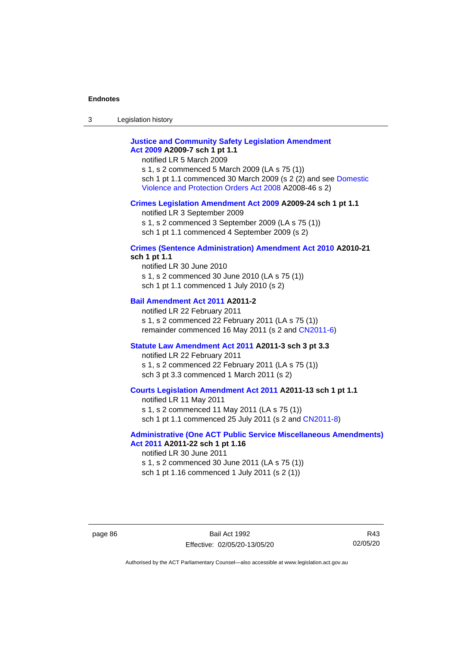3 Legislation history

## **[Justice and Community Safety Legislation Amendment](http://www.legislation.act.gov.au/a/2009-7)  Act [2009](http://www.legislation.act.gov.au/a/2009-7) A2009-7 sch 1 pt 1.1**

notified LR 5 March 2009

s 1, s 2 commenced 5 March 2009 (LA s 75 (1)) sch 1 pt 1.1 commenced 30 March 2009 (s 2 (2) and see [Domestic](http://www.legislation.act.gov.au/a/2008-46)  [Violence and Protection Orders Act 2008](http://www.legislation.act.gov.au/a/2008-46) A2008-46 s 2)

#### **[Crimes Legislation Amendment Act 2009](http://www.legislation.act.gov.au/a/2009-24) A2009-24 sch 1 pt 1.1**

notified LR 3 September 2009

s 1, s 2 commenced 3 September 2009 (LA s 75 (1))

sch 1 pt 1.1 commenced 4 September 2009 (s 2)

#### **[Crimes \(Sentence Administration\) Amendment Act 2010](http://www.legislation.act.gov.au/a/2010-21) A2010-21 sch 1 pt 1.1**

notified LR 30 June 2010 s 1, s 2 commenced 30 June 2010 (LA s 75 (1)) sch 1 pt 1.1 commenced 1 July 2010 (s 2)

## **[Bail Amendment Act 2011](http://www.legislation.act.gov.au/a/2011-2) A2011-2**

notified LR 22 February 2011 s 1, s 2 commenced 22 February 2011 (LA s 75 (1)) remainder commenced 16 May 2011 (s 2 and [CN2011-6\)](http://www.legislation.act.gov.au/cn/2011-6/default.asp)

### **[Statute Law Amendment Act 2011](http://www.legislation.act.gov.au/a/2011-3) A2011-3 sch 3 pt 3.3**

notified LR 22 February 2011 s 1, s 2 commenced 22 February 2011 (LA s 75 (1)) sch 3 pt 3.3 commenced 1 March 2011 (s 2)

## **[Courts Legislation Amendment Act 2011](http://www.legislation.act.gov.au/a/2011-13) A2011-13 sch 1 pt 1.1**

notified LR 11 May 2011 s 1, s 2 commenced 11 May 2011 (LA s 75 (1)) sch 1 pt 1.1 commenced 25 July 2011 (s 2 and [CN2011-8\)](http://www.legislation.act.gov.au/cn/2011-8/default.asp)

## **[Administrative \(One ACT Public Service Miscellaneous Amendments\)](http://www.legislation.act.gov.au/a/2011-22)  Act [2011](http://www.legislation.act.gov.au/a/2011-22) A2011-22 sch 1 pt 1.16**

notified LR 30 June 2011 s 1, s 2 commenced 30 June 2011 (LA s 75 (1)) sch 1 pt 1.16 commenced 1 July 2011 (s 2 (1))

R43 02/05/20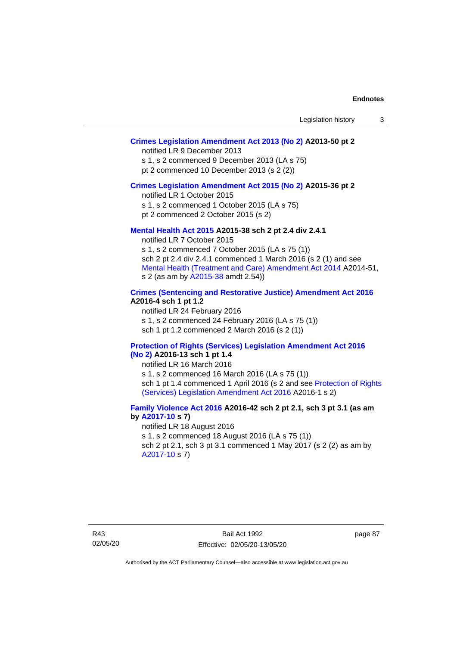## **[Crimes Legislation Amendment Act 2013 \(No 2\)](http://www.legislation.act.gov.au/a/2013-50) A2013-50 pt 2**

notified LR 9 December 2013

s 1, s 2 commenced 9 December 2013 (LA s 75)

pt 2 commenced 10 December 2013 (s 2 (2))

## **[Crimes Legislation Amendment Act 2015 \(No 2\)](http://www.legislation.act.gov.au/a/2015-36) A2015-36 pt 2**

notified LR 1 October 2015

s 1, s 2 commenced 1 October 2015 (LA s 75)

pt 2 commenced 2 October 2015 (s 2)

## **[Mental Health Act 2015](http://www.legislation.act.gov.au/a/2015-38#history) A2015-38 sch 2 pt 2.4 div 2.4.1**

notified LR 7 October 2015 s 1, s 2 commenced 7 October 2015 (LA s 75 (1)) sch 2 pt 2.4 div 2.4.1 commenced 1 March 2016 (s 2 (1) and see [Mental Health \(Treatment and Care\) Amendment Act 2014](http://www.legislation.act.gov.au/a/2014-51/default.asp) A2014-51, s 2 (as am by [A2015-38](http://www.legislation.act.gov.au/a/2015-38) amdt 2.54))

## **[Crimes \(Sentencing and Restorative Justice\) Amendment Act 2016](http://www.legislation.act.gov.au/a/2016-4/default.asp) A2016-4 sch 1 pt 1.2**

notified LR 24 February 2016 s 1, s 2 commenced 24 February 2016 (LA s 75 (1)) sch 1 pt 1.2 commenced 2 March 2016 (s 2 (1))

#### **[Protection of Rights \(Services\) Legislation Amendment Act 2016](http://www.legislation.act.gov.au/a/2016-13)  [\(No](http://www.legislation.act.gov.au/a/2016-13) 2) A2016-13 sch 1 pt 1.4**

notified LR 16 March 2016

s 1, s 2 commenced 16 March 2016 (LA s 75 (1)) sch 1 pt 1.4 commenced 1 April 2016 (s 2 and see [Protection of Rights](http://www.legislation.act.gov.au/a/2016-1/default.asp)  [\(Services\) Legislation Amendment Act 2016](http://www.legislation.act.gov.au/a/2016-1/default.asp) A2016-1 s 2)

## **[Family Violence Act 2016](http://www.legislation.act.gov.au/a/2016-42#history) A2016-42 sch 2 pt 2.1, sch 3 pt 3.1 (as am by [A2017-10](http://www.legislation.act.gov.au/a/2017-10/default.asp) s 7)**

notified LR 18 August 2016 s 1, s 2 commenced 18 August 2016 (LA s 75 (1)) sch 2 pt 2.1, sch 3 pt 3.1 commenced 1 May 2017 (s 2 (2) as am by [A2017-10](http://www.legislation.act.gov.au/a/2017-10/default.asp) s 7)

page 87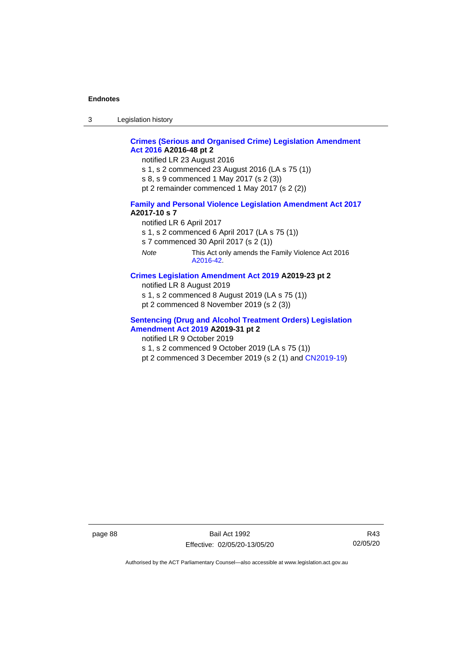3 Legislation history

## **[Crimes \(Serious and Organised Crime\) Legislation Amendment](http://www.legislation.act.gov.au/a/2016-48/default.asp)  Act [2016](http://www.legislation.act.gov.au/a/2016-48/default.asp) A2016-48 pt 2**

notified LR 23 August 2016

- s 1, s 2 commenced 23 August 2016 (LA s 75 (1))
- s 8, s 9 commenced 1 May 2017 (s 2 (3))
- pt 2 remainder commenced 1 May 2017 (s 2 (2))

## **[Family and Personal Violence Legislation Amendment Act 2017](http://www.legislation.act.gov.au/a/2017-10/default.asp) A2017-10 s 7**

- notified LR 6 April 2017
- s 1, s 2 commenced 6 April 2017 (LA s 75 (1))
- s 7 commenced 30 April 2017 (s 2 (1))
- *Note* This Act only amends the Family Violence Act 2016 [A2016-42.](http://www.legislation.act.gov.au/a/2016-42/default.asp)

## **[Crimes Legislation Amendment Act 2019](http://www.legislation.act.gov.au/a/2019-23) A2019-23 pt 2**

- notified LR 8 August 2019
- s 1, s 2 commenced 8 August 2019 (LA s 75 (1))
- pt 2 commenced 8 November 2019 (s 2 (3))

## **[Sentencing \(Drug and Alcohol Treatment Orders\) Legislation](http://www.legislation.act.gov.au/a/2019-31)  [Amendment Act 2019](http://www.legislation.act.gov.au/a/2019-31) A2019-31 pt 2**

- notified LR 9 October 2019
- s 1, s 2 commenced 9 October 2019 (LA s 75 (1))
- pt 2 commenced 3 December 2019 (s 2 (1) and [CN2019-19\)](https://www.legislation.act.gov.au/cn/2019-19/)

page 88 Bail Act 1992 Effective: 02/05/20-13/05/20

R43 02/05/20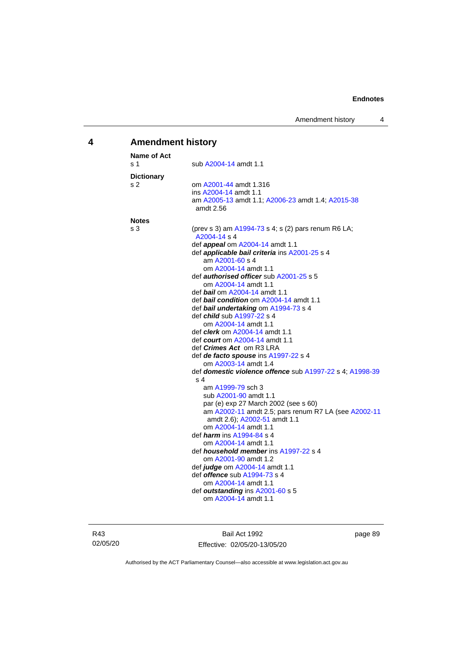## **4 Amendment history**

| Name of Act         |                                                                                                                                                                                                                                                                                                                                                                                                                                                                                                                                                                                                                                                                                                                                                                                                                                                                                                                                                                                                                                                                                                                                                                                                       |
|---------------------|-------------------------------------------------------------------------------------------------------------------------------------------------------------------------------------------------------------------------------------------------------------------------------------------------------------------------------------------------------------------------------------------------------------------------------------------------------------------------------------------------------------------------------------------------------------------------------------------------------------------------------------------------------------------------------------------------------------------------------------------------------------------------------------------------------------------------------------------------------------------------------------------------------------------------------------------------------------------------------------------------------------------------------------------------------------------------------------------------------------------------------------------------------------------------------------------------------|
| s 1                 | sub A2004-14 amdt 1.1                                                                                                                                                                                                                                                                                                                                                                                                                                                                                                                                                                                                                                                                                                                                                                                                                                                                                                                                                                                                                                                                                                                                                                                 |
| <b>Dictionary</b>   |                                                                                                                                                                                                                                                                                                                                                                                                                                                                                                                                                                                                                                                                                                                                                                                                                                                                                                                                                                                                                                                                                                                                                                                                       |
| s 2                 | om A2001-44 amdt 1.316<br>ins A2004-14 amdt 1.1<br>am A2005-13 amdt 1.1; A2006-23 amdt 1.4; A2015-38<br>amdt 2.56                                                                                                                                                                                                                                                                                                                                                                                                                                                                                                                                                                                                                                                                                                                                                                                                                                                                                                                                                                                                                                                                                     |
|                     |                                                                                                                                                                                                                                                                                                                                                                                                                                                                                                                                                                                                                                                                                                                                                                                                                                                                                                                                                                                                                                                                                                                                                                                                       |
| <b>Notes</b><br>s 3 | (prev s 3) am A1994-73 s 4; s (2) pars renum R6 LA;<br>A2004-14 s 4<br>def <i>appeal</i> om A2004-14 amdt 1.1<br>def applicable bail criteria ins A2001-25 s 4<br>am A2001-60 s 4<br>om A2004-14 amdt 1.1<br>def <i>authorised officer</i> sub A2001-25 s 5<br>om A2004-14 amdt 1.1<br>def <i>bail</i> om A2004-14 amdt 1.1<br>def bail condition om A2004-14 amdt 1.1<br>def bail undertaking om A1994-73 s 4<br>def <i>child</i> sub A1997-22 s 4<br>om A2004-14 amdt 1.1<br>def <i>clerk</i> om A2004-14 amdt 1.1<br>def <i>court</i> om A2004-14 amdt 1.1<br>def <i>Crimes Act</i> _om R3 LRA<br>def de facto spouse ins A1997-22 s 4<br>om A2003-14 amdt 1.4<br>def <b>domestic violence offence</b> sub A1997-22 s 4; A1998-39<br>s <sub>4</sub><br>am A1999-79 sch 3<br>sub A2001-90 amdt 1.1<br>par (e) exp 27 March 2002 (see s 60)<br>am A2002-11 amdt 2.5; pars renum R7 LA (see A2002-11<br>amdt 2.6); A2002-51 amdt 1.1<br>om A2004-14 amdt 1.1<br>def <i><b>harm</b></i> ins A1994-84 s 4<br>om A2004-14 amdt 1.1<br>def <b><i>household member</i></b> ins A1997-22 s 4<br>om A2001-90 amdt 1.2<br>def <i>judge</i> om A2004-14 amdt 1.1<br>def <b><i>offence</i></b> sub A1994-73 s 4 |
|                     | om A2004-14 amdt 1.1<br>def outstanding ins A2001-60 s 5<br>om A2004-14 amdt 1.1                                                                                                                                                                                                                                                                                                                                                                                                                                                                                                                                                                                                                                                                                                                                                                                                                                                                                                                                                                                                                                                                                                                      |
|                     |                                                                                                                                                                                                                                                                                                                                                                                                                                                                                                                                                                                                                                                                                                                                                                                                                                                                                                                                                                                                                                                                                                                                                                                                       |

R43 02/05/20

Bail Act 1992 Effective: 02/05/20-13/05/20 page 89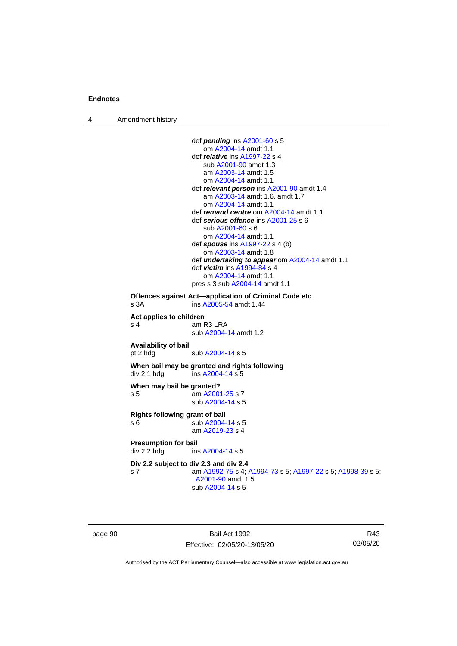4 Amendment history

```
def pending ins A2001-60 s 5
                    om A2004-14 amdt 1.1
                 def relative ins A1997-22 s 4
                    sub A2001-90 amdt 1.3
                    am A2003-14 amdt 1.5
                    om A2004-14 amdt 1.1
                 def relevant person ins A2001-90 amdt 1.4
                    am A2003-14 amdt 1.6, amdt 1.7
                    om A2004-14 amdt 1.1
                 def remand centre om A2004-14 amdt 1.1
                 def serious offence ins A2001-25 s 6
                    sub A2001-60 s 6
                    om A2004-14 amdt 1.1
                 def spouse ins A1997-22 s 4 (b)
                    om A2003-14 amdt 1.8
                 def undertaking to appear om A2004-14 amdt 1.1
                 def victim ins A1994-84 s 4
                    om A2004-14 amdt 1.1
                 pres s 3 sub A2004-14 amdt 1.1
Offences against Act—application of Criminal Code etc
s 3A  A2005-54 amdt 1.44
Act applies to children
s 4 am R3 LRA
                 sub A2004-14 amdt 1.2
Availability of bail
 A2004-14 s 5
When bail may be granted and rights following
div 2.1 hdg ins A2004-14 s 5When may bail be granted?
s 5 am A2001-25 s 7
                 sub A2004-14 s 5
Rights following grant of bail
s 6 sub A2004-14 s 5
                 am A2019-23 s 4
Presumption for bail<br>div 2.2 hdg ins
                  A2004-14 s 5
Div 2.2 subject to div 2.3 and div 2.4
s 7 am A1992-75 s 4; A1994-73 s 5; A1997-22 s 5; A1998-39 s 5; 
                  A2001-90 amdt 1.5
                 sub A2004-14 s 5
```
page 90 Bail Act 1992 Effective: 02/05/20-13/05/20

R43 02/05/20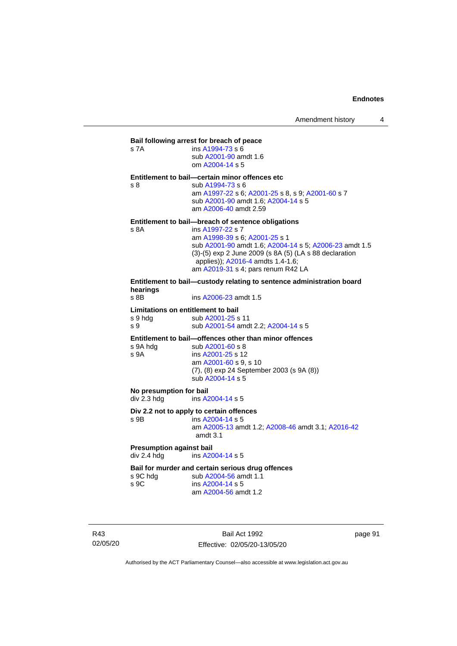| s 7A                                                 | Bail following arrest for breach of peace<br>ins A1994-73 s 6<br>sub A2001-90 amdt 1.6<br>om A2004-14 s 5                                                                                                                                                                                              |
|------------------------------------------------------|--------------------------------------------------------------------------------------------------------------------------------------------------------------------------------------------------------------------------------------------------------------------------------------------------------|
| s <sub>8</sub>                                       | Entitlement to bail-certain minor offences etc<br>sub A1994-73 s 6<br>am A1997-22 s 6; A2001-25 s 8, s 9; A2001-60 s 7<br>sub A2001-90 amdt 1.6; A2004-14 s 5<br>am A2006-40 amdt 2.59                                                                                                                 |
| s 8A                                                 | Entitlement to bail-breach of sentence obligations<br>ins A1997-22 s 7<br>am A1998-39 s 6; A2001-25 s 1<br>sub A2001-90 amdt 1.6; A2004-14 s 5; A2006-23 amdt 1.5<br>(3)-(5) exp 2 June 2009 (s 8A (5) (LA s 88 declaration<br>applies)); A2016-4 amdts 1.4-1.6;<br>am A2019-31 s 4; pars renum R42 LA |
| hearings<br>$s$ 8B                                   | Entitlement to bail—custody relating to sentence administration board<br>ins A2006-23 amdt 1.5                                                                                                                                                                                                         |
| Limitations on entitlement to bail<br>s 9 hda<br>s 9 | sub A2001-25 s 11<br>sub A2001-54 amdt 2.2; A2004-14 s 5                                                                                                                                                                                                                                               |
| s 9A hdg<br>s 9A                                     | Entitlement to bail-offences other than minor offences<br>sub A2001-60 s 8<br>ins A2001-25 s 12<br>am A2001-60 s 9, s 10<br>(7), (8) exp 24 September 2003 (s 9A (8))<br>sub A2004-14 s 5                                                                                                              |
| No presumption for bail<br>div 2.3 hdg               | ins A2004-14 s 5                                                                                                                                                                                                                                                                                       |
| s 9B                                                 | Div 2.2 not to apply to certain offences<br>ins A2004-14 s 5<br>am A2005-13 amdt 1.2; A2008-46 amdt 3.1; A2016-42<br>amdt 3.1                                                                                                                                                                          |

**Presumption against bail**<br>div 2.4 hdg ins A20 ins [A2004-14](http://www.legislation.act.gov.au/a/2004-14) s 5

# **Bail for murder and certain serious drug offences**<br>s 9C hdg sub A2004-56 amdt 1.1

s 9C hdg sub [A2004-56](http://www.legislation.act.gov.au/a/2004-56) amdt 1.1<br>s 9C ins A2004-14 s 5 ins [A2004-14](http://www.legislation.act.gov.au/a/2004-14) s 5 am [A2004-56](http://www.legislation.act.gov.au/a/2004-56) amdt 1.2

R43 02/05/20

Bail Act 1992 Effective: 02/05/20-13/05/20 page 91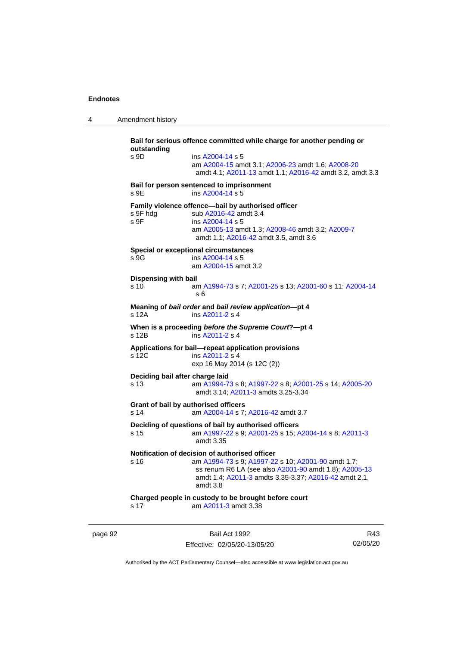4 Amendment history

**Bail for serious offence committed while charge for another pending or outstanding** s 9D ins [A2004-14](http://www.legislation.act.gov.au/a/2004-14) s 5 am [A2004-15](http://www.legislation.act.gov.au/a/2004-15) amdt 3.1[; A2006-23](http://www.legislation.act.gov.au/a/2006-23) amdt 1.6; [A2008-20](http://www.legislation.act.gov.au/a/2008-20) amdt 4.1; [A2011-13](http://www.legislation.act.gov.au/a/2011-13) amdt 1.1[; A2016-42](http://www.legislation.act.gov.au/a/2016-42/default.asp) amdt 3.2, amdt 3.3 **Bail for person sentenced to imprisonment** s 9E ins [A2004-14](http://www.legislation.act.gov.au/a/2004-14) s 5 **Family violence offence—bail by authorised officer**<br>s 9F hdg sub A2016-42 amdt 3.4 sub [A2016-42](http://www.legislation.act.gov.au/a/2016-42/default.asp) amdt 3.4 s 9F ins [A2004-14](http://www.legislation.act.gov.au/a/2004-14) s 5 am [A2005-13](http://www.legislation.act.gov.au/a/2005-13) amdt 1.3[; A2008-46](http://www.legislation.act.gov.au/a/2008-46) amdt 3.2; [A2009-7](http://www.legislation.act.gov.au/a/2009-7) amdt 1.1; [A2016-42](http://www.legislation.act.gov.au/a/2016-42/default.asp) amdt 3.5, amdt 3.6 **Special or exceptional circumstances** s 9G ins [A2004-14](http://www.legislation.act.gov.au/a/2004-14) s 5 am [A2004-15](http://www.legislation.act.gov.au/a/2004-15) amdt 3.2 **Dispensing with bail** s 10 am [A1994-73](http://www.legislation.act.gov.au/a/1994-73) s 7[; A2001-25](http://www.legislation.act.gov.au/a/2001-25) s 13; [A2001-60](http://www.legislation.act.gov.au/a/2001-60) s 11[; A2004-14](http://www.legislation.act.gov.au/a/2004-14) s 6 **Meaning of** *bail order* **and** *bail review application***—pt 4** ins [A2011-2](http://www.legislation.act.gov.au/a/2011-2) s 4 **When is a proceeding** *before the Supreme Court***?—pt 4** s 12B ins [A2011-2](http://www.legislation.act.gov.au/a/2011-2) s 4 **Applications for bail—repeat application provisions** ins [A2011-2](http://www.legislation.act.gov.au/a/2011-2) s 4 exp 16 May 2014 (s 12C (2)) **Deciding bail after charge laid** s 13 am [A1994-73](http://www.legislation.act.gov.au/a/1994-73) s 8[; A1997-22](http://www.legislation.act.gov.au/a/1997-22) s 8; [A2001-25](http://www.legislation.act.gov.au/a/2001-25) s 14[; A2005-20](http://www.legislation.act.gov.au/a/2005-20) amdt 3.14; [A2011-3](http://www.legislation.act.gov.au/a/2011-3) amdts 3.25-3.34 **Grant of bail by authorised officers** s 14 am [A2004-14](http://www.legislation.act.gov.au/a/2004-14) s 7[; A2016-42](http://www.legislation.act.gov.au/a/2016-42/default.asp) amdt 3.7 **Deciding of questions of bail by authorised officers** s 15 am [A1997-22](http://www.legislation.act.gov.au/a/1997-22) s 9[; A2001-25](http://www.legislation.act.gov.au/a/2001-25) s 15; [A2004-14](http://www.legislation.act.gov.au/a/2004-14) s 8[; A2011-3](http://www.legislation.act.gov.au/a/2011-3) amdt 3.35 **Notification of decision of authorised officer**<br>s 16 am A1994-73 s 9: A1997-22 am [A1994-73](http://www.legislation.act.gov.au/a/1994-73) s 9[; A1997-22](http://www.legislation.act.gov.au/a/1997-22) s 10; [A2001-90](http://www.legislation.act.gov.au/a/2001-90) amdt 1.7; ss renum R6 LA (see also [A2001-90](http://www.legislation.act.gov.au/a/2001-90) amdt 1.8)[; A2005-13](http://www.legislation.act.gov.au/a/2005-13) amdt 1.4; [A2011-3](http://www.legislation.act.gov.au/a/2011-3) amdts 3.35-3.37[; A2016-42](http://www.legislation.act.gov.au/a/2016-42/default.asp) amdt 2.1, amdt 3.8 **Charged people in custody to be brought before court** s 17 am [A2011-3](http://www.legislation.act.gov.au/a/2011-3) amdt 3.38

page 92 Bail Act 1992 Effective: 02/05/20-13/05/20

R43 02/05/20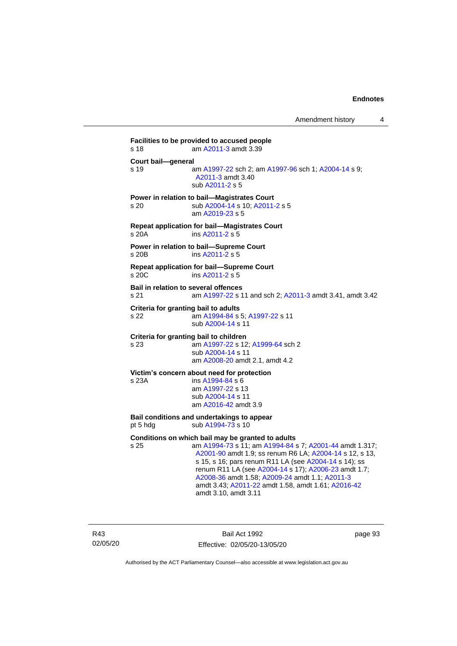**Facilities to be provided to accused people** s 18 am [A2011-3](http://www.legislation.act.gov.au/a/2011-3) amdt 3.39 **Court bail—general** s 19 **am [A1997-22](http://www.legislation.act.gov.au/a/1997-22) sch 2; am [A1997-96](http://www.legislation.act.gov.au/a/1997-96) sch 1; [A2004-14](http://www.legislation.act.gov.au/a/2004-14) s 9;** [A2011-3](http://www.legislation.act.gov.au/a/2011-3) amdt 3.40 sub [A2011-2](http://www.legislation.act.gov.au/a/2011-2) s 5 **Power in relation to bail—Magistrates Court** s 20 sub [A2004-14](http://www.legislation.act.gov.au/a/2004-14) s 10[; A2011-2](http://www.legislation.act.gov.au/a/2011-2) s 5 am [A2019-23](http://www.legislation.act.gov.au/a/2019-23/default.asp) s 5 **Repeat application for bail—Magistrates Court** s 20A ins [A2011-2](http://www.legislation.act.gov.au/a/2011-2) s 5 **Power in relation to bail—Supreme Court** s 20B ins [A2011-2](http://www.legislation.act.gov.au/a/2011-2) s 5 **Repeat application for bail—Supreme Court** s 20C ins [A2011-2](http://www.legislation.act.gov.au/a/2011-2) s 5 **Bail in relation to several offences** s 21 am [A1997-22](http://www.legislation.act.gov.au/a/1997-22) s 11 and sch 2; [A2011-3](http://www.legislation.act.gov.au/a/2011-3) amdt 3.41, amdt 3.42 **Criteria for granting bail to adults** s 22 am [A1994-84](http://www.legislation.act.gov.au/a/1994-84) s 5[; A1997-22](http://www.legislation.act.gov.au/a/1997-22) s 11 sub [A2004-14](http://www.legislation.act.gov.au/a/2004-14) s 11 **Criteria for granting bail to children** s 23 am [A1997-22](http://www.legislation.act.gov.au/a/1997-22) s 12[; A1999-64](http://www.legislation.act.gov.au/a/1999-64) sch 2 sub [A2004-14](http://www.legislation.act.gov.au/a/2004-14) s 11 am [A2008-20](http://www.legislation.act.gov.au/a/2008-20) amdt 2.1, amdt 4.2 **Victim's concern about need for protection** s 23A ins [A1994-84](http://www.legislation.act.gov.au/a/1994-84) s 6 am [A1997-22](http://www.legislation.act.gov.au/a/1997-22) s 13 sub [A2004-14](http://www.legislation.act.gov.au/a/2004-14) s 11 am [A2016-42](http://www.legislation.act.gov.au/a/2016-42/default.asp) amdt 3.9 **Bail conditions and undertakings to appear** pt 5 hdg sub  $A1994-73$  s 10 **Conditions on which bail may be granted to adults** s 25 am [A1994-73](http://www.legislation.act.gov.au/a/1994-73) s 11; a[m A1994-84](http://www.legislation.act.gov.au/a/1994-84) s 7; [A2001-44](http://www.legislation.act.gov.au/a/2001-44) amdt 1.317; [A2001-90](http://www.legislation.act.gov.au/a/2001-90) amdt 1.9; ss renum R6 LA; [A2004-14](http://www.legislation.act.gov.au/a/2004-14) s 12, s 13, s 15, s 16; pars renum R11 LA (see [A2004-14](http://www.legislation.act.gov.au/a/2004-14) s 14); ss renum R11 LA (see [A2004-14](http://www.legislation.act.gov.au/a/2004-14) s 17); [A2006-23](http://www.legislation.act.gov.au/a/2006-23) amdt 1.7; [A2008-36](http://www.legislation.act.gov.au/a/2008-36) amdt 1.58[; A2009-24](http://www.legislation.act.gov.au/a/2009-24) amdt 1.1; [A2011-3](http://www.legislation.act.gov.au/a/2011-3) amdt 3.43; [A2011-22](http://www.legislation.act.gov.au/a/2011-22) amdt 1.58, amdt 1.61[; A2016-42](http://www.legislation.act.gov.au/a/2016-42/default.asp)

amdt 3.10, amdt 3.11

R43 02/05/20

Bail Act 1992 Effective: 02/05/20-13/05/20 page 93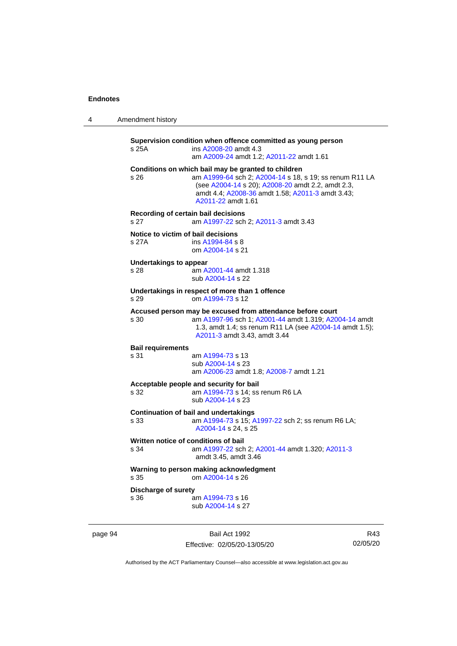| 4 | Amendment history |  |
|---|-------------------|--|
|---|-------------------|--|

**Supervision condition when offence committed as young person** s 25A ins [A2008-20](http://www.legislation.act.gov.au/a/2008-20) amdt 4.3 am [A2009-24](http://www.legislation.act.gov.au/a/2009-24) amdt 1.2[; A2011-22](http://www.legislation.act.gov.au/a/2011-22) amdt 1.61 **Conditions on which bail may be granted to children** s 26 am [A1999-64](http://www.legislation.act.gov.au/a/1999-64) sch 2; [A2004-14](http://www.legislation.act.gov.au/a/2004-14) s 18, s 19; ss renum R11 LA (see [A2004-14](http://www.legislation.act.gov.au/a/2004-14) s 20)[; A2008-20](http://www.legislation.act.gov.au/a/2008-20) amdt 2.2, amdt 2.3, amdt 4.4; [A2008-36](http://www.legislation.act.gov.au/a/2008-36) amdt 1.58[; A2011-3](http://www.legislation.act.gov.au/a/2011-3) amdt 3.43; [A2011-22](http://www.legislation.act.gov.au/a/2011-22) amdt 1.61 **Recording of certain bail decisions** s 27 am [A1997-22](http://www.legislation.act.gov.au/a/1997-22) sch 2; [A2011-3](http://www.legislation.act.gov.au/a/2011-3) amdt 3.43 **Notice to victim of bail decisions** s 27A ins [A1994-84](http://www.legislation.act.gov.au/a/1994-84) s 8 om [A2004-14](http://www.legislation.act.gov.au/a/2004-14) s 21 **Undertakings to appear** s 28 am [A2001-44](http://www.legislation.act.gov.au/a/2001-44) amdt 1.318 sub [A2004-14](http://www.legislation.act.gov.au/a/2004-14) s 22 **Undertakings in respect of more than 1 offence** s 29 om [A1994-73](http://www.legislation.act.gov.au/a/1994-73) s 12 **Accused person may be excused from attendance before court** s 30 am [A1997-96](http://www.legislation.act.gov.au/a/1997-96) sch 1; [A2001-44](http://www.legislation.act.gov.au/a/2001-44) amdt 1.319[; A2004-14](http://www.legislation.act.gov.au/a/2004-14) amdt 1.3, amdt 1.4; ss renum R11 LA (se[e A2004-14](http://www.legislation.act.gov.au/a/2004-14) amdt 1.5); [A2011-3](http://www.legislation.act.gov.au/a/2011-3) amdt 3.43, amdt 3.44 **Bail requirements** am [A1994-73](http://www.legislation.act.gov.au/a/1994-73) s 13 sub [A2004-14](http://www.legislation.act.gov.au/a/2004-14) s 23 am [A2006-23](http://www.legislation.act.gov.au/a/2006-23) amdt 1.8[; A2008-7](http://www.legislation.act.gov.au/a/2008-7) amdt 1.21 **Acceptable people and security for bail** s 32 am [A1994-73](http://www.legislation.act.gov.au/a/1994-73) s 14; ss renum R6 LA sub [A2004-14](http://www.legislation.act.gov.au/a/2004-14) s 23 **Continuation of bail and undertakings** s 33 am [A1994-73](http://www.legislation.act.gov.au/a/1994-73) s 15[; A1997-22](http://www.legislation.act.gov.au/a/1997-22) sch 2; ss renum R6 LA; [A2004-14](http://www.legislation.act.gov.au/a/2004-14) s 24, s 25 **Written notice of conditions of bail** s 34 am [A1997-22](http://www.legislation.act.gov.au/a/1997-22) sch 2; [A2001-44](http://www.legislation.act.gov.au/a/2001-44) amdt 1.320[; A2011-3](http://www.legislation.act.gov.au/a/2011-3) amdt 3.45, amdt 3.46 **Warning to person making acknowledgment** s 35 om [A2004-14](http://www.legislation.act.gov.au/a/2004-14) s 26 **Discharge of surety** s 36 am [A1994-73](http://www.legislation.act.gov.au/a/1994-73) s 16 sub [A2004-14](http://www.legislation.act.gov.au/a/2004-14) s 27

page 94 Bail Act 1992 Effective: 02/05/20-13/05/20

R43 02/05/20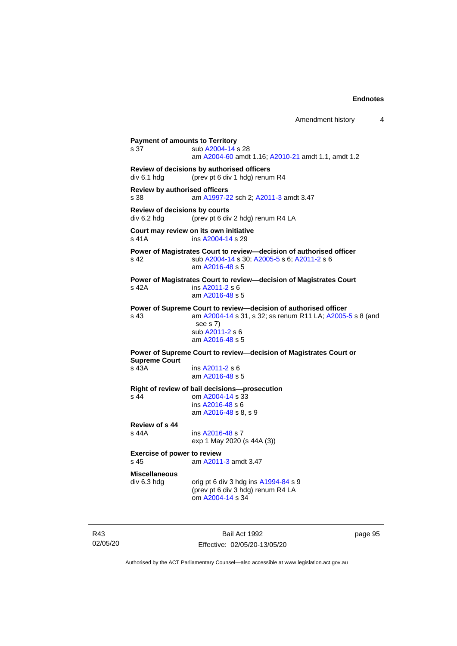Amendment history 4

```
Payment of amounts to Territory
 A2004-14 s 28
                 am A2004-60 amdt 1.16; A2010-21 amdt 1.1, amdt 1.2
Review of decisions by authorised officers
div 6.1 hdg (prev pt 6 div 1 hdg) renum R4
Review by authorised officers
s 38 am A1997-22 sch 2; A2011-3 amdt 3.47
Review of decisions by courts
div 6.2 hdg (prev pt 6 div 2 hdg) renum R4 LA
Court may review on its own initiative
s 41A  A2004-14 s 29
Power of Magistrates Court to review—decision of authorised officer
s 42 sub A2004-14 s 30; A2005-5 s 6; A2011-2 s 6
                 am A2016-48 s 5
Power of Magistrates Court to review—decision of Magistrates Court
s 42A ins A2011-2 s 6
                 am A2016-48 s 5
Power of Supreme Court to review—decision of authorised officer
s 43 am A2004-14 s 31, s 32; ss renum R11 LA; A2005-5 s 8 (and 
                  see s 7)
                 sub A2011-2 s 6
                 am A2016-48 s 5
Power of Supreme Court to review—decision of Magistrates Court or 
Supreme Court<br>s 43A
                  A2011-2 s 6
                 am A2016-48 s 5
Right of review of bail decisions—prosecution
s 44 om A2004-14 s 33
                 ins A2016-48 s 6
                 am A2016-48 s 8, s 9
Review of s 44
                  A2016-48 s 7
                 exp 1 May 2020 (s 44A (3))
Exercise of power to review<br>s 45 am A2011
                  A2011-3 amdt 3.47
Miscellaneous
div 6.3 hdg orig pt 6 div 3 hdg ins A1994-84 s 9
                 (prev pt 6 div 3 hdg) renum R4 LA
                 om A2004-14 s 34
```
R43 02/05/20

Bail Act 1992 Effective: 02/05/20-13/05/20 page 95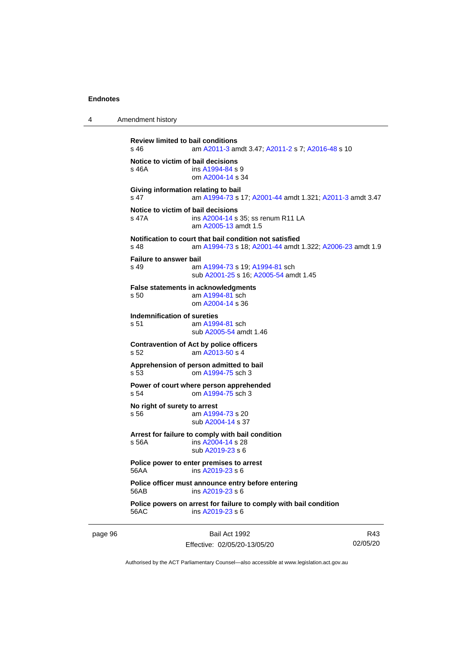| 4 | Amendment history |  |  |  |  |   |  |  |  |
|---|-------------------|--|--|--|--|---|--|--|--|
|   |                   |  |  |  |  | . |  |  |  |

```
Review limited to bail conditions<br>s 46 am A2011-3 an
                 A2011-3; A2011-2 A2016-48 s 10
Notice to victim of bail decisions
 A1994-84 s 9
                om A2004-14 s 34
Giving information relating to bail
s 47 am A1994-73 s 17; A2001-44 amdt 1.321; A2011-3 amdt 3.47
Notice to victim of bail decisions
 A2004-14 s 35; ss renum R11 LA
                am A2005-13 amdt 1.5
Notification to court that bail condition not satisfied
s 48 am A1994-73 s 18; A2001-44 amdt 1.322; A2006-23 amdt 1.9
Failure to answer bail
s 49 am A1994-73 s 19; A1994-81 sch
                sub A2001-25 s 16; A2005-54 amdt 1.45
False statements in acknowledgments
s 50 am A1994-81 sch
                om A2004-14 s 36
Indemnification of sureties<br>s 51 am A199
                 A1994-81 sch
                sub A2005-54 amdt 1.46
Contravention of Act by police officers
s 52 am A2013-50 s 4
Apprehension of person admitted to bail
s 53 om A1994-75 sch 3
Power of court where person apprehended
s 54 om A1994-75 sch 3
No right of surety to arrest
 A1994-73 s 20
                sub A2004-14 s 37
Arrest for failure to comply with bail condition
s 56A ins A2004-14 s 28
                sub A2019-23 s 6
Police power to enter premises to arrest
56AA ins A2019-23 s 6
Police officer must announce entry before entering
56AB ins A2019-23 s 6
Police powers on arrest for failure to comply with bail condition
56AC ins A2019-23 s 6
```
page 96 Bail Act 1992 Effective: 02/05/20-13/05/20

R43 02/05/20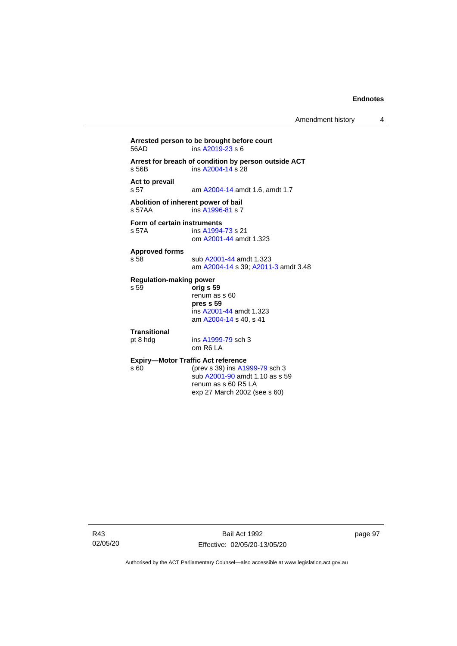**Arrested person to be brought before court** ins  $A2019-23 s 6$ **Arrest for breach of condition by person outside ACT** s 56B ins [A2004-14](http://www.legislation.act.gov.au/a/2004-14) s 28 **Act to prevail** am [A2004-14](http://www.legislation.act.gov.au/a/2004-14) amdt 1.6, amdt 1.7 **Abolition of inherent power of bail** s 57AA **ins [A1996-81](http://www.legislation.act.gov.au/a/1996-81) s** 7 **Form of certain instruments**<br>s 57A **ins** A1994 ins [A1994-73](http://www.legislation.act.gov.au/a/1994-73) s 21 om [A2001-44](http://www.legislation.act.gov.au/a/2001-44) amdt 1.323 **Approved forms** s 58 sub [A2001-44](http://www.legislation.act.gov.au/a/2001-44) amdt 1.323 am [A2004-14](http://www.legislation.act.gov.au/a/2004-14) s 39[; A2011-3](http://www.legislation.act.gov.au/a/2011-3) amdt 3.48 **Regulation-making power** s 59 **orig s 59** renum as s 60 **pres s 59** ins [A2001-44](http://www.legislation.act.gov.au/a/2001-44) amdt 1.323 am [A2004-14](http://www.legislation.act.gov.au/a/2004-14) s 40, s 41 **Transitional** pt 8 hdg ins [A1999-79](http://www.legislation.act.gov.au/a/1999-79) sch 3 om R6 LA **Expiry—Motor Traffic Act reference**<br>s 60 (prev s 39) ins A19 (prev s 39) in[s A1999-79](http://www.legislation.act.gov.au/a/1999-79) sch 3 sub [A2001-90](http://www.legislation.act.gov.au/a/2001-90) amdt 1.10 as s 59 renum as s 60 R5 LA exp 27 March 2002 (see s 60)

R43 02/05/20

Bail Act 1992 Effective: 02/05/20-13/05/20 page 97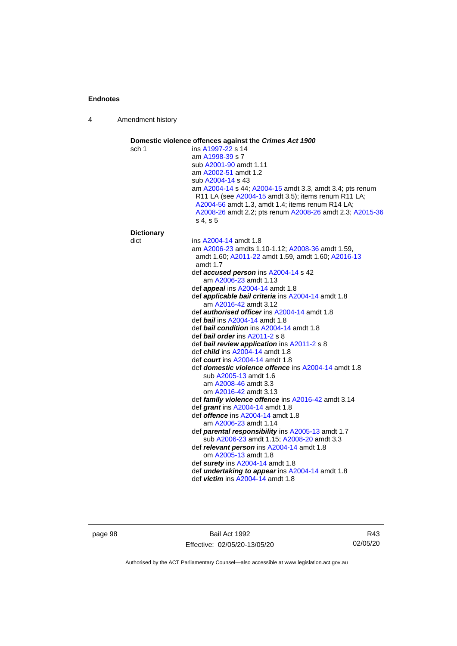4 Amendment history

| sch 1             | ins A1997-22 s 14                                                                                                                                                                                                                           |
|-------------------|---------------------------------------------------------------------------------------------------------------------------------------------------------------------------------------------------------------------------------------------|
|                   | am A1998-39 s 7                                                                                                                                                                                                                             |
|                   | sub A2001-90 amdt 1.11                                                                                                                                                                                                                      |
|                   | am A2002-51 amdt 1.2                                                                                                                                                                                                                        |
|                   | sub A2004-14 s 43                                                                                                                                                                                                                           |
|                   | am A2004-14 s 44; A2004-15 amdt 3.3, amdt 3.4; pts renum<br>R11 LA (see A2004-15 amdt 3.5); items renum R11 LA;<br>A2004-56 amdt 1.3, amdt 1.4; items renum R14 LA;<br>A2008-26 amdt 2.2; pts renum A2008-26 amdt 2.3; A2015-36<br>s 4, s 5 |
| <b>Dictionary</b> |                                                                                                                                                                                                                                             |
| dict              | ins A2004-14 amdt 1.8                                                                                                                                                                                                                       |
|                   | am A2006-23 amdts 1.10-1.12; A2008-36 amdt 1.59,                                                                                                                                                                                            |
|                   | amdt 1.60; A2011-22 amdt 1.59, amdt 1.60; A2016-13<br>amdt 1.7                                                                                                                                                                              |
|                   | def accused person ins A2004-14 s 42                                                                                                                                                                                                        |
|                   | am A2006-23 amdt 1.13                                                                                                                                                                                                                       |
|                   | def <i>appeal</i> ins A2004-14 amdt 1.8                                                                                                                                                                                                     |
|                   | def <i>applicable bail criteria</i> ins A2004-14 amdt 1.8<br>am A2016-42 amdt 3.12                                                                                                                                                          |
|                   | def <b>authorised officer</b> ins A2004-14 amdt 1.8                                                                                                                                                                                         |
|                   | def bail ins A2004-14 amdt 1.8                                                                                                                                                                                                              |
|                   | def bail condition ins A2004-14 amdt 1.8                                                                                                                                                                                                    |
|                   | def bail order ins A2011-2 s 8                                                                                                                                                                                                              |
|                   | def bail review application ins A2011-2 s 8                                                                                                                                                                                                 |
|                   | def <i>child</i> ins A2004-14 amdt 1.8<br>def <i>court</i> ins A2004-14 amdt 1.8                                                                                                                                                            |
|                   | def <b>domestic violence offence</b> ins A2004-14 amdt 1.8                                                                                                                                                                                  |
|                   | sub A2005-13 amdt 1.6                                                                                                                                                                                                                       |
|                   | am A2008-46 amdt 3.3                                                                                                                                                                                                                        |
|                   | om A2016-42 amdt 3.13                                                                                                                                                                                                                       |
|                   | def family violence offence ins A2016-42 amdt 3.14                                                                                                                                                                                          |
|                   | def grant ins A2004-14 amdt 1.8                                                                                                                                                                                                             |
|                   | def <i>offence</i> ins A2004-14 amdt 1.8                                                                                                                                                                                                    |
|                   | am A2006-23 amdt 1.14                                                                                                                                                                                                                       |
|                   | def parental responsibility ins A2005-13 amdt 1.7<br>sub A2006-23 amdt 1.15; A2008-20 amdt 3.3                                                                                                                                              |
|                   | def relevant person ins A2004-14 amdt 1.8<br>om A2005-13 amdt 1.8                                                                                                                                                                           |
|                   | def surety ins A2004-14 amdt 1.8                                                                                                                                                                                                            |
|                   | def <i>undertaking to appear</i> ins A2004-14 amdt 1.8<br>def <i>victim</i> ins A2004-14 amdt 1.8                                                                                                                                           |

page 98 Bail Act 1992 Effective: 02/05/20-13/05/20

R43 02/05/20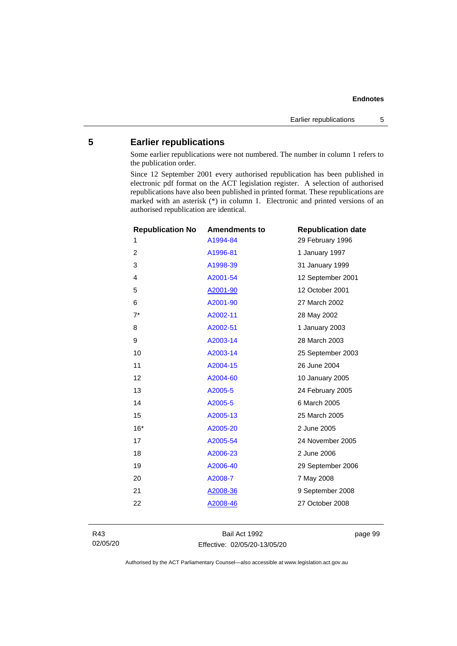## **5 Earlier republications**

Some earlier republications were not numbered. The number in column 1 refers to the publication order.

Since 12 September 2001 every authorised republication has been published in electronic pdf format on the ACT legislation register. A selection of authorised republications have also been published in printed format. These republications are marked with an asterisk (\*) in column 1. Electronic and printed versions of an authorised republication are identical.

| <b>Republication No</b> | <b>Amendments to</b> | <b>Republication date</b> |
|-------------------------|----------------------|---------------------------|
| 1                       | A1994-84             | 29 February 1996          |
| 2                       | A1996-81             | 1 January 1997            |
| 3                       | A1998-39             | 31 January 1999           |
| 4                       | A2001-54             | 12 September 2001         |
| 5                       | A2001-90             | 12 October 2001           |
| 6                       | A2001-90             | 27 March 2002             |
| $7^*$                   | A2002-11             | 28 May 2002               |
| 8                       | A2002-51             | 1 January 2003            |
| 9                       | A2003-14             | 28 March 2003             |
| 10                      | A2003-14             | 25 September 2003         |
| 11                      | A2004-15             | 26 June 2004              |
| 12                      | A2004-60             | 10 January 2005           |
| 13                      | A2005-5              | 24 February 2005          |
| 14                      | A2005-5              | 6 March 2005              |
| 15                      | A2005-13             | 25 March 2005             |
| $16*$                   | A2005-20             | 2 June 2005               |
| 17                      | A2005-54             | 24 November 2005          |
| 18                      | A2006-23             | 2 June 2006               |
| 19                      | A2006-40             | 29 September 2006         |
| 20                      | A2008-7              | 7 May 2008                |
| 21                      | A2008-36             | 9 September 2008          |
| 22                      | A2008-46             | 27 October 2008           |
|                         |                      |                           |

R43 02/05/20

Bail Act 1992 Effective: 02/05/20-13/05/20 page 99